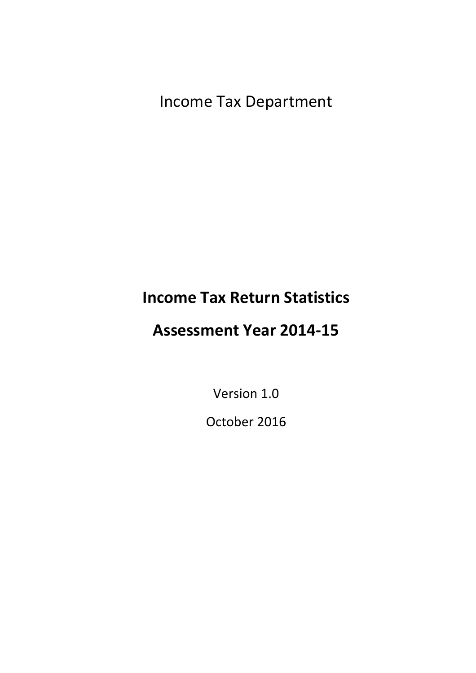Income Tax Department

# **Income Tax Return Statistics**

# **Assessment Year 2014-15**

Version 1.0

October 2016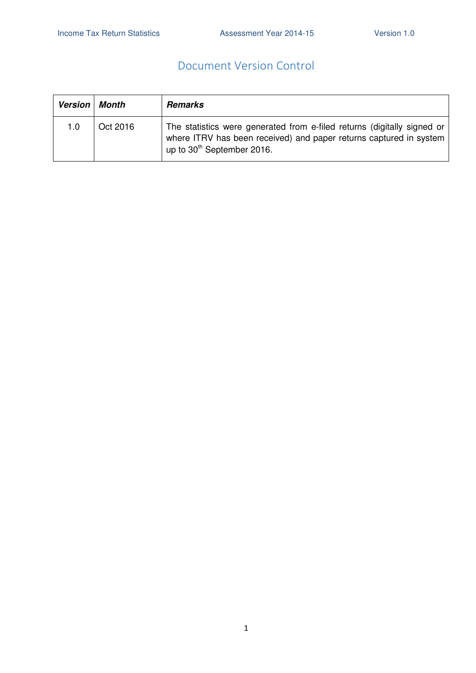### Document Version Control

| <b>Version</b> | Month    | <b>Remarks</b>                                                                                                                                                                          |
|----------------|----------|-----------------------------------------------------------------------------------------------------------------------------------------------------------------------------------------|
| 1.0            | Oct 2016 | The statistics were generated from e-filed returns (digitally signed or<br>where ITRV has been received) and paper returns captured in system<br>up to 30 <sup>th</sup> September 2016. |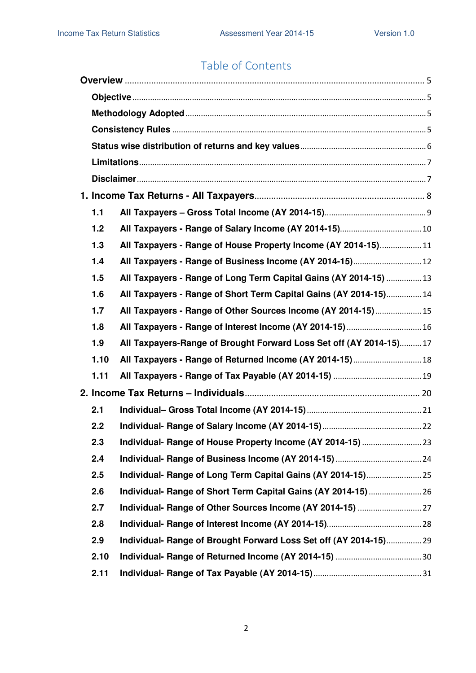# Table of Contents

| 1.1  |                                                                    |  |
|------|--------------------------------------------------------------------|--|
| 1.2  |                                                                    |  |
| 1.3  | All Taxpayers - Range of House Property Income (AY 2014-15)11      |  |
| 1.4  | All Taxpayers - Range of Business Income (AY 2014-15) 12           |  |
| 1.5  | All Taxpayers - Range of Long Term Capital Gains (AY 2014-15) 13   |  |
| 1.6  | All Taxpayers - Range of Short Term Capital Gains (AY 2014-15)14   |  |
| 1.7  | All Taxpayers - Range of Other Sources Income (AY 2014-15)15       |  |
| 1.8  | All Taxpayers - Range of Interest Income (AY 2014-15)  16          |  |
| 1.9  | All Taxpayers-Range of Brought Forward Loss Set off (AY 2014-15)17 |  |
| 1.10 | All Taxpayers - Range of Returned Income (AY 2014-15) 18           |  |
| 1.11 |                                                                    |  |
|      |                                                                    |  |
| 2.1  |                                                                    |  |
| 2.2  |                                                                    |  |
| 2.3  |                                                                    |  |
| 2.4  |                                                                    |  |
| 2.5  |                                                                    |  |
| 2.6  |                                                                    |  |
| 2.7  |                                                                    |  |
| 2.8  |                                                                    |  |
| 2.9  | Individual- Range of Brought Forward Loss Set off (AY 2014-15)29   |  |
| 2.10 |                                                                    |  |
| 2.11 |                                                                    |  |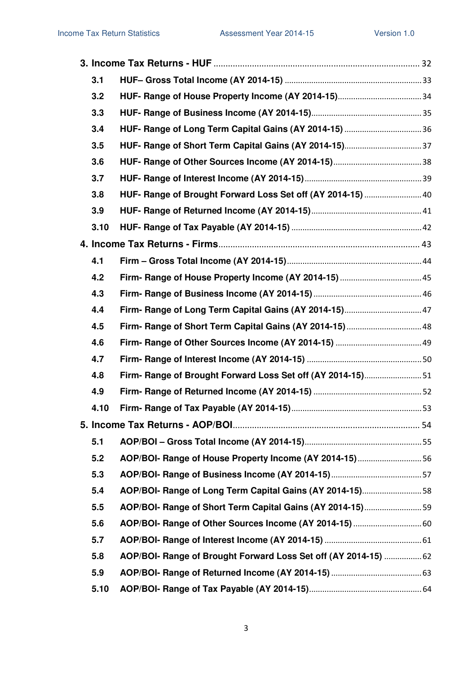| 3.1  |                                                                 |  |
|------|-----------------------------------------------------------------|--|
| 3.2  |                                                                 |  |
| 3.3  |                                                                 |  |
| 3.4  |                                                                 |  |
| 3.5  |                                                                 |  |
| 3.6  |                                                                 |  |
| 3.7  |                                                                 |  |
| 3.8  | HUF- Range of Brought Forward Loss Set off (AY 2014-15)  40     |  |
| 3.9  |                                                                 |  |
| 3.10 |                                                                 |  |
|      |                                                                 |  |
| 4.1  |                                                                 |  |
| 4.2  |                                                                 |  |
| 4.3  |                                                                 |  |
| 4.4  |                                                                 |  |
| 4.5  | Firm- Range of Short Term Capital Gains (AY 2014-15)  48        |  |
| 4.6  |                                                                 |  |
| 4.7  |                                                                 |  |
| 4.8  | Firm- Range of Brought Forward Loss Set off (AY 2014-15)51      |  |
| 4.9  |                                                                 |  |
| 4.10 |                                                                 |  |
|      |                                                                 |  |
| 5.1  |                                                                 |  |
| 5.2  | AOP/BOI- Range of House Property Income (AY 2014-15)56          |  |
| 5.3  |                                                                 |  |
| 5.4  | AOP/BOI- Range of Long Term Capital Gains (AY 2014-15)58        |  |
| 5.5  | AOP/BOI- Range of Short Term Capital Gains (AY 2014-15)59       |  |
| 5.6  |                                                                 |  |
| 5.7  |                                                                 |  |
| 5.8  | AOP/BOI- Range of Brought Forward Loss Set off (AY 2014-15)  62 |  |
| 5.9  |                                                                 |  |
| 5.10 |                                                                 |  |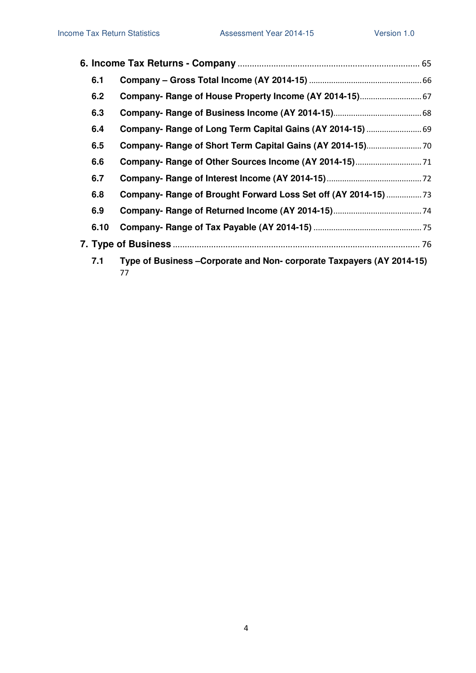| 6.1  |                                                                           |  |
|------|---------------------------------------------------------------------------|--|
| 6.2  |                                                                           |  |
| 6.3  |                                                                           |  |
| 6.4  | Company- Range of Long Term Capital Gains (AY 2014-15)  69                |  |
| 6.5  |                                                                           |  |
| 6.6  |                                                                           |  |
| 6.7  |                                                                           |  |
| 6.8  | Company- Range of Brought Forward Loss Set off (AY 2014-15)               |  |
| 6.9  |                                                                           |  |
| 6.10 |                                                                           |  |
|      |                                                                           |  |
| 7.1  | Type of Business-Corporate and Non-corporate Taxpayers (AY 2014-15)<br>77 |  |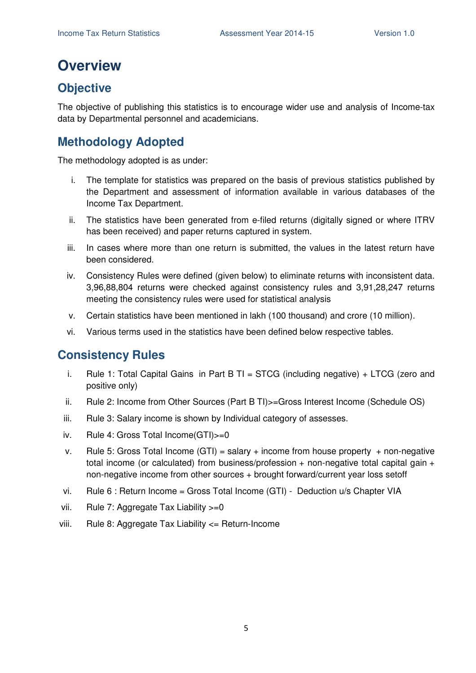# **Overview**

## **Objective**

The objective of publishing this statistics is to encourage wider use and analysis of Income-tax data by Departmental personnel and academicians.

## **Methodology Adopted**

The methodology adopted is as under:

- i. The template for statistics was prepared on the basis of previous statistics published by the Department and assessment of information available in various databases of the Income Tax Department.
- ii. The statistics have been generated from e-filed returns (digitally signed or where ITRV has been received) and paper returns captured in system.
- iii. In cases where more than one return is submitted, the values in the latest return have been considered.
- iv. Consistency Rules were defined (given below) to eliminate returns with inconsistent data. 3,96,88,804 returns were checked against consistency rules and 3,91,28,247 returns meeting the consistency rules were used for statistical analysis
- v. Certain statistics have been mentioned in lakh (100 thousand) and crore (10 million).
- vi. Various terms used in the statistics have been defined below respective tables.

### **Consistency Rules**

- i. Rule 1: Total Capital Gains in Part B TI = STCG (including negative)  $+$  LTCG (zero and positive only)
- ii. Rule 2: Income from Other Sources (Part B TI)>=Gross Interest Income (Schedule OS)
- iii. Rule 3: Salary income is shown by Individual category of assesses.
- iv. Rule 4: Gross Total Income(GTI)>=0
- v. Rule 5: Gross Total Income  $(GTI)$  = salary + income from house property + non-negative total income (or calculated) from business/profession  $+$  non-negative total capital gain  $+$ non-negative income from other sources + brought forward/current year loss setoff
- vi. Rule 6 : Return Income = Gross Total Income (GTI) Deduction u/s Chapter VIA
- vii. Rule 7: Aggregate Tax Liability >=0
- viii. Rule 8: Aggregate Tax Liability <= Return-Income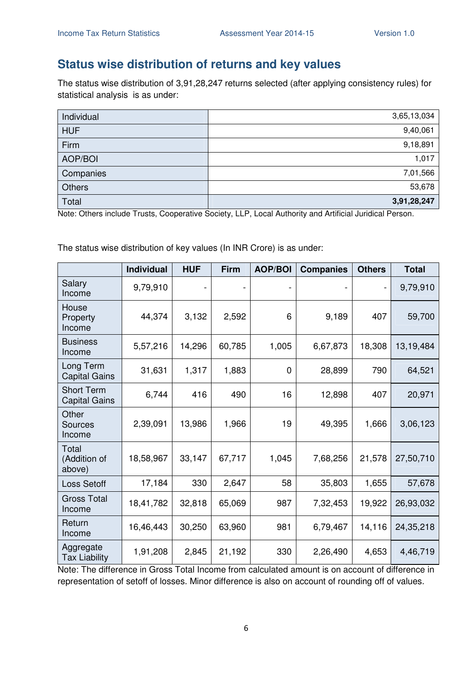### **Status wise distribution of returns and key values**

The status wise distribution of 3,91,28,247 returns selected (after applying consistency rules) for statistical analysis is as under:

| Individual    | 3,65,13,034 |
|---------------|-------------|
| <b>HUF</b>    | 9,40,061    |
| Firm          | 9,18,891    |
| AOP/BOI       | 1,017       |
| Companies     | 7,01,566    |
| <b>Others</b> | 53,678      |
| Total         | 3,91,28,247 |

Note: Others include Trusts, Cooperative Society, LLP, Local Authority and Artificial Juridical Person.

The status wise distribution of key values (In INR Crore) is as under:

|                                           | <b>Individual</b> | <b>HUF</b> | <b>Firm</b> | <b>AOP/BOI</b> | <b>Companies</b> | <b>Others</b>            | <b>Total</b> |
|-------------------------------------------|-------------------|------------|-------------|----------------|------------------|--------------------------|--------------|
| Salary<br>Income                          | 9,79,910          |            |             |                |                  | $\overline{\phantom{a}}$ | 9,79,910     |
| House<br>Property<br>Income               | 44,374            | 3,132      | 2,592       | 6              | 9,189            | 407                      | 59,700       |
| <b>Business</b><br>Income                 | 5,57,216          | 14,296     | 60,785      | 1,005          | 6,67,873         | 18,308                   | 13,19,484    |
| Long Term<br><b>Capital Gains</b>         | 31,631            | 1,317      | 1,883       | $\overline{0}$ | 28,899           | 790                      | 64,521       |
| <b>Short Term</b><br><b>Capital Gains</b> | 6,744             | 416        | 490         | 16             | 12,898           | 407                      | 20,971       |
| Other<br><b>Sources</b><br>Income         | 2,39,091          | 13,986     | 1,966       | 19             | 49,395           | 1,666                    | 3,06,123     |
| Total<br>(Addition of<br>above)           | 18,58,967         | 33,147     | 67,717      | 1,045          | 7,68,256         | 21,578                   | 27,50,710    |
| Loss Setoff                               | 17,184            | 330        | 2,647       | 58             | 35,803           | 1,655                    | 57,678       |
| <b>Gross Total</b><br>Income              | 18,41,782         | 32,818     | 65,069      | 987            | 7,32,453         | 19,922                   | 26,93,032    |
| Return<br>Income                          | 16,46,443         | 30,250     | 63,960      | 981            | 6,79,467         | 14,116                   | 24, 35, 218  |
| Aggregate<br><b>Tax Liability</b>         | 1,91,208          | 2,845      | 21,192      | 330            | 2,26,490         | 4,653                    | 4,46,719     |

Note: The difference in Gross Total Income from calculated amount is on account of difference in representation of setoff of losses. Minor difference is also on account of rounding off of values.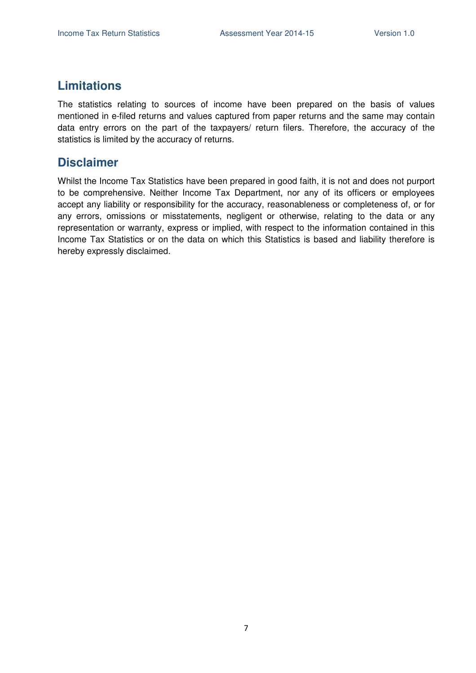### **Limitations**

The statistics relating to sources of income have been prepared on the basis of values mentioned in e-filed returns and values captured from paper returns and the same may contain data entry errors on the part of the taxpayers/ return filers. Therefore, the accuracy of the statistics is limited by the accuracy of returns.

### **Disclaimer**

Whilst the Income Tax Statistics have been prepared in good faith, it is not and does not purport to be comprehensive. Neither Income Tax Department, nor any of its officers or employees accept any liability or responsibility for the accuracy, reasonableness or completeness of, or for any errors, omissions or misstatements, negligent or otherwise, relating to the data or any representation or warranty, express or implied, with respect to the information contained in this Income Tax Statistics or on the data on which this Statistics is based and liability therefore is hereby expressly disclaimed.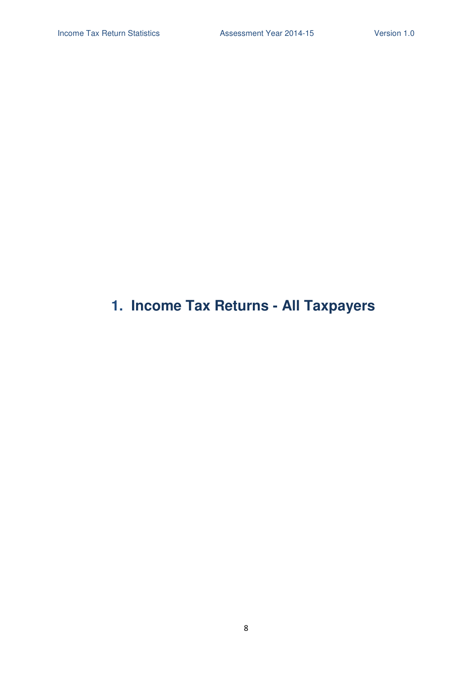# **1. Income Tax Returns - All Taxpayers**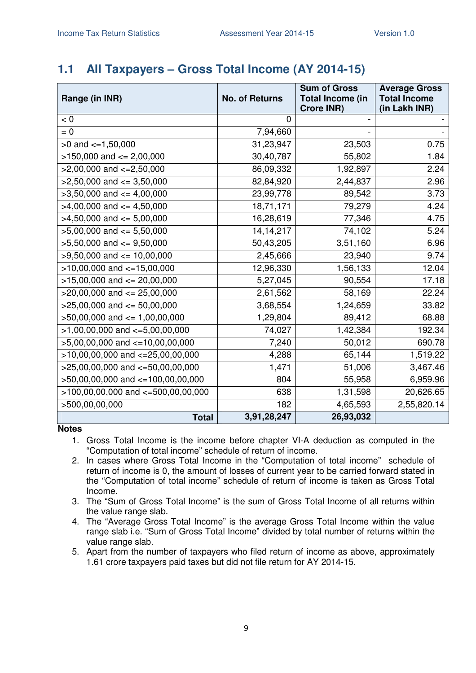## **1.1 All Taxpayers – Gross Total Income (AY 2014-15)**

| Range (in INR)                        | <b>No. of Returns</b> | <b>Sum of Gross</b><br><b>Total Income (in</b><br><b>Crore INR)</b> | <b>Average Gross</b><br><b>Total Income</b><br>(in Lakh INR) |  |
|---------------------------------------|-----------------------|---------------------------------------------------------------------|--------------------------------------------------------------|--|
| < 0                                   | 0                     |                                                                     |                                                              |  |
| $= 0$                                 | 7,94,660              |                                                                     |                                                              |  |
| $>0$ and $\lt=1,50,000$               | 31,23,947             | 23,503                                                              | 0.75                                                         |  |
| $>150,000$ and $<= 2,00,000$          | 30,40,787             | 55,802                                                              | 1.84                                                         |  |
| $>2,00,000$ and $\lt=2,50,000$        | 86,09,332             | 1,92,897                                                            | 2.24                                                         |  |
| $>2,50,000$ and $<=3,50,000$          | 82,84,920             | 2,44,837                                                            | 2.96                                                         |  |
| $>3,50,000$ and $<=4,00,000$          | 23,99,778             | 89,542                                                              | 3.73                                                         |  |
| $>4,00,000$ and $\leq 4,50,000$       | 18,71,171             | 79,279                                                              | 4.24                                                         |  |
| $>4,50,000$ and $<= 5,00,000$         | 16,28,619             | 77,346                                                              | 4.75                                                         |  |
| $>5,00,000$ and $<= 5,50,000$         | 14, 14, 217           | 74,102                                                              | 5.24                                                         |  |
| $>5,50,000$ and $<=9,50,000$          | 50,43,205             | 3,51,160                                                            | 6.96                                                         |  |
| $>9,50,000$ and $<= 10,00,000$        | 2,45,666              | 23,940                                                              | 9.74                                                         |  |
| $>10,00,000$ and $<=15,00,000$        | 12,96,330             | 1,56,133                                                            | 12.04                                                        |  |
| $>15,00,000$ and $<= 20,00,000$       | 5,27,045              | 90,554                                                              | 17.18                                                        |  |
| $>20,00,000$ and $<= 25,00,000$       | 2,61,562              | 58,169                                                              | 22.24                                                        |  |
| $>25,00,000$ and $<= 50,00,000$       | 3,68,554              | 1,24,659                                                            | 33.82                                                        |  |
| $>50,00,000$ and $<= 1,00,00,000$     | 1,29,804              | 89,412                                                              | 68.88                                                        |  |
| $>1,00,00,000$ and $\lt=5,00,00,000$  | 74,027                | 1,42,384                                                            | 192.34                                                       |  |
| $>5,00,00,000$ and $\lt=10,00,00,000$ | 7,240                 | 50,012                                                              | 690.78                                                       |  |
| $>10,00,00,000$ and $<-25,00,00,000$  | 4,288                 | 65,144                                                              | 1,519.22                                                     |  |
| >25,00,00,000 and <= 50,00,00,000     | 1,471                 | 51,006                                                              | 3,467.46                                                     |  |
| >50,00,00,000 and <=100,00,00,000     | 804                   | 55,958                                                              | 6,959.96                                                     |  |
| >100,00,00,000 and <=500,00,00,000    | 638                   | 1,31,598                                                            | 20,626.65                                                    |  |
| >500,00,00,000                        | 182                   | 4,65,593                                                            | 2,55,820.14                                                  |  |
| <b>Total</b>                          | 3,91,28,247           | 26,93,032                                                           |                                                              |  |

**Notes** 

1. Gross Total Income is the income before chapter VI-A deduction as computed in the "Computation of total income" schedule of return of income.

- 2. In cases where Gross Total Income in the "Computation of total income" schedule of return of income is 0, the amount of losses of current year to be carried forward stated in the "Computation of total income" schedule of return of income is taken as Gross Total Income.
- 3. The "Sum of Gross Total Income" is the sum of Gross Total Income of all returns within the value range slab.
- 4. The "Average Gross Total Income" is the average Gross Total Income within the value range slab i.e. "Sum of Gross Total Income" divided by total number of returns within the value range slab.
- 5. Apart from the number of taxpayers who filed return of income as above, approximately 1.61 crore taxpayers paid taxes but did not file return for AY 2014-15.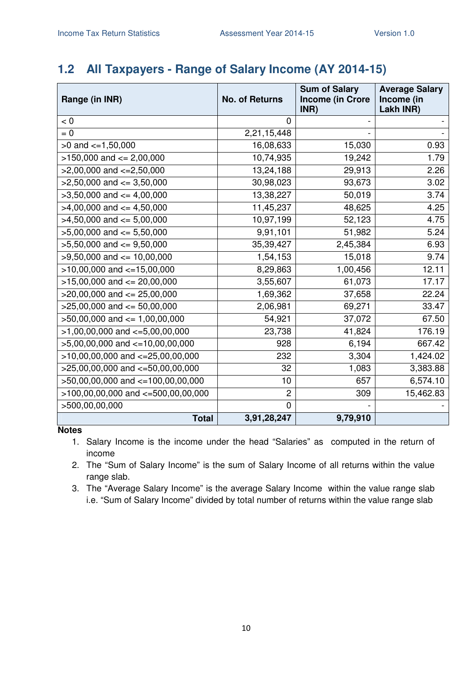# **1.2 All Taxpayers - Range of Salary Income (AY 2014-15)**

| Range (in INR)                         | <b>No. of Returns</b> | <b>Sum of Salary</b><br><b>Income (in Crore</b><br>INR) | <b>Average Salary</b><br>Income (in<br>Lakh INR) |
|----------------------------------------|-----------------------|---------------------------------------------------------|--------------------------------------------------|
| < 0                                    | 0                     |                                                         |                                                  |
| $= 0$                                  | 2,21,15,448           |                                                         |                                                  |
| $>0$ and $\lt=1,50,000$                | 16,08,633             | 15,030                                                  | 0.93                                             |
| $>150,000$ and $<= 2,00,000$           | 10,74,935             | 19,242                                                  | 1.79                                             |
| $>2,00,000$ and $\lt=2,50,000$         | 13,24,188             | 29,913                                                  | 2.26                                             |
| $>2,50,000$ and $\leq 3,50,000$        | 30,98,023             | 93,673                                                  | 3.02                                             |
| $>3,50,000$ and $<=4,00,000$           | 13,38,227             | 50,019                                                  | 3.74                                             |
| $>4,00,000$ and $\leq 4,50,000$        | 11,45,237             | 48,625                                                  | 4.25                                             |
| $>4,50,000$ and $<= 5,00,000$          | 10,97,199             | 52,123                                                  | 4.75                                             |
| $>5,00,000$ and $<= 5,50,000$          | 9,91,101              | 51,982                                                  | 5.24                                             |
| $>5,50,000$ and $<=9,50,000$           | 35,39,427             | 2,45,384                                                | 6.93                                             |
| $>9,50,000$ and $<= 10,00,000$         | 1,54,153              | 15,018                                                  | 9.74                                             |
| $>10,00,000$ and $<-15,00,000$         | 8,29,863              | 1,00,456                                                | 12.11                                            |
| $>15,00,000$ and $<= 20,00,000$        | 3,55,607              | 61,073                                                  | 17.17                                            |
| $>20,00,000$ and $\leq$ 25,00,000      | 1,69,362              | 37,658                                                  | 22.24                                            |
| $>25,00,000$ and $<= 50,00,000$        | 2,06,981              | 69,271                                                  | 33.47                                            |
| $>50,00,000$ and $\leq 1,00,00,000$    | 54,921                | 37,072                                                  | 67.50                                            |
| $>1,00,00,000$ and $\lt=5,00,00,000$   | 23,738                | 41,824                                                  | 176.19                                           |
| $>5,00,00,000$ and $\lt=10,00,00,000$  | 928                   | 6,194                                                   | 667.42                                           |
| $>10,00,00,000$ and $<=25,00,00,000$   | 232                   | 3,304                                                   | 1,424.02                                         |
| $>25,00,00,000$ and $<-50,00,00,000$   | 32                    | 1,083                                                   | 3,383.88                                         |
| >50,00,00,000 and <=100,00,00,000      | 10                    | 657                                                     | 6,574.10                                         |
| $>100,00,00,000$ and $<-500,00,00,000$ | $\overline{c}$        | 309                                                     | 15,462.83                                        |
| >500,00,00,000                         | $\Omega$              |                                                         |                                                  |
| <b>Total</b>                           | 3,91,28,247           | 9,79,910                                                |                                                  |

**Notes** 

1. Salary Income is the income under the head "Salaries" as computed in the return of income

2. The "Sum of Salary Income" is the sum of Salary Income of all returns within the value range slab.

3. The "Average Salary Income" is the average Salary Income within the value range slab i.e. "Sum of Salary Income" divided by total number of returns within the value range slab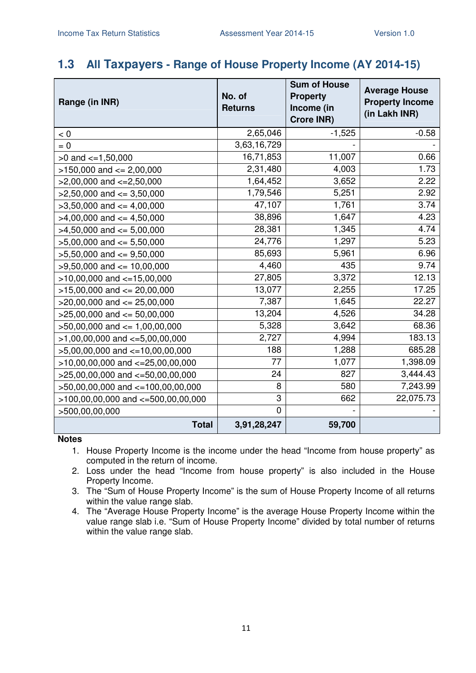### **1.3 All Taxpayers - Range of House Property Income (AY 2014-15)**

| Range (in INR)                        | No. of<br><b>Returns</b> | <b>Sum of House</b><br><b>Property</b><br>Income (in<br><b>Crore INR)</b> | <b>Average House</b><br><b>Property Income</b><br>(in Lakh INR) |
|---------------------------------------|--------------------------|---------------------------------------------------------------------------|-----------------------------------------------------------------|
| < 0                                   | 2,65,046                 | $-1,525$                                                                  | $-0.58$                                                         |
| $= 0$                                 | 3,63,16,729              |                                                                           |                                                                 |
| $>0$ and $\lt=1,50,000$               | 16,71,853                | 11,007                                                                    | 0.66                                                            |
| $>150,000$ and $<= 2,00,000$          | 2,31,480                 | 4,003                                                                     | 1.73                                                            |
| $>2,00,000$ and $<=2,50,000$          | 1,64,452                 | 3,652                                                                     | 2.22                                                            |
| $>2,50,000$ and $<=3,50,000$          | 1,79,546                 | 5,251                                                                     | 2.92                                                            |
| $>3,50,000$ and $<=4,00,000$          | 47,107                   | 1,761                                                                     | 3.74                                                            |
| $>4,00,000$ and $\leq 4,50,000$       | 38,896                   | 1,647                                                                     | 4.23                                                            |
| $>4,50,000$ and $<=5,00,000$          | 28,381                   | 1,345                                                                     | 4.74                                                            |
| $>5,00,000$ and $<= 5,50,000$         | 24,776                   | 1,297                                                                     | 5.23                                                            |
| $>5,50,000$ and $<=9,50,000$          | 85,693                   | 5,961                                                                     | 6.96                                                            |
| $>9,50,000$ and $<= 10,00,000$        | 4,460                    | 435                                                                       | 9.74                                                            |
| $>10,00,000$ and $<-15,00,000$        | 27,805                   | 3,372                                                                     | 12.13                                                           |
| $>15,00,000$ and $<= 20,00,000$       | 13,077                   | 2,255                                                                     | 17.25                                                           |
| $>20,00,000$ and $<= 25,00,000$       | 7,387                    | 1,645                                                                     | 22.27                                                           |
| $>25,00,000$ and $<= 50,00,000$       | 13,204                   | 4,526                                                                     | 34.28                                                           |
| $>50,00,000$ and $<= 1,00,00,000$     | 5,328                    | 3,642                                                                     | 68.36                                                           |
| $>1,00,00,000$ and $\lt=5,00,00,000$  | 2,727                    | 4,994                                                                     | 183.13                                                          |
| $>5,00,00,000$ and $<-10,00,00,000$   | 188                      | 1,288                                                                     | 685.28                                                          |
| $>10,00,00,000$ and $<-25,00,00,000$  | 77                       | 1,077                                                                     | 1,398.09                                                        |
| $>25,00,00,000$ and $<-50,00,00,000$  | 24                       | 827                                                                       | 3,444.43                                                        |
| $>50,00,00,000$ and $<=100,00,00,000$ | 8                        | 580                                                                       | 7,243.99                                                        |
| >100,00,00,000 and <=500,00,00,000    | 3                        | 662                                                                       | 22,075.73                                                       |
| >500,00,00,000                        | $\overline{0}$           |                                                                           |                                                                 |
| <b>Total</b>                          | 3,91,28,247              | 59,700                                                                    |                                                                 |

- 1. House Property Income is the income under the head "Income from house property" as computed in the return of income.
- 2. Loss under the head "Income from house property" is also included in the House Property Income.
- 3. The "Sum of House Property Income" is the sum of House Property Income of all returns within the value range slab.
- 4. The "Average House Property Income" is the average House Property Income within the value range slab i.e. "Sum of House Property Income" divided by total number of returns within the value range slab.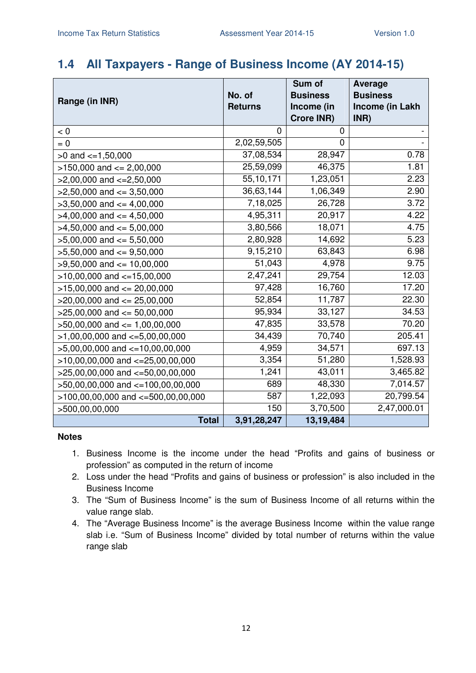### **1.4 All Taxpayers - Range of Business Income (AY 2014-15)**

|                                        |                | Sum of          | <b>Average</b>  |
|----------------------------------------|----------------|-----------------|-----------------|
| Range (in INR)                         | No. of         | <b>Business</b> | <b>Business</b> |
|                                        | <b>Returns</b> | Income (in      | Income (in Lakh |
|                                        |                | Crore INR)      | INR)            |
| < 0                                    | 0              | 0               |                 |
| $= 0$                                  | 2,02,59,505    | $\mathbf 0$     |                 |
| $>0$ and $\lt=1,50,000$                | 37,08,534      | 28,947          | 0.78            |
| $>150,000$ and $<= 2,00,000$           | 25,59,099      | 46,375          | 1.81            |
| $>2,00,000$ and $<=2,50,000$           | 55,10,171      | 1,23,051        | 2.23            |
| $>2,50,000$ and $<=3,50,000$           | 36,63,144      | 1,06,349        | 2.90            |
| $>3,50,000$ and $<=4,00,000$           | 7,18,025       | 26,728          | 3.72            |
| $>4,00,000$ and $<=4,50,000$           | 4,95,311       | 20,917          | 4.22            |
| $>4,50,000$ and $<=5,00,000$           | 3,80,566       | 18,071          | 4.75            |
| $>5,00,000$ and $<= 5,50,000$          | 2,80,928       | 14,692          | 5.23            |
| $>5,50,000$ and $<=9,50,000$           | 9,15,210       | 63,843          | 6.98            |
| $>9,50,000$ and $<= 10,00,000$         | 51,043         | 4,978           | 9.75            |
| $>10,00,000$ and $<-15,00,000$         | 2,47,241       | 29,754          | 12.03           |
| $>15,00,000$ and $<= 20,00,000$        | 97,428         | 16,760          | 17.20           |
| $>20,00,000$ and $<= 25,00,000$        | 52,854         | 11,787          | 22.30           |
| $>25,00,000$ and $<= 50,00,000$        | 95,934         | 33,127          | 34.53           |
| $>50,00,000$ and $<= 1,00,00,000$      | 47,835         | 33,578          | 70.20           |
| $>1,00,00,000$ and $\lt=5,00,00,000$   | 34,439         | 70,740          | 205.41          |
| $>5,00,00,000$ and $\lt=10,00,00,000$  | 4,959          | 34,571          | 697.13          |
| $>10,00,00,000$ and $<=25,00,00,000$   | 3,354          | 51,280          | 1,528.93        |
| $>25,00,00,000$ and $<=50,00,00,000$   | 1,241          | 43,011          | 3,465.82        |
| >50,00,00,000 and <=100,00,00,000      | 689            | 48,330          | 7,014.57        |
| $>100,00,00,000$ and $<=500,00,00,000$ | 587            | 1,22,093        | 20,799.54       |
| >500,00,00,000                         | 150            | 3,70,500        | 2,47,000.01     |
| <b>Total</b>                           | 3,91,28,247    | 13,19,484       |                 |

- 1. Business Income is the income under the head "Profits and gains of business or profession" as computed in the return of income
- 2. Loss under the head "Profits and gains of business or profession" is also included in the Business Income
- 3. The "Sum of Business Income" is the sum of Business Income of all returns within the value range slab.
- 4. The "Average Business Income" is the average Business Income within the value range slab i.e. "Sum of Business Income" divided by total number of returns within the value range slab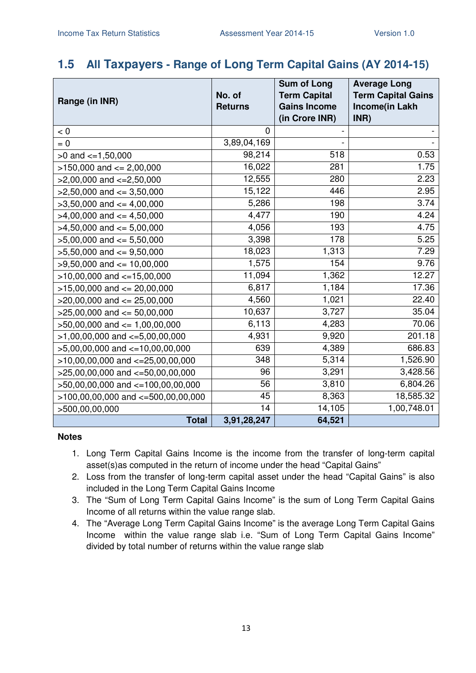### **1.5 All Taxpayers - Range of Long Term Capital Gains (AY 2014-15)**

| Range (in INR)                         | No. of         | <b>Sum of Long</b><br><b>Term Capital</b> | <b>Average Long</b><br><b>Term Capital Gains</b> |
|----------------------------------------|----------------|-------------------------------------------|--------------------------------------------------|
|                                        | <b>Returns</b> | <b>Gains Income</b><br>(in Crore INR)     | Income(in Lakh<br>INR)                           |
| < 0                                    | $\Omega$       |                                           |                                                  |
| $= 0$                                  | 3,89,04,169    |                                           |                                                  |
| $>0$ and $\lt=1,50,000$                | 98,214         | 518                                       | 0.53                                             |
| $>150,000$ and $<= 2,00,000$           | 16,022         | 281                                       | 1.75                                             |
| $>2,00,000$ and $\lt=2,50,000$         | 12,555         | 280                                       | 2.23                                             |
| $>2,50,000$ and $<=3,50,000$           | 15,122         | 446                                       | 2.95                                             |
| $>3,50,000$ and $<=4,00,000$           | 5,286          | 198                                       | 3.74                                             |
| $>4,00,000$ and $\leq 4,50,000$        | 4,477          | 190                                       | 4.24                                             |
| $>4,50,000$ and $\leq 5,00,000$        | 4,056          | 193                                       | 4.75                                             |
| $>5,00,000$ and $<= 5,50,000$          | 3,398          | 178                                       | 5.25                                             |
| $>5,50,000$ and $<=9,50,000$           | 18,023         | 1,313                                     | 7.29                                             |
| $>9,50,000$ and $\leq 10,00,000$       | 1,575          | 154                                       | 9.76                                             |
| $>10,00,000$ and $<=15,00,000$         | 11,094         | 1,362                                     | 12.27                                            |
| $>15,00,000$ and $<= 20,00,000$        | 6,817          | 1,184                                     | 17.36                                            |
| $>20,00,000$ and $<= 25,00,000$        | 4,560          | 1,021                                     | 22.40                                            |
| $>25,00,000$ and $<= 50,00,000$        | 10,637         | 3,727                                     | 35.04                                            |
| $>50,00,000$ and $\leq 1,00,00,000$    | 6,113          | 4,283                                     | 70.06                                            |
| $>1,00,00,000$ and $\lt=5,00,00,000$   | 4,931          | 9,920                                     | 201.18                                           |
| $>5,00,00,000$ and $\lt=10,00,00,000$  | 639            | 4,389                                     | 686.83                                           |
| $>10,00,00,000$ and $<=25,00,00,000$   | 348            | 5,314                                     | 1,526.90                                         |
| $>25,00,00,000$ and $<-50,00,00,000$   | 96             | 3,291                                     | 3,428.56                                         |
| >50,00,00,000 and <=100,00,00,000      | 56             | 3,810                                     | 6,804.26                                         |
| $>100,00,00,000$ and $<-500,00,00,000$ | 45             | 8,363                                     | 18,585.32                                        |
| >500,00,00,000                         | 14             | 14,105                                    | 1,00,748.01                                      |
| <b>Total</b>                           | 3,91,28,247    | 64,521                                    |                                                  |

- 1. Long Term Capital Gains Income is the income from the transfer of long-term capital asset(s)as computed in the return of income under the head "Capital Gains"
- 2. Loss from the transfer of long-term capital asset under the head "Capital Gains" is also included in the Long Term Capital Gains Income
- 3. The "Sum of Long Term Capital Gains Income" is the sum of Long Term Capital Gains Income of all returns within the value range slab.
- 4. The "Average Long Term Capital Gains Income" is the average Long Term Capital Gains Income within the value range slab i.e. "Sum of Long Term Capital Gains Income" divided by total number of returns within the value range slab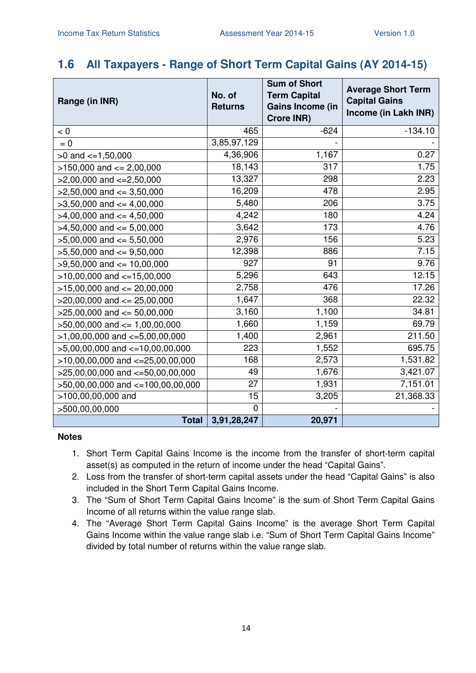### **1.6 All Taxpayers - Range of Short Term Capital Gains (AY 2014-15)**

| Range (in INR)                       | No. of<br><b>Returns</b> | <b>Sum of Short</b><br><b>Term Capital</b><br>Gains Income (in<br>Crore INR) | <b>Average Short Term</b><br><b>Capital Gains</b><br>Income (in Lakh INR) |
|--------------------------------------|--------------------------|------------------------------------------------------------------------------|---------------------------------------------------------------------------|
| $< 0$                                | 465                      | $-624$                                                                       | $-134.10$                                                                 |
| $= 0$                                | 3,85,97,129              |                                                                              |                                                                           |
| $>0$ and $\lt=1,50,000$              | 4,36,906                 | 1,167                                                                        | 0.27                                                                      |
| $>150,000$ and $<= 2,00,000$         | 18,143                   | 317                                                                          | 1.75                                                                      |
| $>2,00,000$ and $\lt=2,50,000$       | 13,327                   | 298                                                                          | 2.23                                                                      |
| $>2,50,000$ and $<=3,50,000$         | 16,209                   | 478                                                                          | 2.95                                                                      |
| $>3,50,000$ and $<=4,00,000$         | 5,480                    | 206                                                                          | 3.75                                                                      |
| $>4,00,000$ and $\leq 4,50,000$      | 4,242                    | 180                                                                          | 4.24                                                                      |
| $>4,50,000$ and $\leq 5,00,000$      | 3,642                    | 173                                                                          | 4.76                                                                      |
| $>5,00,000$ and $<= 5,50,000$        | 2,976                    | 156                                                                          | 5.23                                                                      |
| $>5,50,000$ and $<=9,50,000$         | 12,398                   | 886                                                                          | 7.15                                                                      |
| $>9,50,000$ and $<= 10,00,000$       | 927                      | 91                                                                           | 9.76                                                                      |
| $>10,00,000$ and $<-15,00,000$       | 5,296                    | 643                                                                          | 12.15                                                                     |
| $>15,00,000$ and $<= 20,00,000$      | 2,758                    | 476                                                                          | 17.26                                                                     |
| $>20,00,000$ and $<= 25,00,000$      | 1,647                    | 368                                                                          | 22.32                                                                     |
| $>25,00,000$ and $<= 50,00,000$      | 3,160                    | 1,100                                                                        | 34.81                                                                     |
| $>50,00,000$ and $\leq 1,00,00,000$  | 1,660                    | 1,159                                                                        | 69.79                                                                     |
| $>1,00,00,000$ and $\lt=5,00,00,000$ | 1,400                    | 2,961                                                                        | 211.50                                                                    |
| $>5,00,00,000$ and $<=10,00,00,000$  | 223                      | 1,552                                                                        | 695.75                                                                    |
| $>10,00,00,000$ and $<-25,00,00,000$ | 168                      | 2,573                                                                        | 1,531.82                                                                  |
| $>25,00,00,000$ and $<-50,00,00,000$ | 49                       | 1,676                                                                        | 3,421.07                                                                  |
| >50,00,00,000 and <=100,00,00,000    | 27                       | 1,931                                                                        | 7,151.01                                                                  |
| >100,00,00,000 and                   | 15                       | 3,205                                                                        | 21,368.33                                                                 |
| >500,00,00,000                       | 0                        |                                                                              |                                                                           |
| Total                                | 3,91,28,247              | 20,971                                                                       |                                                                           |

- 1. Short Term Capital Gains Income is the income from the transfer of short-term capital asset(s) as computed in the return of income under the head "Capital Gains".
- 2. Loss from the transfer of short-term capital assets under the head "Capital Gains" is also included in the Short Term Capital Gains Income.
- 3. The "Sum of Short Term Capital Gains Income" is the sum of Short Term Capital Gains Income of all returns within the value range slab.
- 4. The "Average Short Term Capital Gains Income" is the average Short Term Capital Gains Income within the value range slab i.e. "Sum of Short Term Capital Gains Income" divided by total number of returns within the value range slab.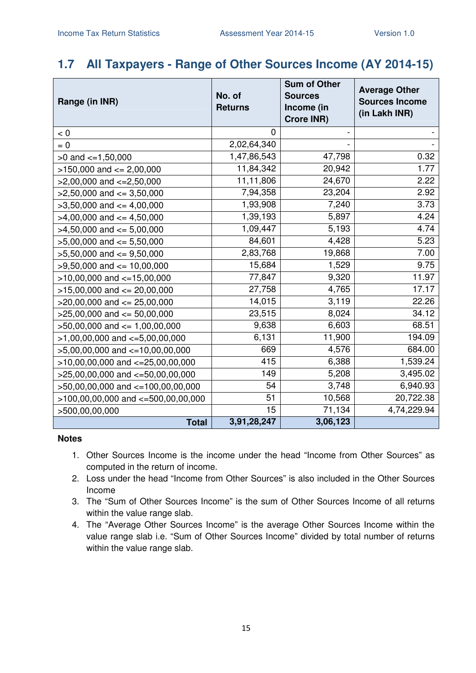### **1.7 All Taxpayers - Range of Other Sources Income (AY 2014-15)**

| Range (in INR)                         | No. of<br><b>Returns</b> | <b>Sum of Other</b><br><b>Sources</b><br>Income (in<br><b>Crore INR)</b> | <b>Average Other</b><br><b>Sources Income</b><br>(in Lakh INR) |
|----------------------------------------|--------------------------|--------------------------------------------------------------------------|----------------------------------------------------------------|
| < 0                                    | 0                        |                                                                          |                                                                |
| $= 0$                                  | 2,02,64,340              |                                                                          |                                                                |
| $>0$ and $\lt=1,50,000$                | 1,47,86,543              | 47,798                                                                   | 0.32                                                           |
| $>150,000$ and $<= 2,00,000$           | 11,84,342                | 20,942                                                                   | 1.77                                                           |
| $>2,00,000$ and $<=2,50,000$           | 11,11,806                | 24,670                                                                   | 2.22                                                           |
| $>2,50,000$ and $<=3,50,000$           | 7,94,358                 | 23,204                                                                   | 2.92                                                           |
| $>3,50,000$ and $<=4,00,000$           | 1,93,908                 | 7,240                                                                    | 3.73                                                           |
| $>4,00,000$ and $<=4,50,000$           | 1,39,193                 | 5,897                                                                    | 4.24                                                           |
| $>4,50,000$ and $<=5,00,000$           | 1,09,447                 | 5,193                                                                    | 4.74                                                           |
| $>5,00,000$ and $<= 5,50,000$          | 84,601                   | 4,428                                                                    | 5.23                                                           |
| $>5,50,000$ and $<=9,50,000$           | 2,83,768                 | 19,868                                                                   | 7.00                                                           |
| $>9,50,000$ and $<= 10,00,000$         | 15,684                   | 1,529                                                                    | 9.75                                                           |
| $>10,00,000$ and $<-15,00,000$         | 77,847                   | 9,320                                                                    | 11.97                                                          |
| $>15,00,000$ and $<= 20,00,000$        | 27,758                   | 4,765                                                                    | 17.17                                                          |
| $>20,00,000$ and $<= 25,00,000$        | 14,015                   | 3,119                                                                    | 22.26                                                          |
| $>25,00,000$ and $<= 50,00,000$        | 23,515                   | 8,024                                                                    | 34.12                                                          |
| $>50,00,000$ and $<= 1,00,00,000$      | 9,638                    | 6,603                                                                    | 68.51                                                          |
| $>1,00,00,000$ and $\lt=5,00,00,000$   | 6,131                    | 11,900                                                                   | 194.09                                                         |
| $>5,00,00,000$ and $<=10,00,00,000$    | 669                      | 4,576                                                                    | 684.00                                                         |
| $>10,00,00,000$ and $<-25,00,00,000$   | 415                      | 6,388                                                                    | 1,539.24                                                       |
| $>25,00,00,000$ and $<-50,00,00,000$   | 149                      | 5,208                                                                    | 3,495.02                                                       |
| $>50,00,00,000$ and $<=100,00,00,000$  | 54                       | 3,748                                                                    | 6,940.93                                                       |
| $>100,00,00,000$ and $<-500,00,00,000$ | 51                       | 10,568                                                                   | 20,722.38                                                      |
| >500,00,00,000                         | 15                       | 71,134                                                                   | 4,74,229.94                                                    |
| <b>Total</b>                           | 3,91,28,247              | 3,06,123                                                                 |                                                                |

- 1. Other Sources Income is the income under the head "Income from Other Sources" as computed in the return of income.
- 2. Loss under the head "Income from Other Sources" is also included in the Other Sources Income
- 3. The "Sum of Other Sources Income" is the sum of Other Sources Income of all returns within the value range slab.
- 4. The "Average Other Sources Income" is the average Other Sources Income within the value range slab i.e. "Sum of Other Sources Income" divided by total number of returns within the value range slab.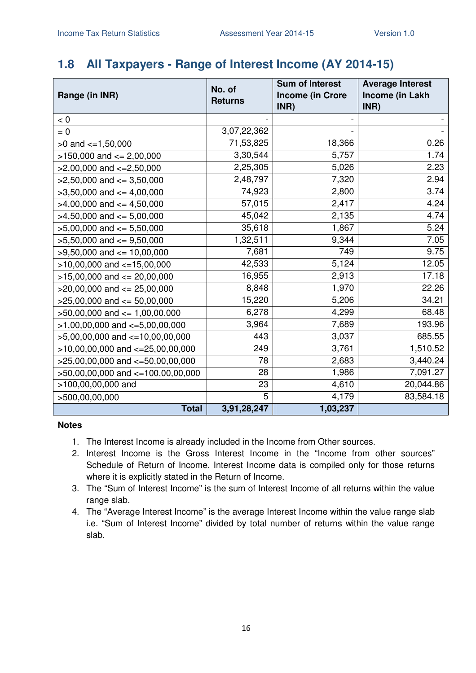### **1.8 All Taxpayers - Range of Interest Income (AY 2014-15)**

|                                      | No. of         | <b>Sum of Interest</b>          | <b>Average Interest</b> |
|--------------------------------------|----------------|---------------------------------|-------------------------|
| Range (in INR)                       | <b>Returns</b> | <b>Income (in Crore</b><br>INR) | Income (in Lakh<br>INR) |
| < 0                                  |                |                                 |                         |
| $= 0$                                | 3,07,22,362    |                                 |                         |
| $>0$ and $\leq 1,50,000$             | 71,53,825      | 18,366                          | 0.26                    |
| $>150,000$ and $<= 2,00,000$         | 3,30,544       | 5,757                           | 1.74                    |
| $>2,00,000$ and $\lt=2,50,000$       | 2,25,305       | 5,026                           | 2.23                    |
| $>2,50,000$ and $<=3,50,000$         | 2,48,797       | 7,320                           | 2.94                    |
| $>3,50,000$ and $<=4,00,000$         | 74,923         | 2,800                           | 3.74                    |
| $>4,00,000$ and $\leq 4,50,000$      | 57,015         | 2,417                           | 4.24                    |
| $>4,50,000$ and $<= 5,00,000$        | 45,042         | 2,135                           | 4.74                    |
| $>5,00,000$ and $<= 5,50,000$        | 35,618         | 1,867                           | 5.24                    |
| $>5,50,000$ and $<=9,50,000$         | 1,32,511       | 9,344                           | 7.05                    |
| $>9,50,000$ and $<= 10,00,000$       | 7,681          | 749                             | 9.75                    |
| $>10,00,000$ and $<=15,00,000$       | 42,533         | 5,124                           | 12.05                   |
| $>15,00,000$ and $<= 20,00,000$      | 16,955         | 2,913                           | 17.18                   |
| $>20,00,000$ and $<= 25,00,000$      | 8,848          | 1,970                           | 22.26                   |
| $>25,00,000$ and $<= 50,00,000$      | 15,220         | 5,206                           | 34.21                   |
| $>50,00,000$ and $<= 1,00,00,000$    | 6,278          | 4,299                           | 68.48                   |
| $>1,00,00,000$ and $\lt=5,00,00,000$ | 3,964          | 7,689                           | 193.96                  |
| $>5,00,00,000$ and $<=10,00,00,000$  | 443            | 3,037                           | 685.55                  |
| $>10,00,00,000$ and $<=25,00,00,000$ | 249            | 3,761                           | 1,510.52                |
| $>25,00,00,000$ and $<=50,00,00,000$ | 78             | 2,683                           | 3,440.24                |
| >50,00,00,000 and <=100,00,00,000    | 28             | 1,986                           | 7,091.27                |
| >100,00,00,000 and                   | 23             | 4,610                           | 20,044.86               |
| >500,00,00,000                       | 5              | 4,179                           | 83,584.18               |
| <b>Total</b>                         | 3,91,28,247    | 1,03,237                        |                         |

- 1. The Interest Income is already included in the Income from Other sources.
- 2. Interest Income is the Gross Interest Income in the "Income from other sources" Schedule of Return of Income. Interest Income data is compiled only for those returns where it is explicitly stated in the Return of Income.
- 3. The "Sum of Interest Income" is the sum of Interest Income of all returns within the value range slab.
- 4. The "Average Interest Income" is the average Interest Income within the value range slab i.e. "Sum of Interest Income" divided by total number of returns within the value range slab.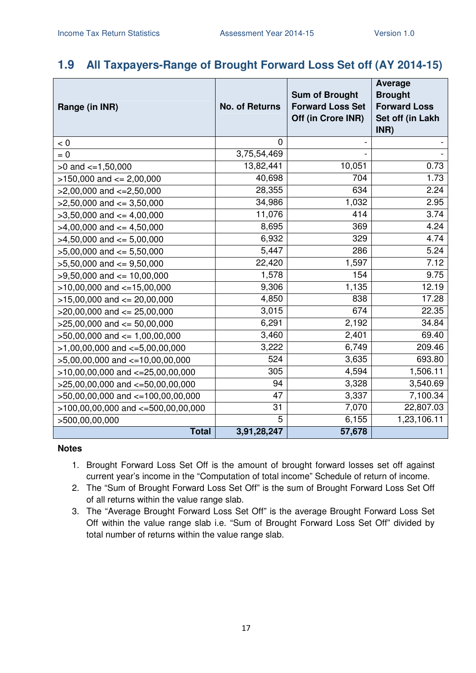### **1.9 All Taxpayers-Range of Brought Forward Loss Set off (AY 2014-15)**

|                                      |                       | <b>Sum of Brought</b>                         | <b>Average</b><br><b>Brought</b>        |
|--------------------------------------|-----------------------|-----------------------------------------------|-----------------------------------------|
| Range (in INR)                       | <b>No. of Returns</b> | <b>Forward Loss Set</b><br>Off (in Crore INR) | <b>Forward Loss</b><br>Set off (in Lakh |
|                                      |                       |                                               | INR)                                    |
| < 0                                  | $\Omega$              |                                               |                                         |
| $= 0$                                | 3,75,54,469           |                                               |                                         |
| $>0$ and $\lt=1,50,000$              | 13,82,441             | 10,051                                        | 0.73                                    |
| $>150,000$ and $<= 2,00,000$         | 40,698                | 704                                           | 1.73                                    |
| $>2,00,000$ and $<=2,50,000$         | 28,355                | 634                                           | 2.24                                    |
| $>2,50,000$ and $<=3,50,000$         | 34,986                | 1,032                                         | 2.95                                    |
| $>3,50,000$ and $<=4,00,000$         | 11,076                | 414                                           | 3.74                                    |
| $>4,00,000$ and $\leq 4,50,000$      | 8,695                 | 369                                           | 4.24                                    |
| $>4,50,000$ and $<= 5,00,000$        | 6,932                 | 329                                           | 4.74                                    |
| $>5,00,000$ and $<= 5,50,000$        | 5,447                 | 286                                           | 5.24                                    |
| $>5,50,000$ and $<=9,50,000$         | 22,420                | 1,597                                         | 7.12                                    |
| $>9,50,000$ and $<= 10,00,000$       | 1,578                 | 154                                           | 9.75                                    |
| $>10,00,000$ and $<-15,00,000$       | 9,306                 | 1,135                                         | 12.19                                   |
| $>15,00,000$ and $<= 20,00,000$      | 4,850                 | 838                                           | 17.28                                   |
| $>20,00,000$ and $<= 25,00,000$      | 3,015                 | 674                                           | 22.35                                   |
| $>25,00,000$ and $<= 50,00,000$      | 6,291                 | 2,192                                         | 34.84                                   |
| $>50,00,000$ and $<= 1,00,00,000$    | 3,460                 | 2,401                                         | 69.40                                   |
| $>1,00,00,000$ and $\lt=5,00,00,000$ | 3,222                 | 6,749                                         | 209.46                                  |
| $>5,00,00,000$ and $<=10,00,00,000$  | 524                   | 3,635                                         | 693.80                                  |
| $>10,00,00,000$ and $<=25,00,00,000$ | 305                   | 4,594                                         | 1,506.11                                |
| $>25,00,00,000$ and $<=50,00,00,000$ | 94                    | 3,328                                         | 3,540.69                                |
| >50,00,00,000 and <=100,00,00,000    | 47                    | 3,337                                         | 7,100.34                                |
| >100,00,00,000 and <=500,00,00,000   | 31                    | 7,070                                         | 22,807.03                               |
| >500,00,00,000                       | 5                     | 6,155                                         | 1,23,106.11                             |
| <b>Total</b>                         | 3,91,28,247           | 57,678                                        |                                         |

- 1. Brought Forward Loss Set Off is the amount of brought forward losses set off against current year's income in the "Computation of total income" Schedule of return of income.
- 2. The "Sum of Brought Forward Loss Set Off" is the sum of Brought Forward Loss Set Off of all returns within the value range slab.
- 3. The "Average Brought Forward Loss Set Off" is the average Brought Forward Loss Set Off within the value range slab i.e. "Sum of Brought Forward Loss Set Off" divided by total number of returns within the value range slab.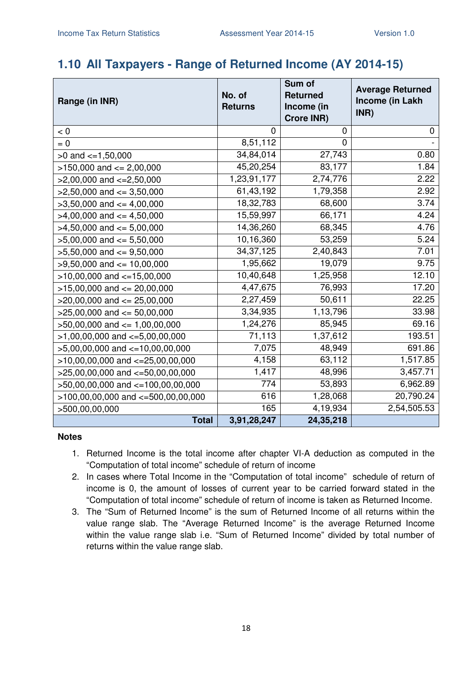### **1.10 All Taxpayers - Range of Returned Income (AY 2014-15)**

| Range (in INR)                         | No. of<br><b>Returns</b> | Sum of<br><b>Returned</b><br>Income (in<br><b>Crore INR)</b> | <b>Average Returned</b><br>Income (in Lakh<br>INR) |
|----------------------------------------|--------------------------|--------------------------------------------------------------|----------------------------------------------------|
| < 0                                    | 0                        | $\mathbf 0$                                                  | 0                                                  |
| $= 0$                                  | 8,51,112                 | 0                                                            |                                                    |
| $>0$ and $\lt=1,50,000$                | 34,84,014                | 27,743                                                       | 0.80                                               |
| $>150,000$ and $<= 2,00,000$           | 45,20,254                | 83,177                                                       | 1.84                                               |
| $>2,00,000$ and $\lt=2,50,000$         | 1,23,91,177              | 2,74,776                                                     | 2.22                                               |
| $>2,50,000$ and $<=3,50,000$           | 61,43,192                | 1,79,358                                                     | 2.92                                               |
| $>3,50,000$ and $<=4,00,000$           | 18,32,783                | 68,600                                                       | 3.74                                               |
| $>4,00,000$ and $\leq 4,50,000$        | 15,59,997                | 66,171                                                       | 4.24                                               |
| $>4,50,000$ and $<=5,00,000$           | 14,36,260                | 68,345                                                       | 4.76                                               |
| $>5,00,000$ and $<= 5,50,000$          | 10,16,360                | 53,259                                                       | 5.24                                               |
| $>5,50,000$ and $<=9,50,000$           | 34, 37, 125              | 2,40,843                                                     | 7.01                                               |
| $>9,50,000$ and $<= 10,00,000$         | 1,95,662                 | 19,079                                                       | 9.75                                               |
| $>10,00,000$ and $<-15,00,000$         | 10,40,648                | 1,25,958                                                     | 12.10                                              |
| $>15,00,000$ and $<= 20,00,000$        | 4,47,675                 | 76,993                                                       | 17.20                                              |
| $>20,00,000$ and $<= 25,00,000$        | 2,27,459                 | 50,611                                                       | 22.25                                              |
| $>25,00,000$ and $<= 50,00,000$        | 3,34,935                 | 1,13,796                                                     | 33.98                                              |
| $>50,00,000$ and $<= 1,00,00,000$      | 1,24,276                 | 85,945                                                       | 69.16                                              |
| $>1,00,00,000$ and $\lt=5,00,00,000$   | 71,113                   | 1,37,612                                                     | 193.51                                             |
| $>5,00,00,000$ and $\lt=10,00,00,000$  | 7,075                    | 48,949                                                       | 691.86                                             |
| $>10,00,00,000$ and $<-25,00,00,000$   | 4,158                    | 63,112                                                       | 1,517.85                                           |
| $>25,00,00,000$ and $<-50,00,00,000$   | 1,417                    | 48,996                                                       | 3,457.71                                           |
| >50,00,00,000 and <=100,00,00,000      | 774                      | 53,893                                                       | 6,962.89                                           |
| $>100,00,00,000$ and $<-500,00,00,000$ | 616                      | 1,28,068                                                     | 20,790.24                                          |
| >500,00,00,000                         | 165                      | 4,19,934                                                     | 2,54,505.53                                        |
| <b>Total</b>                           | 3,91,28,247              | 24,35,218                                                    |                                                    |

- 1. Returned Income is the total income after chapter VI-A deduction as computed in the "Computation of total income" schedule of return of income
- 2. In cases where Total Income in the "Computation of total income" schedule of return of income is 0, the amount of losses of current year to be carried forward stated in the "Computation of total income" schedule of return of income is taken as Returned Income.
- 3. The "Sum of Returned Income" is the sum of Returned Income of all returns within the value range slab. The "Average Returned Income" is the average Returned Income within the value range slab i.e. "Sum of Returned Income" divided by total number of returns within the value range slab.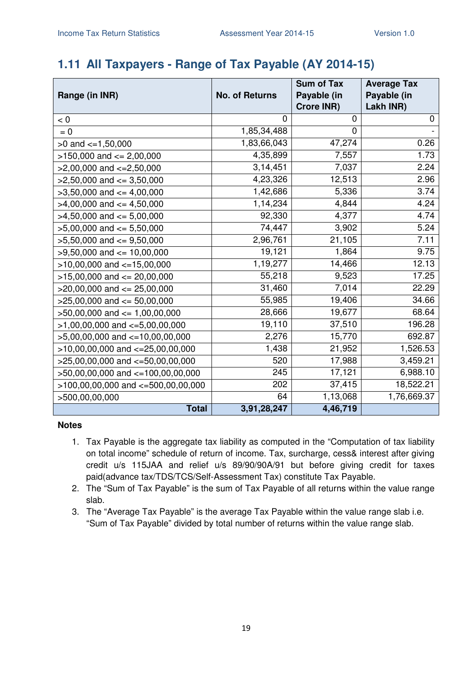## **1.11 All Taxpayers - Range of Tax Payable (AY 2014-15)**

|                                        |                       | <b>Sum of Tax</b> | <b>Average Tax</b> |
|----------------------------------------|-----------------------|-------------------|--------------------|
| Range (in INR)                         | <b>No. of Returns</b> | Payable (in       | Payable (in        |
|                                        |                       | <b>Crore INR)</b> | Lakh INR)          |
| < 0                                    | 0                     | 0                 | 0                  |
| $= 0$                                  | 1,85,34,488           | $\mathbf 0$       |                    |
| $>0$ and $\lt=1,50,000$                | 1,83,66,043           | 47,274            | 0.26               |
| $>150,000$ and $<= 2,00,000$           | 4,35,899              | 7,557             | 1.73               |
| $>2,00,000$ and $<=2,50,000$           | 3,14,451              | 7,037             | 2.24               |
| $>2,50,000$ and $<=3,50,000$           | 4,23,326              | 12,513            | 2.96               |
| $>3,50,000$ and $<=4,00,000$           | 1,42,686              | 5,336             | 3.74               |
| $>4,00,000$ and $\leq 4,50,000$        | 1,14,234              | 4,844             | 4.24               |
| $>4,50,000$ and $<= 5,00,000$          | 92,330                | 4,377             | 4.74               |
| $>5,00,000$ and $<= 5,50,000$          | 74,447                | 3,902             | 5.24               |
| $>5,50,000$ and $\leq 9,50,000$        | 2,96,761              | 21,105            | 7.11               |
| $>9,50,000$ and $<= 10,00,000$         | 19,121                | 1,864             | 9.75               |
| $>10,00,000$ and $<=15,00,000$         | 1,19,277              | 14,466            | 12.13              |
| $>15,00,000$ and $<= 20,00,000$        | 55,218                | 9,523             | 17.25              |
| $>20,00,000$ and $<= 25,00,000$        | 31,460                | 7,014             | 22.29              |
| $>25,00,000$ and $<= 50,00,000$        | 55,985                | 19,406            | 34.66              |
| $>50,00,000$ and $<= 1,00,00,000$      | 28,666                | 19,677            | 68.64              |
| $>1,00,00,000$ and $\lt=5,00,00,000$   | 19,110                | 37,510            | 196.28             |
| $>5,00,00,000$ and $\lt=10,00,00,000$  | 2,276                 | 15,770            | 692.87             |
| $>10,00,00,000$ and $<=25,00,00,000$   | 1,438                 | 21,952            | 1,526.53           |
| $>25,00,00,000$ and $<-50,00,00,000$   | 520                   | 17,988            | 3,459.21           |
| >50,00,00,000 and <=100,00,00,000      | 245                   | 17,121            | 6,988.10           |
| $>100,00,00,000$ and $<-500,00,00,000$ | 202                   | 37,415            | 18,522.21          |
| >500,00,00,000                         | 64                    | 1,13,068          | 1,76,669.37        |
| <b>Total</b>                           | 3,91,28,247           | 4,46,719          |                    |

- 1. Tax Payable is the aggregate tax liability as computed in the "Computation of tax liability on total income" schedule of return of income. Tax, surcharge, cess& interest after giving credit u/s 115JAA and relief u/s 89/90/90A/91 but before giving credit for taxes paid(advance tax/TDS/TCS/Self-Assessment Tax) constitute Tax Payable.
- 2. The "Sum of Tax Payable" is the sum of Tax Payable of all returns within the value range slab.
- 3. The "Average Tax Payable" is the average Tax Payable within the value range slab i.e. "Sum of Tax Payable" divided by total number of returns within the value range slab.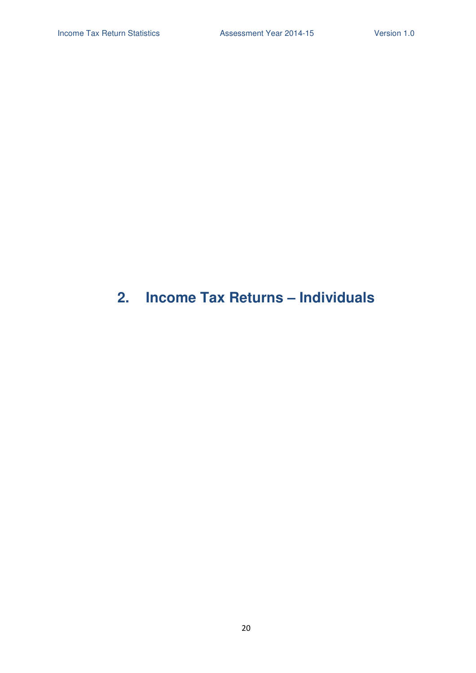# **2. Income Tax Returns – Individuals**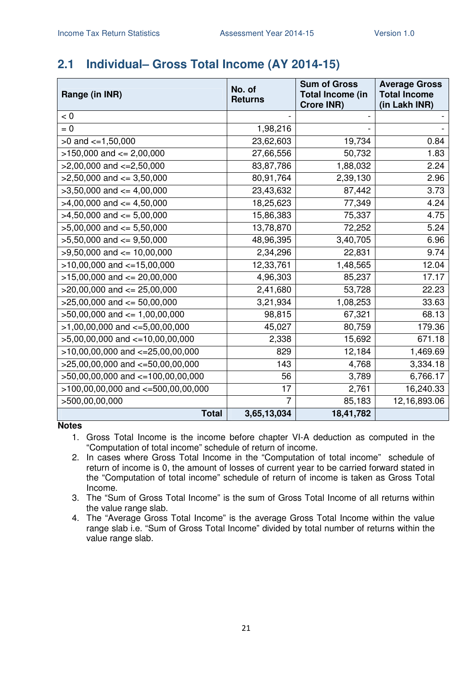# **2.1 Individual– Gross Total Income (AY 2014-15)**

| Range (in INR)                         | No. of<br><b>Returns</b> | <b>Sum of Gross</b><br><b>Total Income (in</b><br><b>Crore INR)</b> | <b>Average Gross</b><br><b>Total Income</b><br>(in Lakh INR) |
|----------------------------------------|--------------------------|---------------------------------------------------------------------|--------------------------------------------------------------|
| < 0                                    |                          |                                                                     |                                                              |
| $= 0$                                  | 1,98,216                 |                                                                     |                                                              |
| $>0$ and $\lt=1,50,000$                | 23,62,603                | 19,734                                                              | 0.84                                                         |
| $>150,000$ and $<= 2,00,000$           | 27,66,556                | 50,732                                                              | 1.83                                                         |
| $>2,00,000$ and $\lt=2,50,000$         | 83,87,786                | 1,88,032                                                            | 2.24                                                         |
| $>2,50,000$ and $<=3,50,000$           | 80,91,764                | 2,39,130                                                            | 2.96                                                         |
| $>3,50,000$ and $<=4,00,000$           | 23,43,632                | 87,442                                                              | 3.73                                                         |
| $>4,00,000$ and $\leq 4,50,000$        | 18,25,623                | 77,349                                                              | 4.24                                                         |
| $>4,50,000$ and $\leq 5,00,000$        | 15,86,383                | 75,337                                                              | 4.75                                                         |
| $>5,00,000$ and $<= 5,50,000$          | 13,78,870                | 72,252                                                              | 5.24                                                         |
| $>5,50,000$ and $<=9,50,000$           | 48,96,395                | 3,40,705                                                            | 6.96                                                         |
| $>9,50,000$ and $<= 10,00,000$         | 2,34,296                 | 22,831                                                              | 9.74                                                         |
| $>10,00,000$ and $<=15,00,000$         | 12,33,761                | 1,48,565                                                            | 12.04                                                        |
| $>15,00,000$ and $<= 20,00,000$        | 4,96,303                 | 85,237                                                              | 17.17                                                        |
| $>20,00,000$ and $<= 25,00,000$        | 2,41,680                 | 53,728                                                              | 22.23                                                        |
| $>25,00,000$ and $<= 50,00,000$        | 3,21,934                 | 1,08,253                                                            | 33.63                                                        |
| $>50,00,000$ and $<= 1,00,00,000$      | 98,815                   | 67,321                                                              | 68.13                                                        |
| $>1,00,00,000$ and $\lt=5,00,00,000$   | 45,027                   | 80,759                                                              | 179.36                                                       |
| $>5,00,00,000$ and $<=10,00,00,000$    | 2,338                    | 15,692                                                              | 671.18                                                       |
| $>10,00,00,000$ and $<=25,00,00,000$   | 829                      | 12,184                                                              | 1,469.69                                                     |
| $>25,00,00,000$ and $<=50,00,00,000$   | 143                      | 4,768                                                               | 3,334.18                                                     |
| >50,00,00,000 and <=100,00,00,000      | 56                       | 3,789                                                               | 6,766.17                                                     |
| $>100,00,00,000$ and $<=500,00,00,000$ | 17                       | 2,761                                                               | 16,240.33                                                    |
| >500,00,00,000                         | $\overline{7}$           | 85,183                                                              | 12,16,893.06                                                 |
| <b>Total</b>                           | 3,65,13,034              | 18,41,782                                                           |                                                              |

- 1. Gross Total Income is the income before chapter VI-A deduction as computed in the "Computation of total income" schedule of return of income.
- 2. In cases where Gross Total Income in the "Computation of total income" schedule of return of income is 0, the amount of losses of current year to be carried forward stated in the "Computation of total income" schedule of return of income is taken as Gross Total Income.
- 3. The "Sum of Gross Total Income" is the sum of Gross Total Income of all returns within the value range slab.
- 4. The "Average Gross Total Income" is the average Gross Total Income within the value range slab i.e. "Sum of Gross Total Income" divided by total number of returns within the value range slab.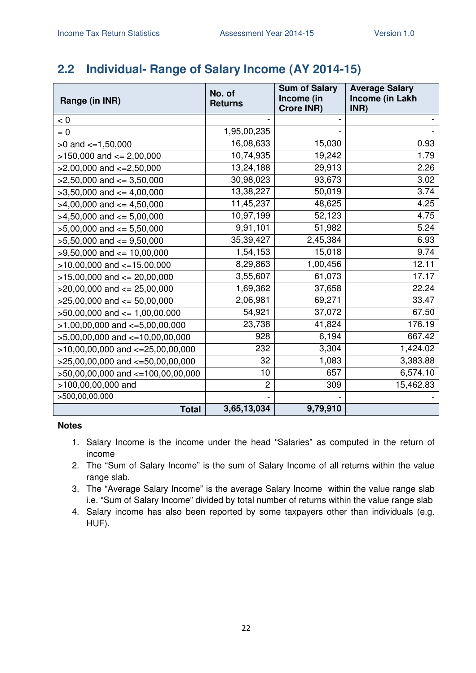# **2.2 Individual- Range of Salary Income (AY 2014-15)**

| Range (in INR)                       | No. of<br><b>Returns</b> | <b>Sum of Salary</b><br>Income (in<br><b>Crore INR)</b> | <b>Average Salary</b><br>Income (in Lakh<br>INR) |
|--------------------------------------|--------------------------|---------------------------------------------------------|--------------------------------------------------|
| < 0                                  |                          |                                                         |                                                  |
| $= 0$                                | 1,95,00,235              |                                                         |                                                  |
| $>0$ and $\lt=1,50,000$              | 16,08,633                | 15,030                                                  | 0.93                                             |
| $>150,000$ and $<= 2,00,000$         | 10,74,935                | 19,242                                                  | 1.79                                             |
| $>2,00,000$ and $\lt=2,50,000$       | 13,24,188                | 29,913                                                  | 2.26                                             |
| $>2,50,000$ and $\leq$ 3,50,000      | 30,98,023                | 93,673                                                  | 3.02                                             |
| $>3,50,000$ and $<=4,00,000$         | 13,38,227                | 50,019                                                  | 3.74                                             |
| $>4,00,000$ and $\leq 4,50,000$      | 11,45,237                | 48,625                                                  | 4.25                                             |
| $>4,50,000$ and $\leq 5,00,000$      | 10,97,199                | 52,123                                                  | 4.75                                             |
| $>5,00,000$ and $<= 5,50,000$        | 9,91,101                 | 51,982                                                  | 5.24                                             |
| $>5,50,000$ and $<=9,50,000$         | 35,39,427                | 2,45,384                                                | 6.93                                             |
| $>9,50,000$ and $<= 10,00,000$       | 1,54,153                 | 15,018                                                  | 9.74                                             |
| $>10,00,000$ and $<-15,00,000$       | 8,29,863                 | 1,00,456                                                | 12.11                                            |
| $>15,00,000$ and $<= 20,00,000$      | 3,55,607                 | 61,073                                                  | 17.17                                            |
| $>20,00,000$ and $<= 25,00,000$      | 1,69,362                 | 37,658                                                  | 22.24                                            |
| $>25,00,000$ and $<= 50,00,000$      | 2,06,981                 | 69,271                                                  | 33.47                                            |
| $>50,00,000$ and $\leq 1,00,00,000$  | 54,921                   | 37,072                                                  | 67.50                                            |
| $>1,00,00,000$ and $\lt=5,00,00,000$ | 23,738                   | 41,824                                                  | 176.19                                           |
| $>5,00,00,000$ and $<-10,00,00,000$  | 928                      | 6,194                                                   | 667.42                                           |
| $>10,00,00,000$ and $<=25,00,00,000$ | 232                      | 3,304                                                   | 1,424.02                                         |
| $>25,00,00,000$ and $<-50,00,00,000$ | 32                       | 1,083                                                   | 3,383.88                                         |
| >50,00,00,000 and <=100,00,00,000    | 10                       | 657                                                     | 6,574.10                                         |
| >100,00,00,000 and                   | $\overline{2}$           | 309                                                     | 15,462.83                                        |
| >500,00,00,000                       |                          |                                                         |                                                  |
| <b>Total</b>                         | 3,65,13,034              | 9,79,910                                                |                                                  |

- 1. Salary Income is the income under the head "Salaries" as computed in the return of income
- 2. The "Sum of Salary Income" is the sum of Salary Income of all returns within the value range slab.
- 3. The "Average Salary Income" is the average Salary Income within the value range slab i.e. "Sum of Salary Income" divided by total number of returns within the value range slab
- 4. Salary income has also been reported by some taxpayers other than individuals (e.g. HUF).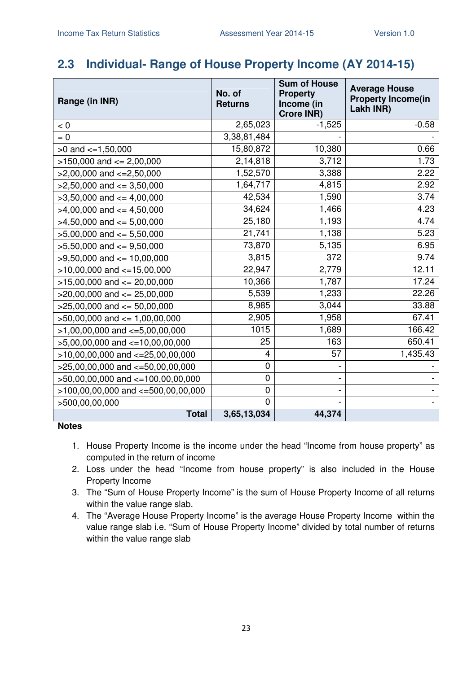### **2.3 Individual- Range of House Property Income (AY 2014-15)**

| Range (in INR)                         | No. of<br><b>Returns</b> | <b>Sum of House</b><br><b>Property</b><br>Income (in<br>Crore INR) | <b>Average House</b><br><b>Property Income(in</b><br>Lakh INR) |
|----------------------------------------|--------------------------|--------------------------------------------------------------------|----------------------------------------------------------------|
| < 0                                    | 2,65,023                 | $-1,525$                                                           | $-0.58$                                                        |
| $= 0$                                  | 3,38,81,484              |                                                                    |                                                                |
| $>0$ and $\leq$ =1,50,000              | 15,80,872                | 10,380                                                             | 0.66                                                           |
| $>150,000$ and $<= 2,00,000$           | 2,14,818                 | 3,712                                                              | 1.73                                                           |
| $>2,00,000$ and $\lt=2,50,000$         | 1,52,570                 | 3,388                                                              | 2.22                                                           |
| $>2,50,000$ and $<=3,50,000$           | 1,64,717                 | 4,815                                                              | 2.92                                                           |
| $>3,50,000$ and $\leq 4,00,000$        | 42,534                   | 1,590                                                              | 3.74                                                           |
| $>4,00,000$ and $\leq 4,50,000$        | 34,624                   | 1,466                                                              | 4.23                                                           |
| $>4,50,000$ and $\leq 5,00,000$        | 25,180                   | 1,193                                                              | 4.74                                                           |
| $>5,00,000$ and $<= 5,50,000$          | 21,741                   | 1,138                                                              | 5.23                                                           |
| $>5,50,000$ and $<=9,50,000$           | 73,870                   | 5,135                                                              | 6.95                                                           |
| $>9,50,000$ and $\leq 10,00,000$       | 3,815                    | 372                                                                | 9.74                                                           |
| $>10,00,000$ and $<-15,00,000$         | 22,947                   | 2,779                                                              | 12.11                                                          |
| $>15,00,000$ and $<= 20,00,000$        | 10,366                   | 1,787                                                              | 17.24                                                          |
| $>20,00,000$ and $<= 25,00,000$        | 5,539                    | 1,233                                                              | 22.26                                                          |
| $>25,00,000$ and $<= 50,00,000$        | 8,985                    | 3,044                                                              | 33.88                                                          |
| $>50,00,000$ and $\leq 1,00,00,000$    | 2,905                    | 1,958                                                              | 67.41                                                          |
| $>1,00,00,000$ and $\lt=5,00,00,000$   | 1015                     | 1,689                                                              | 166.42                                                         |
| $>5,00,00,000$ and $\lt=10,00,00,000$  | 25                       | 163                                                                | 650.41                                                         |
| $>10,00,00,000$ and $<=25,00,00,000$   | 4                        | 57                                                                 | 1,435.43                                                       |
| >25,00,00,000 and <=50,00,00,000       | $\mathbf 0$              |                                                                    |                                                                |
| >50,00,00,000 and <=100,00,00,000      | $\mathbf 0$              |                                                                    |                                                                |
| $>100,00,00,000$ and $<=500,00,00,000$ | $\mathbf 0$              |                                                                    |                                                                |
| >500,00,00,000                         | $\Omega$                 |                                                                    |                                                                |
| <b>Total</b>                           | 3,65,13,034              | 44,374                                                             |                                                                |

- 1. House Property Income is the income under the head "Income from house property" as computed in the return of income
- 2. Loss under the head "Income from house property" is also included in the House Property Income
- 3. The "Sum of House Property Income" is the sum of House Property Income of all returns within the value range slab.
- 4. The "Average House Property Income" is the average House Property Income within the value range slab i.e. "Sum of House Property Income" divided by total number of returns within the value range slab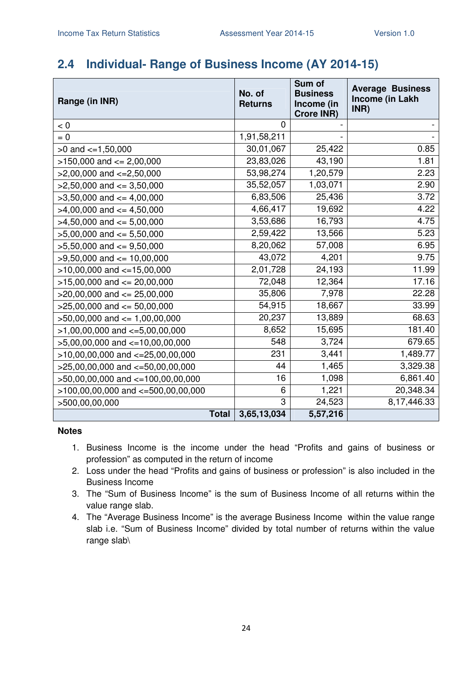### **2.4 Individual- Range of Business Income (AY 2014-15)**

| Range (in INR)                         |              | No. of<br><b>Returns</b> | Sum of<br><b>Business</b><br>Income (in<br><b>Crore INR)</b> | <b>Average Business</b><br>Income (in Lakh<br>INR) |
|----------------------------------------|--------------|--------------------------|--------------------------------------------------------------|----------------------------------------------------|
| < 0                                    |              | $\overline{0}$           |                                                              |                                                    |
| $= 0$                                  |              | 1,91,58,211              |                                                              |                                                    |
| $>0$ and $\lt=1,50,000$                |              | 30,01,067                | 25,422                                                       | 0.85                                               |
| $>150,000$ and $<= 2,00,000$           |              | 23,83,026                | 43,190                                                       | 1.81                                               |
| $>2,00,000$ and $<=2,50,000$           |              | 53,98,274                | 1,20,579                                                     | 2.23                                               |
| $>2,50,000$ and $<=3,50,000$           |              | 35,52,057                | 1,03,071                                                     | 2.90                                               |
| $>3,50,000$ and $<=4,00,000$           |              | 6,83,506                 | 25,436                                                       | 3.72                                               |
| $>4,00,000$ and $<=4,50,000$           |              | 4,66,417                 | 19,692                                                       | 4.22                                               |
| $>4,50,000$ and $<=5,00,000$           |              | 3,53,686                 | 16,793                                                       | 4.75                                               |
| $>5,00,000$ and $<= 5,50,000$          |              | 2,59,422                 | 13,566                                                       | 5.23                                               |
| $>5,50,000$ and $<=9,50,000$           |              | 8,20,062                 | 57,008                                                       | 6.95                                               |
| $>9,50,000$ and $<= 10,00,000$         |              | 43,072                   | 4,201                                                        | 9.75                                               |
| $>10,00,000$ and $<-15,00,000$         |              | 2,01,728                 | 24,193                                                       | 11.99                                              |
| $>15,00,000$ and $<= 20,00,000$        |              | 72,048                   | 12,364                                                       | 17.16                                              |
| $>20,00,000$ and $<= 25,00,000$        |              | 35,806                   | 7,978                                                        | 22.28                                              |
| $>25,00,000$ and $<= 50,00,000$        |              | 54,915                   | 18,667                                                       | 33.99                                              |
| $>50,00,000$ and $\leq 1,00,00,000$    |              | 20,237                   | 13,889                                                       | 68.63                                              |
| $>1,00,00,000$ and $\lt=5,00,00,000$   |              | 8,652                    | 15,695                                                       | 181.40                                             |
| $>5,00,00,000$ and $\lt=10,00,00,000$  |              | 548                      | 3,724                                                        | 679.65                                             |
| $>10,00,00,000$ and $<=25,00,00,000$   |              | 231                      | 3,441                                                        | 1,489.77                                           |
| $>25,00,00,000$ and $<-50,00,00,000$   |              | 44                       | 1,465                                                        | 3,329.38                                           |
| >50,00,00,000 and <=100,00,00,000      |              | 16                       | 1,098                                                        | 6,861.40                                           |
| $>100,00,00,000$ and $<-500,00,00,000$ |              | 6                        | 1,221                                                        | 20,348.34                                          |
| >500,00,00,000                         |              | 3                        | 24,523                                                       | 8,17,446.33                                        |
|                                        | <b>Total</b> | 3,65,13,034              | 5,57,216                                                     |                                                    |

- 1. Business Income is the income under the head "Profits and gains of business or profession" as computed in the return of income
- 2. Loss under the head "Profits and gains of business or profession" is also included in the Business Income
- 3. The "Sum of Business Income" is the sum of Business Income of all returns within the value range slab.
- 4. The "Average Business Income" is the average Business Income within the value range slab i.e. "Sum of Business Income" divided by total number of returns within the value range slab\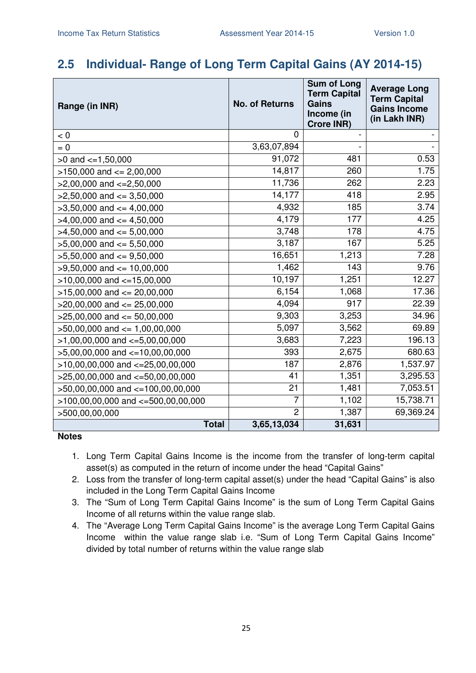## **2.5 Individual- Range of Long Term Capital Gains (AY 2014-15)**

| Range (in INR)                         | <b>No. of Returns</b> | <b>Sum of Long</b><br><b>Term Capital</b><br><b>Gains</b><br>Income (in<br><b>Crore INR)</b> | <b>Average Long</b><br><b>Term Capital</b><br><b>Gains Income</b><br>(in Lakh INR) |
|----------------------------------------|-----------------------|----------------------------------------------------------------------------------------------|------------------------------------------------------------------------------------|
| < 0                                    | $\mathbf 0$           |                                                                                              |                                                                                    |
| $= 0$                                  | 3,63,07,894           |                                                                                              |                                                                                    |
| $>0$ and $\lt=1,50,000$                | 91,072                | 481                                                                                          | 0.53                                                                               |
| $>150,000$ and $<= 2,00,000$           | 14,817                | 260                                                                                          | 1.75                                                                               |
| $>2,00,000$ and $<=2,50,000$           | 11,736                | 262                                                                                          | 2.23                                                                               |
| $>2,50,000$ and $<=3,50,000$           | 14,177                | 418                                                                                          | 2.95                                                                               |
| $>3,50,000$ and $<=4,00,000$           | 4,932                 | 185                                                                                          | 3.74                                                                               |
| $>4,00,000$ and $\leq 4,50,000$        | 4,179                 | 177                                                                                          | 4.25                                                                               |
| $>4,50,000$ and $<= 5,00,000$          | 3,748                 | 178                                                                                          | 4.75                                                                               |
| $>5,00,000$ and $<= 5,50,000$          | 3,187                 | 167                                                                                          | 5.25                                                                               |
| $>5,50,000$ and $<=9,50,000$           | 16,651                | 1,213                                                                                        | 7.28                                                                               |
| $>9,50,000$ and $<= 10,00,000$         | 1,462                 | 143                                                                                          | 9.76                                                                               |
| $>10,00,000$ and $<-15,00,000$         | 10, 197               | 1,251                                                                                        | 12.27                                                                              |
| $>15,00,000$ and $<= 20,00,000$        | 6,154                 | 1,068                                                                                        | 17.36                                                                              |
| $>20,00,000$ and $<= 25,00,000$        | 4,094                 | 917                                                                                          | 22.39                                                                              |
| $>25,00,000$ and $<= 50,00,000$        | 9,303                 | 3,253                                                                                        | 34.96                                                                              |
| $>50,00,000$ and $\leq 1,00,00,000$    | 5,097                 | 3,562                                                                                        | 69.89                                                                              |
| $>1,00,00,000$ and $\lt=5,00,00,000$   | 3,683                 | 7,223                                                                                        | 196.13                                                                             |
| >5,00,00,000 and <=10,00,00,000        | 393                   | 2,675                                                                                        | 680.63                                                                             |
| $>10,00,00,000$ and $<=25,00,00,000$   | 187                   | 2,876                                                                                        | 1,537.97                                                                           |
| >25,00,00,000 and <= 50,00,00,000      | 41                    | 1,351                                                                                        | 3,295.53                                                                           |
| >50,00,00,000 and <=100,00,00,000      | 21                    | 1,481                                                                                        | 7,053.51                                                                           |
| $>100,00,00,000$ and $<=500,00,00,000$ | 7                     | 1,102                                                                                        | 15,738.71                                                                          |
| >500,00,00,000                         | $\overline{2}$        | 1,387                                                                                        | 69,369.24                                                                          |
| <b>Total</b>                           | 3,65,13,034           | 31,631                                                                                       |                                                                                    |

- 1. Long Term Capital Gains Income is the income from the transfer of long-term capital asset(s) as computed in the return of income under the head "Capital Gains"
- 2. Loss from the transfer of long-term capital asset(s) under the head "Capital Gains" is also included in the Long Term Capital Gains Income
- 3. The "Sum of Long Term Capital Gains Income" is the sum of Long Term Capital Gains Income of all returns within the value range slab.
- 4. The "Average Long Term Capital Gains Income" is the average Long Term Capital Gains Income within the value range slab i.e. "Sum of Long Term Capital Gains Income" divided by total number of returns within the value range slab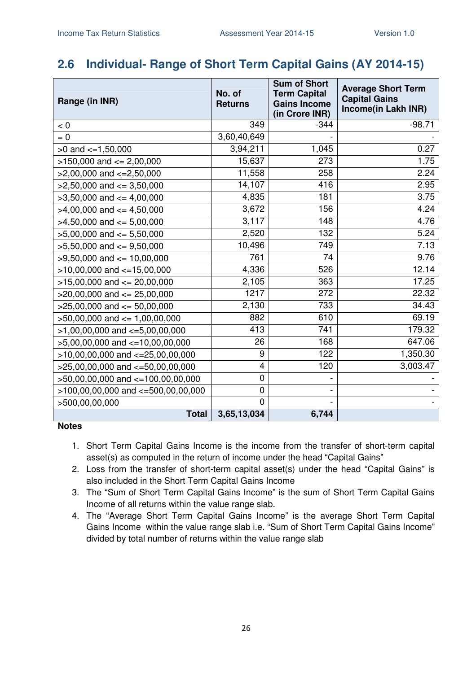# **2.6 Individual- Range of Short Term Capital Gains (AY 2014-15)**

| Range (in INR)                         | No. of<br><b>Returns</b> | <b>Sum of Short</b><br><b>Term Capital</b><br><b>Gains Income</b><br>(in Crore INR) | <b>Average Short Term</b><br><b>Capital Gains</b><br>Income(in Lakh INR) |
|----------------------------------------|--------------------------|-------------------------------------------------------------------------------------|--------------------------------------------------------------------------|
| < 0                                    | 349                      | $-344$                                                                              | $-98.71$                                                                 |
| $= 0$                                  | 3,60,40,649              |                                                                                     |                                                                          |
| $>0$ and $\lt=1,50,000$                | 3,94,211                 | 1,045                                                                               | 0.27                                                                     |
| $>150,000$ and $<= 2,00,000$           | 15,637                   | 273                                                                                 | 1.75                                                                     |
| $>2,00,000$ and $<=2,50,000$           | 11,558                   | 258                                                                                 | 2.24                                                                     |
| $>2,50,000$ and $<=3,50,000$           | 14,107                   | 416                                                                                 | 2.95                                                                     |
| $>3,50,000$ and $<=4,00,000$           | 4,835                    | 181                                                                                 | 3.75                                                                     |
| $>4,00,000$ and $\leq 4,50,000$        | 3,672                    | 156                                                                                 | 4.24                                                                     |
| $>4,50,000$ and $<=5,00,000$           | 3,117                    | 148                                                                                 | 4.76                                                                     |
| $>5,00,000$ and $<= 5,50,000$          | 2,520                    | 132                                                                                 | 5.24                                                                     |
| $>5,50,000$ and $<=9,50,000$           | 10,496                   | 749                                                                                 | 7.13                                                                     |
| $>9,50,000$ and $\leq 10,00,000$       | 761                      | 74                                                                                  | 9.76                                                                     |
| $>10,00,000$ and $<-15,00,000$         | 4,336                    | 526                                                                                 | 12.14                                                                    |
| $>15,00,000$ and $<= 20,00,000$        | 2,105                    | 363                                                                                 | 17.25                                                                    |
| $>20,00,000$ and $<= 25,00,000$        | 1217                     | 272                                                                                 | 22.32                                                                    |
| $>25,00,000$ and $<= 50,00,000$        | 2,130                    | 733                                                                                 | 34.43                                                                    |
| $>50,00,000$ and $<= 1,00,00,000$      | 882                      | 610                                                                                 | 69.19                                                                    |
| $>1,00,00,000$ and $\lt=5,00,00,000$   | 413                      | 741                                                                                 | 179.32                                                                   |
| $>5,00,00,000$ and $<=10,00,00,000$    | 26                       | 168                                                                                 | 647.06                                                                   |
| $>10,00,00,000$ and $<=25,00,00,000$   | 9                        | 122                                                                                 | 1,350.30                                                                 |
| >25,00,00,000 and <= 50,00,00,000      | 4                        | 120                                                                                 | 3,003.47                                                                 |
| $>50,00,00,000$ and $<=100,00,00,000$  | $\mathbf 0$              |                                                                                     |                                                                          |
| $>100,00,00,000$ and $<-500,00,00,000$ | $\mathbf 0$              |                                                                                     |                                                                          |
| >500,00,00,000                         | $\overline{0}$           |                                                                                     |                                                                          |
| <b>Total</b>                           | 3,65,13,034              | 6,744                                                                               |                                                                          |

- 1. Short Term Capital Gains Income is the income from the transfer of short-term capital asset(s) as computed in the return of income under the head "Capital Gains"
- 2. Loss from the transfer of short-term capital asset(s) under the head "Capital Gains" is also included in the Short Term Capital Gains Income
- 3. The "Sum of Short Term Capital Gains Income" is the sum of Short Term Capital Gains Income of all returns within the value range slab.
- 4. The "Average Short Term Capital Gains Income" is the average Short Term Capital Gains Income within the value range slab i.e. "Sum of Short Term Capital Gains Income" divided by total number of returns within the value range slab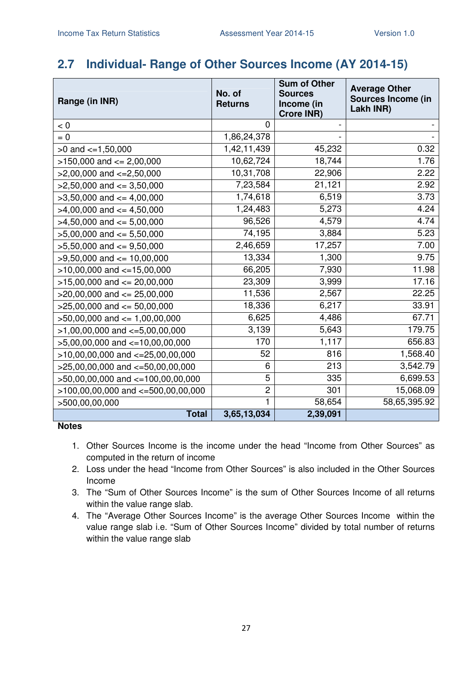## **2.7 Individual- Range of Other Sources Income (AY 2014-15)**

| Range (in INR)                         | No. of<br><b>Returns</b> | <b>Sum of Other</b><br><b>Sources</b><br>Income (in<br>Crore INR) | <b>Average Other</b><br><b>Sources Income (in</b><br>Lakh INR) |
|----------------------------------------|--------------------------|-------------------------------------------------------------------|----------------------------------------------------------------|
| < 0                                    | $\Omega$                 |                                                                   |                                                                |
| $= 0$                                  | 1,86,24,378              |                                                                   |                                                                |
| $>0$ and $\lt=1,50,000$                | 1,42,11,439              | 45,232                                                            | 0.32                                                           |
| $>150,000$ and $<= 2,00,000$           | 10,62,724                | 18,744                                                            | 1.76                                                           |
| $>2,00,000$ and $\lt=2,50,000$         | 10,31,708                | 22,906                                                            | 2.22                                                           |
| $>2,50,000$ and $<=3,50,000$           | 7,23,584                 | 21,121                                                            | 2.92                                                           |
| $>3,50,000$ and $<=4,00,000$           | 1,74,618                 | 6,519                                                             | 3.73                                                           |
| $>4,00,000$ and $<=4,50,000$           | 1,24,483                 | 5,273                                                             | 4.24                                                           |
| $>4,50,000$ and $<=5,00,000$           | 96,526                   | 4,579                                                             | 4.74                                                           |
| $>5,00,000$ and $<= 5,50,000$          | 74,195                   | 3,884                                                             | 5.23                                                           |
| $>5,50,000$ and $<=9,50,000$           | 2,46,659                 | 17,257                                                            | 7.00                                                           |
| $>9,50,000$ and $\leq 10,00,000$       | 13,334                   | 1,300                                                             | 9.75                                                           |
| $>10,00,000$ and $<=15,00,000$         | 66,205                   | 7,930                                                             | 11.98                                                          |
| $>15,00,000$ and $<= 20,00,000$        | 23,309                   | 3,999                                                             | 17.16                                                          |
| $>20,00,000$ and $<= 25,00,000$        | 11,536                   | 2,567                                                             | 22.25                                                          |
| $>25,00,000$ and $<= 50,00,000$        | 18,336                   | 6,217                                                             | 33.91                                                          |
| $>50,00,000$ and $\leq 1,00,00,000$    | 6,625                    | 4,486                                                             | 67.71                                                          |
| $>1,00,00,000$ and $\lt=5,00,00,000$   | 3,139                    | 5,643                                                             | 179.75                                                         |
| $>5,00,00,000$ and $\lt=10,00,00,000$  | 170                      | 1,117                                                             | 656.83                                                         |
| $>10,00,00,000$ and $<-25,00,00,000$   | 52                       | 816                                                               | 1,568.40                                                       |
| >25,00,00,000 and <= 50,00,00,000      | 6                        | 213                                                               | 3,542.79                                                       |
| $>50,00,00,000$ and $<=100,00,00,000$  | 5                        | 335                                                               | 6,699.53                                                       |
| $>100,00,00,000$ and $<-500,00,00,000$ | $\overline{c}$           | 301                                                               | 15,068.09                                                      |
| >500,00,00,000                         | 1                        | 58,654                                                            | 58,65,395.92                                                   |
| <b>Total</b>                           | 3,65,13,034              | 2,39,091                                                          |                                                                |

- 1. Other Sources Income is the income under the head "Income from Other Sources" as computed in the return of income
- 2. Loss under the head "Income from Other Sources" is also included in the Other Sources Income
- 3. The "Sum of Other Sources Income" is the sum of Other Sources Income of all returns within the value range slab.
- 4. The "Average Other Sources Income" is the average Other Sources Income within the value range slab i.e. "Sum of Other Sources Income" divided by total number of returns within the value range slab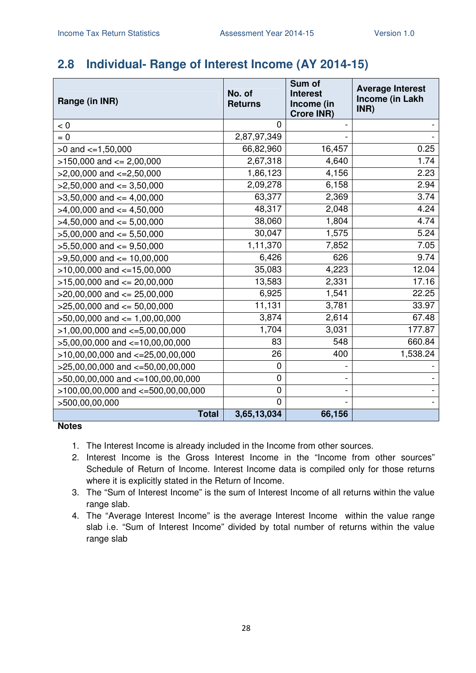### **2.8 Individual- Range of Interest Income (AY 2014-15)**

| Range (in INR)                           | No. of<br><b>Returns</b> | Sum of<br><b>Interest</b><br>Income (in<br><b>Crore INR)</b> | <b>Average Interest</b><br>Income (in Lakh<br>INR) |
|------------------------------------------|--------------------------|--------------------------------------------------------------|----------------------------------------------------|
| < 0                                      | 0                        |                                                              |                                                    |
| $= 0$                                    | 2,87,97,349              |                                                              |                                                    |
| $>0$ and $\lt=1,50,000$                  | 66,82,960                | 16,457                                                       | 0.25                                               |
| $>150,000$ and $<= 2,00,000$             | 2,67,318                 | 4,640                                                        | 1.74                                               |
| $>2,00,000$ and $<=2,50,000$             | 1,86,123                 | 4,156                                                        | 2.23                                               |
| $>2,50,000$ and $<=3,50,000$             | 2,09,278                 | 6,158                                                        | 2.94                                               |
| $>3,50,000$ and $<=4,00,000$             | 63,377                   | 2,369                                                        | 3.74                                               |
| $>4,00,000$ and $\leq 4,50,000$          | 48,317                   | 2,048                                                        | 4.24                                               |
| $>4,50,000$ and $<=5,00,000$             | 38,060                   | 1,804                                                        | 4.74                                               |
| $>5,00,000$ and $<= 5,50,000$            | 30,047                   | 1,575                                                        | 5.24                                               |
| $>5,50,000$ and $<=9,50,000$             | 1,11,370                 | 7,852                                                        | 7.05                                               |
| $>9,50,000$ and $<= 10,00,000$           | 6,426                    | 626                                                          | 9.74                                               |
| $>10,00,000$ and $<-15,00,000$           | 35,083                   | 4,223                                                        | 12.04                                              |
| $>15,00,000$ and $<= 20,00,000$          | 13,583                   | 2,331                                                        | 17.16                                              |
| $>20,00,000$ and $<= 25,00,000$          | 6,925                    | 1,541                                                        | 22.25                                              |
| $>25,00,000$ and $<= 50,00,000$          | 11,131                   | 3,781                                                        | 33.97                                              |
| $>50,00,000$ and $\leq 1,00,00,000$      | 3,874                    | 2,614                                                        | 67.48                                              |
| $>1,00,00,000$ and $\lt=5,00,00,000$     | 1,704                    | 3,031                                                        | 177.87                                             |
| $>5,00,00,000$ and $<-10,00,00,000$      | 83                       | 548                                                          | 660.84                                             |
| $>10,00,00,000$ and $<-25,00,00,000$     | 26                       | 400                                                          | 1,538.24                                           |
| $>25,00,00,000$ and $<-50,00,00,000$     | $\mathbf 0$              |                                                              |                                                    |
| $>50,00,00,000$ and $<=100,00,00,000$    | 0                        |                                                              |                                                    |
| $>100,00,00,000$ and $\lt=500,00,00,000$ | 0                        |                                                              |                                                    |
| >500,00,00,000                           | $\mathbf{0}$             |                                                              |                                                    |
| <b>Total</b>                             | 3,65,13,034              | 66,156                                                       |                                                    |

- 1. The Interest Income is already included in the Income from other sources.
- 2. Interest Income is the Gross Interest Income in the "Income from other sources" Schedule of Return of Income. Interest Income data is compiled only for those returns where it is explicitly stated in the Return of Income.
- 3. The "Sum of Interest Income" is the sum of Interest Income of all returns within the value range slab.
- 4. The "Average Interest Income" is the average Interest Income within the value range slab i.e. "Sum of Interest Income" divided by total number of returns within the value range slab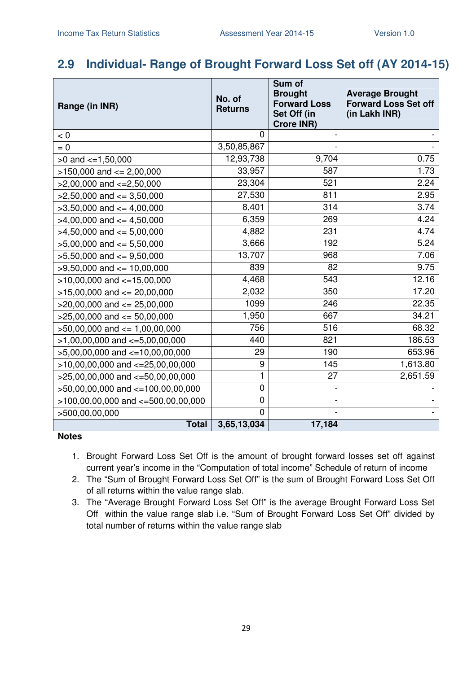### **2.9 Individual- Range of Brought Forward Loss Set off (AY 2014-15)**

| Range (in INR)                         | No. of<br><b>Returns</b> | Sum of<br><b>Brought</b><br><b>Forward Loss</b><br>Set Off (in<br><b>Crore INR)</b> | <b>Average Brought</b><br><b>Forward Loss Set off</b><br>(in Lakh INR) |
|----------------------------------------|--------------------------|-------------------------------------------------------------------------------------|------------------------------------------------------------------------|
| < 0                                    | 0                        |                                                                                     |                                                                        |
| $= 0$                                  | 3,50,85,867              |                                                                                     |                                                                        |
| $>0$ and $\lt=1,50,000$                | 12,93,738                | 9,704                                                                               | 0.75                                                                   |
| $>150,000$ and $<= 2,00,000$           | 33,957                   | 587                                                                                 | 1.73                                                                   |
| $>2,00,000$ and $<=2,50,000$           | 23,304                   | 521                                                                                 | 2.24                                                                   |
| $>2,50,000$ and $<=3,50,000$           | 27,530                   | 811                                                                                 | 2.95                                                                   |
| $>3,50,000$ and $<=4,00,000$           | 8,401                    | 314                                                                                 | 3.74                                                                   |
| $>4,00,000$ and $\leq 4,50,000$        | 6,359                    | 269                                                                                 | 4.24                                                                   |
| $>4,50,000$ and $<= 5,00,000$          | 4,882                    | 231                                                                                 | 4.74                                                                   |
| $>5,00,000$ and $<= 5,50,000$          | 3,666                    | 192                                                                                 | 5.24                                                                   |
| $>5,50,000$ and $<=9,50,000$           | 13,707                   | 968                                                                                 | 7.06                                                                   |
| $>9,50,000$ and $<= 10,00,000$         | 839                      | 82                                                                                  | 9.75                                                                   |
| $>10,00,000$ and $<-15,00,000$         | 4,468                    | 543                                                                                 | 12.16                                                                  |
| $>15,00,000$ and $<= 20,00,000$        | 2,032                    | 350                                                                                 | 17.20                                                                  |
| $>20,00,000$ and $<= 25,00,000$        | 1099                     | 246                                                                                 | 22.35                                                                  |
| $>25,00,000$ and $<= 50,00,000$        | 1,950                    | 667                                                                                 | 34.21                                                                  |
| $>50,00,000$ and $<= 1,00,00,000$      | 756                      | 516                                                                                 | 68.32                                                                  |
| $>1,00,00,000$ and $\lt=5,00,00,000$   | 440                      | 821                                                                                 | 186.53                                                                 |
| $>5,00,00,000$ and $<-10,00,00,000$    | 29                       | 190                                                                                 | 653.96                                                                 |
| $>10,00,00,000$ and $<=25,00,00,000$   | 9                        | 145                                                                                 | 1,613.80                                                               |
| $>25,00,00,000$ and $<-50,00,00,000$   | 1                        | 27                                                                                  | 2,651.59                                                               |
| >50,00,00,000 and <=100,00,00,000      | 0                        |                                                                                     |                                                                        |
| $>100,00,00,000$ and $<-500,00,00,000$ | 0                        | $\qquad \qquad \blacksquare$                                                        |                                                                        |
| >500,00,00,000                         | 0                        |                                                                                     |                                                                        |
| <b>Total</b>                           | 3,65,13,034              | 17,184                                                                              |                                                                        |

- 1. Brought Forward Loss Set Off is the amount of brought forward losses set off against current year's income in the "Computation of total income" Schedule of return of income
- 2. The "Sum of Brought Forward Loss Set Off" is the sum of Brought Forward Loss Set Off of all returns within the value range slab.
- 3. The "Average Brought Forward Loss Set Off" is the average Brought Forward Loss Set Off within the value range slab i.e. "Sum of Brought Forward Loss Set Off" divided by total number of returns within the value range slab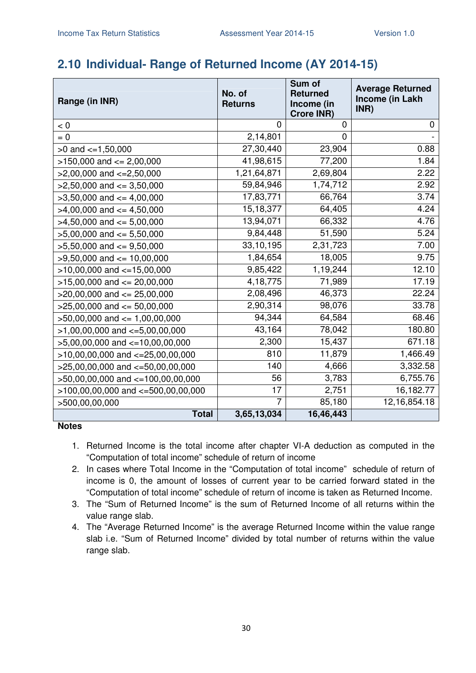### **2.10 Individual- Range of Returned Income (AY 2014-15)**

| Range (in INR)                         | No. of<br><b>Returns</b> | Sum of<br><b>Returned</b><br>Income (in<br><b>Crore INR)</b> | <b>Average Returned</b><br><b>Income (in Lakh</b><br>INR) |
|----------------------------------------|--------------------------|--------------------------------------------------------------|-----------------------------------------------------------|
| < 0                                    | 0                        | 0                                                            | 0                                                         |
| $= 0$                                  | 2,14,801                 | 0                                                            |                                                           |
| $>0$ and $\lt=1,50,000$                | 27,30,440                | 23,904                                                       | 0.88                                                      |
| $>150,000$ and $<= 2,00,000$           | 41,98,615                | 77,200                                                       | 1.84                                                      |
| $>2,00,000$ and $<=2,50,000$           | 1,21,64,871              | 2,69,804                                                     | 2.22                                                      |
| $>2,50,000$ and $<=3,50,000$           | 59,84,946                | 1,74,712                                                     | 2.92                                                      |
| $>3,50,000$ and $<=4,00,000$           | 17,83,771                | 66,764                                                       | 3.74                                                      |
| $>4,00,000$ and $<=4,50,000$           | 15,18,377                | 64,405                                                       | 4.24                                                      |
| $>4,50,000$ and $<=5,00,000$           | 13,94,071                | 66,332                                                       | 4.76                                                      |
| $>5,00,000$ and $<= 5,50,000$          | 9,84,448                 | 51,590                                                       | 5.24                                                      |
| $>5,50,000$ and $<=9,50,000$           | 33,10,195                | 2,31,723                                                     | 7.00                                                      |
| $>9,50,000$ and $\leq 10,00,000$       | 1,84,654                 | 18,005                                                       | 9.75                                                      |
| $>10,00,000$ and $<=15,00,000$         | 9,85,422                 | 1,19,244                                                     | 12.10                                                     |
| $>15,00,000$ and $<= 20,00,000$        | 4, 18, 775               | 71,989                                                       | 17.19                                                     |
| $>20,00,000$ and $<= 25,00,000$        | 2,08,496                 | 46,373                                                       | 22.24                                                     |
| $>25,00,000$ and $<= 50,00,000$        | 2,90,314                 | 98,076                                                       | 33.78                                                     |
| $>50,00,000$ and $\leq 1,00,00,000$    | 94,344                   | 64,584                                                       | 68.46                                                     |
| $>1,00,00,000$ and $\lt=5,00,00,000$   | 43,164                   | 78,042                                                       | 180.80                                                    |
| $>5,00,00,000$ and $\lt=10,00,00,000$  | 2,300                    | 15,437                                                       | 671.18                                                    |
| $>10,00,00,000$ and $<=25,00,00,000$   | 810                      | 11,879                                                       | 1,466.49                                                  |
| $>25,00,00,000$ and $<-50,00,00,000$   | 140                      | 4,666                                                        | 3,332.58                                                  |
| >50,00,00,000 and <=100,00,00,000      | 56                       | 3,783                                                        | 6,755.76                                                  |
| $>100,00,00,000$ and $<=500,00,00,000$ | 17                       | 2,751                                                        | 16,182.77                                                 |
| >500,00,00,000                         | $\overline{7}$           | 85,180                                                       | 12, 16, 854. 18                                           |
| <b>Total</b>                           | 3,65,13,034              | 16,46,443                                                    |                                                           |

- 1. Returned Income is the total income after chapter VI-A deduction as computed in the "Computation of total income" schedule of return of income
- 2. In cases where Total Income in the "Computation of total income" schedule of return of income is 0, the amount of losses of current year to be carried forward stated in the "Computation of total income" schedule of return of income is taken as Returned Income.
- 3. The "Sum of Returned Income" is the sum of Returned Income of all returns within the value range slab.
- 4. The "Average Returned Income" is the average Returned Income within the value range slab i.e. "Sum of Returned Income" divided by total number of returns within the value range slab.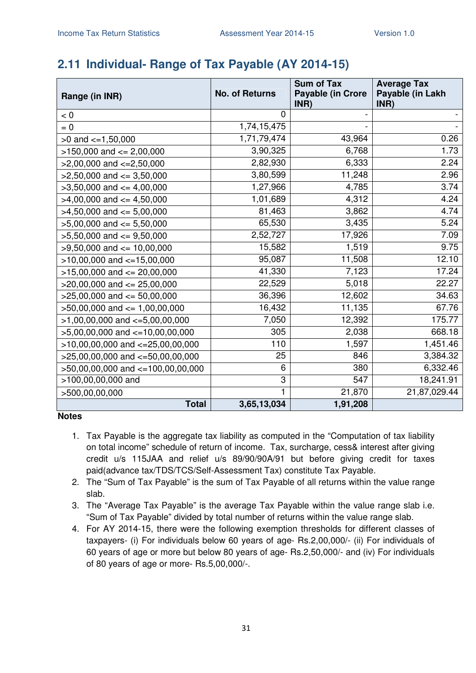# **2.11 Individual- Range of Tax Payable (AY 2014-15)**

| Range (in INR)                        | <b>No. of Returns</b> | <b>Sum of Tax</b><br><b>Payable (in Crore</b> | <b>Average Tax</b><br>Payable (in Lakh |
|---------------------------------------|-----------------------|-----------------------------------------------|----------------------------------------|
| < 0                                   | 0                     | INR)                                          | INR)                                   |
| $= 0$                                 | 1,74,15,475           |                                               |                                        |
| $>0$ and $\lt=1,50,000$               | 1,71,79,474           | 43,964                                        | 0.26                                   |
| $>150,000$ and $<= 2,00,000$          | 3,90,325              | 6,768                                         | 1.73                                   |
| $>2,00,000$ and $\lt=2,50,000$        | 2,82,930              | 6,333                                         | 2.24                                   |
| $>2,50,000$ and $<=3,50,000$          | 3,80,599              | 11,248                                        | 2.96                                   |
| $>3,50,000$ and $<=4,00,000$          | 1,27,966              | 4,785                                         | 3.74                                   |
| $>4,00,000$ and $\lt=4,50,000$        | 1,01,689              | 4,312                                         | 4.24                                   |
| $>4,50,000$ and $<= 5,00,000$         | 81,463                | 3,862                                         | 4.74                                   |
| $>5,00,000$ and $<= 5,50,000$         | 65,530                | 3,435                                         | 5.24                                   |
| $>5,50,000$ and $<=9,50,000$          | 2,52,727              | 17,926                                        | 7.09                                   |
| $>9,50,000$ and $\leq 10,00,000$      | 15,582                | 1,519                                         | 9.75                                   |
| $>10,00,000$ and $<=15,00,000$        | 95,087                | 11,508                                        | 12.10                                  |
| $>15,00,000$ and $<= 20,00,000$       | 41,330                | 7,123                                         | 17.24                                  |
| $>20,00,000$ and $<= 25,00,000$       | 22,529                | 5,018                                         | 22.27                                  |
| $>25,00,000$ and $<= 50,00,000$       | 36,396                | 12,602                                        | 34.63                                  |
| $>50,00,000$ and $<= 1,00,00,000$     | 16,432                | 11,135                                        | 67.76                                  |
| $>1,00,00,000$ and $\lt=5,00,00,000$  | 7,050                 | 12,392                                        | 175.77                                 |
| $>5,00,00,000$ and $\lt=10,00,00,000$ | 305                   | 2,038                                         | 668.18                                 |
| $>10,00,00,000$ and $<=25,00,00,000$  | 110                   | 1,597                                         | 1,451.46                               |
| $>25,00,00,000$ and $<=50,00,00,000$  | 25                    | 846                                           | 3,384.32                               |
| >50,00,00,000 and <=100,00,00,000     | 6                     | 380                                           | 6,332.46                               |
| >100,00,00,000 and                    | 3                     | 547                                           | 18,241.91                              |
| >500,00,00,000                        | 1                     | 21,870                                        | 21,87,029.44                           |
| <b>Total</b>                          | 3,65,13,034           | $\overline{1,}91,208$                         |                                        |

- 1. Tax Payable is the aggregate tax liability as computed in the "Computation of tax liability on total income" schedule of return of income. Tax, surcharge, cess& interest after giving credit u/s 115JAA and relief u/s 89/90/90A/91 but before giving credit for taxes paid(advance tax/TDS/TCS/Self-Assessment Tax) constitute Tax Payable.
- 2. The "Sum of Tax Payable" is the sum of Tax Payable of all returns within the value range slab.
- 3. The "Average Tax Payable" is the average Tax Payable within the value range slab i.e. "Sum of Tax Payable" divided by total number of returns within the value range slab.
- 4. For AY 2014-15, there were the following exemption thresholds for different classes of taxpayers- (i) For individuals below 60 years of age- Rs.2,00,000/- (ii) For individuals of 60 years of age or more but below 80 years of age- Rs.2,50,000/- and (iv) For individuals of 80 years of age or more- Rs.5,00,000/-.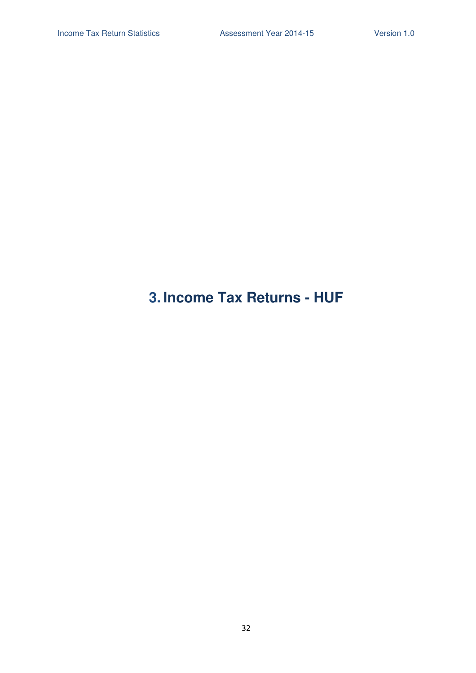# **3. Income Tax Returns - HUF**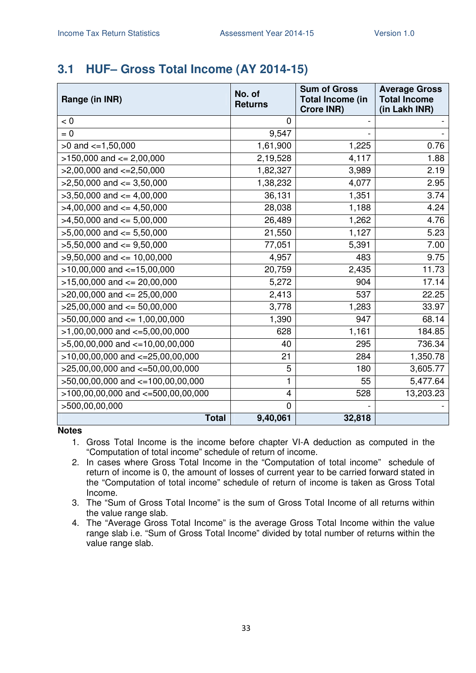### **3.1 HUF– Gross Total Income (AY 2014-15)**

| Range (in INR)                         | No. of<br><b>Returns</b> | <b>Sum of Gross</b><br><b>Total Income (in</b><br><b>Crore INR)</b> | <b>Average Gross</b><br><b>Total Income</b><br>(in Lakh INR) |
|----------------------------------------|--------------------------|---------------------------------------------------------------------|--------------------------------------------------------------|
| < 0                                    | 0                        |                                                                     |                                                              |
| $= 0$                                  | 9,547                    |                                                                     |                                                              |
| $>0$ and $\lt=1,50,000$                | 1,61,900                 | 1,225                                                               | 0.76                                                         |
| $>150,000$ and $<= 2,00,000$           | 2,19,528                 | 4,117                                                               | 1.88                                                         |
| $>2,00,000$ and $\lt=2,50,000$         | 1,82,327                 | 3,989                                                               | 2.19                                                         |
| $>2,50,000$ and $\leq$ 3,50,000        | 1,38,232                 | 4,077                                                               | 2.95                                                         |
| $>3,50,000$ and $<=4,00,000$           | 36,131                   | 1,351                                                               | 3.74                                                         |
| $>4,00,000$ and $\leq 4,50,000$        | 28,038                   | 1,188                                                               | 4.24                                                         |
| $>4,50,000$ and $<= 5,00,000$          | 26,489                   | 1,262                                                               | 4.76                                                         |
| $>5,00,000$ and $<= 5,50,000$          | 21,550                   | 1,127                                                               | 5.23                                                         |
| $>5,50,000$ and $\leq$ 9,50,000        | 77,051                   | 5,391                                                               | 7.00                                                         |
| $>9,50,000$ and $\leq 10,00,000$       | 4,957                    | 483                                                                 | 9.75                                                         |
| $>10,00,000$ and $<-15,00,000$         | 20,759                   | 2,435                                                               | 11.73                                                        |
| $>15,00,000$ and $<= 20,00,000$        | 5,272                    | 904                                                                 | 17.14                                                        |
| $>20,00,000$ and $<= 25,00,000$        | 2,413                    | 537                                                                 | 22.25                                                        |
| $>25,00,000$ and $<= 50,00,000$        | 3,778                    | 1,283                                                               | 33.97                                                        |
| $>50,00,000$ and $\leq 1,00,00,000$    | 1,390                    | 947                                                                 | 68.14                                                        |
| $>1,00,00,000$ and $\lt=5,00,00,000$   | 628                      | 1,161                                                               | 184.85                                                       |
| $>5,00,00,000$ and $\lt=10,00,00,000$  | 40                       | 295                                                                 | 736.34                                                       |
| $>10,00,00,000$ and $<=25,00,00,000$   | 21                       | 284                                                                 | 1,350.78                                                     |
| $>25,00,00,000$ and $<=50,00,00,000$   | 5                        | 180                                                                 | 3,605.77                                                     |
| >50,00,00,000 and <=100,00,00,000      | 1                        | 55                                                                  | 5,477.64                                                     |
| $>100,00,00,000$ and $<-500,00,00,000$ | 4                        | 528                                                                 | 13,203.23                                                    |
| >500,00,00,000                         | $\overline{0}$           |                                                                     |                                                              |
| <b>Total</b>                           | 9,40,061                 | 32,818                                                              |                                                              |

- 1. Gross Total Income is the income before chapter VI-A deduction as computed in the "Computation of total income" schedule of return of income.
- 2. In cases where Gross Total Income in the "Computation of total income" schedule of return of income is 0, the amount of losses of current year to be carried forward stated in the "Computation of total income" schedule of return of income is taken as Gross Total Income.
- 3. The "Sum of Gross Total Income" is the sum of Gross Total Income of all returns within the value range slab.
- 4. The "Average Gross Total Income" is the average Gross Total Income within the value range slab i.e. "Sum of Gross Total Income" divided by total number of returns within the value range slab.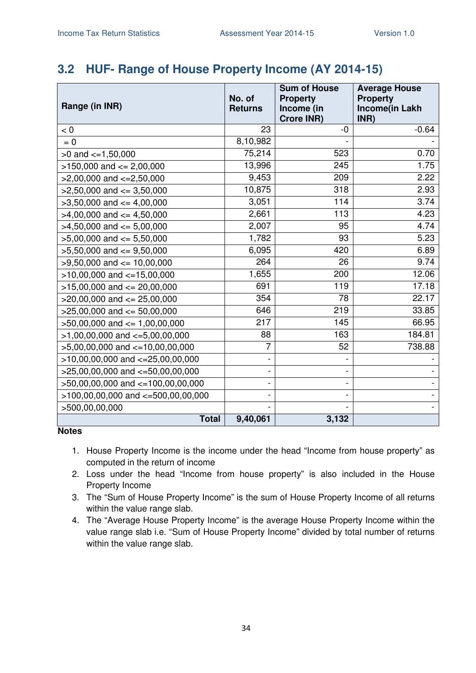### **3.2 HUF- Range of House Property Income (AY 2014-15)**

| Range (in INR)                         | No. of<br><b>Returns</b> | <b>Sum of House</b><br><b>Property</b><br>Income (in<br><b>Crore INR)</b> | <b>Average House</b><br><b>Property</b><br>Income(in Lakh<br>INR) |
|----------------------------------------|--------------------------|---------------------------------------------------------------------------|-------------------------------------------------------------------|
| < 0                                    | 23                       | -0                                                                        | $-0.64$                                                           |
| $= 0$                                  | 8,10,982                 |                                                                           |                                                                   |
| $>0$ and $<=1,50,000$                  | 75,214                   | 523                                                                       | 0.70                                                              |
| $>150,000$ and $<= 2,00,000$           | 13,996                   | 245                                                                       | 1.75                                                              |
| $>2,00,000$ and $\lt=2,50,000$         | 9,453                    | 209                                                                       | 2.22                                                              |
| $>2,50,000$ and $<=3,50,000$           | 10,875                   | 318                                                                       | 2.93                                                              |
| $>3,50,000$ and $\lt=4,00,000$         | 3,051                    | 114                                                                       | 3.74                                                              |
| $>4,00,000$ and $<= 4,50,000$          | 2,661                    | 113                                                                       | 4.23                                                              |
| $>4,50,000$ and $\leq 5,00,000$        | 2,007                    | 95                                                                        | 4.74                                                              |
| $>5,00,000$ and $<= 5,50,000$          | 1,782                    | 93                                                                        | 5.23                                                              |
| $>5,50,000$ and $<=9,50,000$           | 6,095                    | 420                                                                       | 6.89                                                              |
| $>9,50,000$ and $\leq 10,00,000$       | 264                      | 26                                                                        | 9.74                                                              |
| $>10,00,000$ and $<=15,00,000$         | 1,655                    | 200                                                                       | 12.06                                                             |
| $>15,00,000$ and $<= 20,00,000$        | 691                      | 119                                                                       | 17.18                                                             |
| $>20,00,000$ and $<= 25,00,000$        | 354                      | 78                                                                        | 22.17                                                             |
| $>25,00,000$ and $<= 50,00,000$        | 646                      | 219                                                                       | 33.85                                                             |
| $>50,00,000$ and $<= 1,00,00,000$      | 217                      | 145                                                                       | 66.95                                                             |
| $>1,00,00,000$ and $\lt=5,00,00,000$   | 88                       | 163                                                                       | 184.81                                                            |
| >5,00,00,000 and <=10,00,00,000        | $\overline{7}$           | 52                                                                        | 738.88                                                            |
| $>10,00,00,000$ and $<=25,00,00,000$   |                          |                                                                           |                                                                   |
| $>25,00,00,000$ and $<-50,00,00,000$   |                          |                                                                           |                                                                   |
| $>50,00,00,000$ and $<=100,00,00,000$  |                          |                                                                           |                                                                   |
| $>100,00,00,000$ and $<=500,00,00,000$ |                          |                                                                           |                                                                   |
| >500,00,00,000                         |                          |                                                                           |                                                                   |
| <b>Total</b>                           | 9,40,061                 | 3,132                                                                     |                                                                   |

- 1. House Property Income is the income under the head "Income from house property" as computed in the return of income
- 2. Loss under the head "Income from house property" is also included in the House Property Income
- 3. The "Sum of House Property Income" is the sum of House Property Income of all returns within the value range slab.
- 4. The "Average House Property Income" is the average House Property Income within the value range slab i.e. "Sum of House Property Income" divided by total number of returns within the value range slab.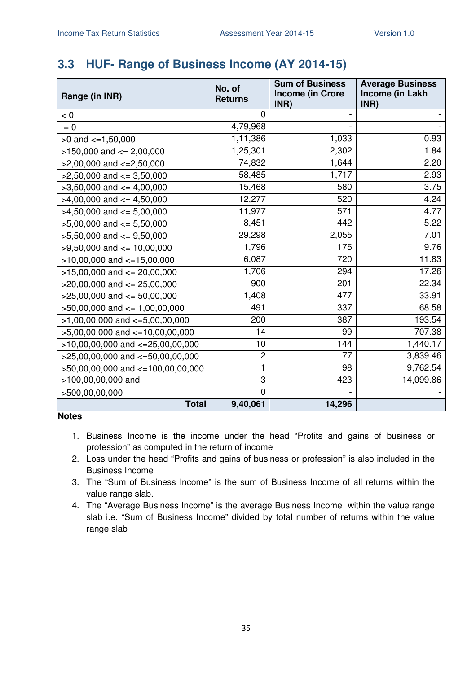# **3.3 HUF- Range of Business Income (AY 2014-15)**

| Range (in INR)                        | No. of<br><b>Returns</b>  | <b>Sum of Business</b><br><b>Income (in Crore</b><br>INR) | <b>Average Business</b><br>Income (in Lakh<br>INR) |
|---------------------------------------|---------------------------|-----------------------------------------------------------|----------------------------------------------------|
| < 0                                   | 0                         |                                                           |                                                    |
| $= 0$                                 | 4,79,968                  |                                                           |                                                    |
| $>0$ and $\lt=1,50,000$               | 1,11,386                  | 1,033                                                     | 0.93                                               |
| $>150,000$ and $<= 2,00,000$          | 1,25,301                  | 2,302                                                     | 1.84                                               |
| $>2,00,000$ and $\lt=2,50,000$        | 74,832                    | 1,644                                                     | 2.20                                               |
| $>2,50,000$ and $\leq$ 3,50,000       | 58,485                    | 1,717                                                     | 2.93                                               |
| $>3,50,000$ and $<=4,00,000$          | 15,468                    | 580                                                       | 3.75                                               |
| $>4,00,000$ and $\leq 4,50,000$       | 12,277                    | 520                                                       | 4.24                                               |
| $>4,50,000$ and $<=5,00,000$          | 11,977                    | 571                                                       | 4.77                                               |
| $>5,00,000$ and $<= 5,50,000$         | 8,451                     | 442                                                       | 5.22                                               |
| $>5,50,000$ and $<=9,50,000$          | 29,298                    | 2,055                                                     | 7.01                                               |
| $>9,50,000$ and $\leq 10,00,000$      | 1,796                     | 175                                                       | 9.76                                               |
| $>10,00,000$ and $<-15,00,000$        | 6,087                     | 720                                                       | 11.83                                              |
| $>15,00,000$ and $<= 20,00,000$       | 1,706                     | 294                                                       | 17.26                                              |
| $>20,00,000$ and $\leq$ 25,00,000     | 900                       | 201                                                       | 22.34                                              |
| $>25,00,000$ and $\leq 50,00,000$     | 1,408                     | 477                                                       | 33.91                                              |
| $>50,00,000$ and $<= 1,00,00,000$     | 491                       | 337                                                       | 68.58                                              |
| $>1,00,00,000$ and $\lt=5,00,00,000$  | 200                       | 387                                                       | 193.54                                             |
| $>5,00,00,000$ and $\lt=10,00,00,000$ | 14                        | 99                                                        | 707.38                                             |
| $>10,00,00,000$ and $<-25,00,00,000$  | 10                        | 144                                                       | 1,440.17                                           |
| $>25,00,00,000$ and $<=50,00,00,000$  | $\overline{c}$            | 77                                                        | 3,839.46                                           |
| >50,00,00,000 and <=100,00,00,000     | 1                         | 98                                                        | 9,762.54                                           |
| >100,00,00,000 and                    | $\ensuremath{\mathsf{3}}$ | 423                                                       | 14,099.86                                          |
| >500,00,00,000                        | $\mathbf 0$               |                                                           |                                                    |
| <b>Total</b>                          | 9,40,061                  | 14,296                                                    |                                                    |

- 1. Business Income is the income under the head "Profits and gains of business or profession" as computed in the return of income
- 2. Loss under the head "Profits and gains of business or profession" is also included in the Business Income
- 3. The "Sum of Business Income" is the sum of Business Income of all returns within the value range slab.
- 4. The "Average Business Income" is the average Business Income within the value range slab i.e. "Sum of Business Income" divided by total number of returns within the value range slab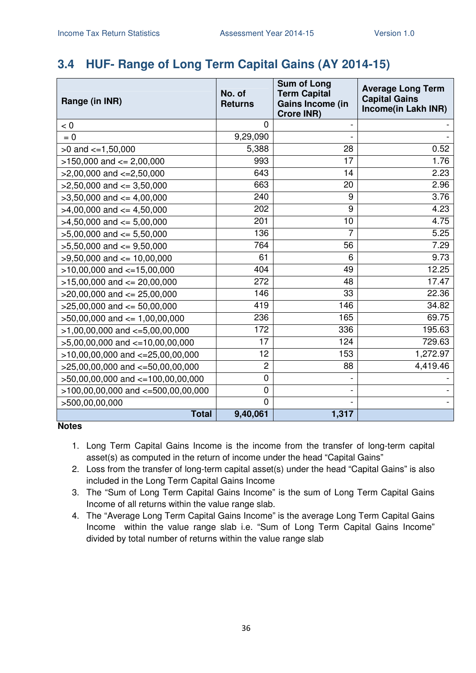# **3.4 HUF- Range of Long Term Capital Gains (AY 2014-15)**

| Range (in INR)                         | No. of<br><b>Returns</b> | <b>Sum of Long</b><br><b>Term Capital</b><br>Gains Income (in<br><b>Crore INR)</b> | <b>Average Long Term</b><br><b>Capital Gains</b><br>Income(in Lakh INR) |
|----------------------------------------|--------------------------|------------------------------------------------------------------------------------|-------------------------------------------------------------------------|
| < 0                                    | $\overline{0}$           |                                                                                    |                                                                         |
| $= 0$                                  | 9,29,090                 |                                                                                    |                                                                         |
| $>0$ and $\lt=1,50,000$                | 5,388                    | 28                                                                                 | 0.52                                                                    |
| $>150,000$ and $<= 2,00,000$           | 993                      | 17                                                                                 | 1.76                                                                    |
| $>2,00,000$ and $\lt=2,50,000$         | 643                      | 14                                                                                 | 2.23                                                                    |
| $>2,50,000$ and $\leq$ 3,50,000        | 663                      | 20                                                                                 | 2.96                                                                    |
| $>3,50,000$ and $<=4,00,000$           | 240                      | 9                                                                                  | 3.76                                                                    |
| $>4,00,000$ and $<=4,50,000$           | 202                      | 9                                                                                  | 4.23                                                                    |
| $>4,50,000$ and $<=5,00,000$           | 201                      | 10                                                                                 | 4.75                                                                    |
| $>5,00,000$ and $<= 5,50,000$          | 136                      | 7                                                                                  | 5.25                                                                    |
| $>5,50,000$ and $<=9,50,000$           | 764                      | 56                                                                                 | 7.29                                                                    |
| $>9,50,000$ and $<= 10,00,000$         | 61                       | 6                                                                                  | 9.73                                                                    |
| $>10,00,000$ and $<=15,00,000$         | 404                      | 49                                                                                 | 12.25                                                                   |
| $>15,00,000$ and $<= 20,00,000$        | 272                      | 48                                                                                 | 17.47                                                                   |
| $>20,00,000$ and $<= 25,00,000$        | 146                      | 33                                                                                 | 22.36                                                                   |
| $>25,00,000$ and $<= 50,00,000$        | 419                      | 146                                                                                | 34.82                                                                   |
| $>50,00,000$ and $<= 1,00,00,000$      | 236                      | 165                                                                                | 69.75                                                                   |
| $>1,00,00,000$ and $\lt=5,00,00,000$   | 172                      | 336                                                                                | 195.63                                                                  |
| $>5,00,00,000$ and $<=10,00,00,000$    | 17                       | 124                                                                                | 729.63                                                                  |
| $>10,00,00,000$ and $<=25,00,00,000$   | 12                       | 153                                                                                | 1,272.97                                                                |
| $>25,00,00,000$ and $<=50,00,00,000$   | $\overline{2}$           | 88                                                                                 | 4,419.46                                                                |
| >50,00,00,000 and <=100,00,00,000      | $\mathbf 0$              |                                                                                    |                                                                         |
| $>100,00,00,000$ and $<=500,00,00,000$ | $\mathbf 0$              |                                                                                    |                                                                         |
| >500,00,00,000                         | $\overline{0}$           |                                                                                    |                                                                         |
| <b>Total</b>                           | 9,40,061                 | 1,317                                                                              |                                                                         |

- 1. Long Term Capital Gains Income is the income from the transfer of long-term capital asset(s) as computed in the return of income under the head "Capital Gains"
- 2. Loss from the transfer of long-term capital asset(s) under the head "Capital Gains" is also included in the Long Term Capital Gains Income
- 3. The "Sum of Long Term Capital Gains Income" is the sum of Long Term Capital Gains Income of all returns within the value range slab.
- 4. The "Average Long Term Capital Gains Income" is the average Long Term Capital Gains Income within the value range slab i.e. "Sum of Long Term Capital Gains Income" divided by total number of returns within the value range slab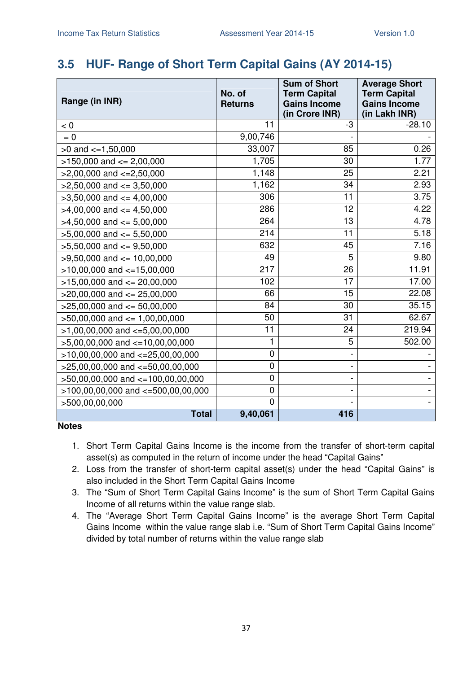### **3.5 HUF- Range of Short Term Capital Gains (AY 2014-15)**

| Range (in INR)                       | No. of<br><b>Returns</b> | <b>Sum of Short</b><br><b>Term Capital</b><br><b>Gains Income</b><br>(in Crore INR) | <b>Average Short</b><br><b>Term Capital</b><br><b>Gains Income</b><br>(in Lakh INR) |
|--------------------------------------|--------------------------|-------------------------------------------------------------------------------------|-------------------------------------------------------------------------------------|
| < 0                                  | 11                       | -3                                                                                  | $-28.10$                                                                            |
| $= 0$                                | 9,00,746                 |                                                                                     |                                                                                     |
| $>0$ and $\lt=1,50,000$              | 33,007                   | 85                                                                                  | 0.26                                                                                |
| $>150,000$ and $<= 2,00,000$         | 1,705                    | 30                                                                                  | 1.77                                                                                |
| $>2,00,000$ and $<=2,50,000$         | 1,148                    | 25                                                                                  | 2.21                                                                                |
| $>2,50,000$ and $\leq 3,50,000$      | 1,162                    | 34                                                                                  | 2.93                                                                                |
| $>3,50,000$ and $\leq 4,00,000$      | 306                      | 11                                                                                  | 3.75                                                                                |
| $>4,00,000$ and $\leq 4,50,000$      | 286                      | 12                                                                                  | 4.22                                                                                |
| $>4,50,000$ and $<=5,00,000$         | 264                      | 13                                                                                  | 4.78                                                                                |
| $>5,00,000$ and $<= 5,50,000$        | 214                      | 11                                                                                  | 5.18                                                                                |
| $>5,50,000$ and $<=9,50,000$         | 632                      | 45                                                                                  | 7.16                                                                                |
| $>9,50,000$ and $<= 10,00,000$       | 49                       | 5                                                                                   | 9.80                                                                                |
| $>10,00,000$ and $<-15,00,000$       | 217                      | 26                                                                                  | 11.91                                                                               |
| $>15,00,000$ and $<= 20,00,000$      | 102                      | 17                                                                                  | 17.00                                                                               |
| $>20,00,000$ and $<= 25,00,000$      | 66                       | 15                                                                                  | 22.08                                                                               |
| $>25,00,000$ and $<= 50,00,000$      | 84                       | 30                                                                                  | 35.15                                                                               |
| $>50,00,000$ and $\leq 1,00,00,000$  | 50                       | 31                                                                                  | 62.67                                                                               |
| $>1,00,00,000$ and $\lt=5,00,00,000$ | $\overline{11}$          | 24                                                                                  | 219.94                                                                              |
| $>5,00,00,000$ and $<=10,00,00,000$  | 1                        | 5                                                                                   | 502.00                                                                              |
| $>10,00,00,000$ and $<=25,00,00,000$ | $\mathbf 0$              | $\overline{\phantom{0}}$                                                            |                                                                                     |
| $>25,00,00,000$ and $<-50,00,00,000$ | 0                        | -                                                                                   |                                                                                     |
| >50,00,00,000 and <=100,00,00,000    | 0                        | $\overline{a}$                                                                      |                                                                                     |
| >100,00,00,000 and <=500,00,00,000   | 0                        | $\overline{\phantom{0}}$                                                            |                                                                                     |
| >500,00,00,000                       | 0                        |                                                                                     |                                                                                     |
| <b>Total</b>                         | 9,40,061                 | 416                                                                                 |                                                                                     |

- 1. Short Term Capital Gains Income is the income from the transfer of short-term capital asset(s) as computed in the return of income under the head "Capital Gains"
- 2. Loss from the transfer of short-term capital asset(s) under the head "Capital Gains" is also included in the Short Term Capital Gains Income
- 3. The "Sum of Short Term Capital Gains Income" is the sum of Short Term Capital Gains Income of all returns within the value range slab.
- 4. The "Average Short Term Capital Gains Income" is the average Short Term Capital Gains Income within the value range slab i.e. "Sum of Short Term Capital Gains Income" divided by total number of returns within the value range slab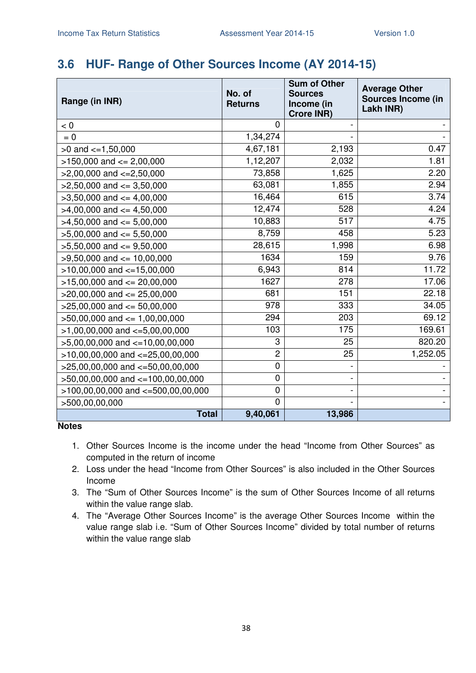### **3.6 HUF- Range of Other Sources Income (AY 2014-15)**

| Range (in INR)                         | No. of<br><b>Returns</b> | <b>Sum of Other</b><br><b>Sources</b><br>Income (in<br><b>Crore INR)</b> | <b>Average Other</b><br>Sources Income (in<br>Lakh INR) |
|----------------------------------------|--------------------------|--------------------------------------------------------------------------|---------------------------------------------------------|
| < 0                                    | 0                        |                                                                          |                                                         |
| $= 0$                                  | 1,34,274                 |                                                                          |                                                         |
| $>0$ and $\lt=1,50,000$                | 4,67,181                 | 2,193                                                                    | 0.47                                                    |
| $>150,000$ and $<= 2,00,000$           | 1,12,207                 | 2,032                                                                    | 1.81                                                    |
| $>2,00,000$ and $<=2,50,000$           | 73,858                   | 1,625                                                                    | 2.20                                                    |
| $>2,50,000$ and $\leq$ 3,50,000        | 63,081                   | 1,855                                                                    | 2.94                                                    |
| $>3,50,000$ and $<=4,00,000$           | 16,464                   | 615                                                                      | 3.74                                                    |
| $>4,00,000$ and $\lt=4,50,000$         | 12,474                   | 528                                                                      | 4.24                                                    |
| $>4,50,000$ and $\leq 5,00,000$        | 10,883                   | 517                                                                      | 4.75                                                    |
| $>5,00,000$ and $<= 5,50,000$          | 8,759                    | 458                                                                      | 5.23                                                    |
| $>5,50,000$ and $<=9,50,000$           | 28,615                   | 1,998                                                                    | 6.98                                                    |
| $>9,50,000$ and $<= 10,00,000$         | 1634                     | 159                                                                      | 9.76                                                    |
| $>10,00,000$ and $<-15,00,000$         | 6,943                    | 814                                                                      | 11.72                                                   |
| $>15,00,000$ and $<= 20,00,000$        | 1627                     | 278                                                                      | 17.06                                                   |
| $>20,00,000$ and $<= 25,00,000$        | 681                      | 151                                                                      | 22.18                                                   |
| $>25,00,000$ and $<= 50,00,000$        | 978                      | 333                                                                      | 34.05                                                   |
| $>50,00,000$ and $<= 1,00,00,000$      | 294                      | 203                                                                      | 69.12                                                   |
| $>1,00,00,000$ and $\lt=5,00,00,000$   | 103                      | 175                                                                      | 169.61                                                  |
| $>5,00,00,000$ and $<-10,00,00,000$    | 3                        | 25                                                                       | 820.20                                                  |
| $>10,00,00,000$ and $<=25,00,00,000$   | $\overline{c}$           | 25                                                                       | 1,252.05                                                |
| $>25,00,00,000$ and $<=50,00,00,000$   | $\mathbf 0$              |                                                                          |                                                         |
| >50,00,00,000 and <=100,00,00,000      | 0                        |                                                                          |                                                         |
| $>100,00,00,000$ and $<=500,00,00,000$ | $\pmb{0}$                |                                                                          |                                                         |
| >500,00,00,000                         | $\mathbf 0$              |                                                                          |                                                         |
| <b>Total</b>                           | 9,40,061                 | 13,986                                                                   |                                                         |

- 1. Other Sources Income is the income under the head "Income from Other Sources" as computed in the return of income
- 2. Loss under the head "Income from Other Sources" is also included in the Other Sources Income
- 3. The "Sum of Other Sources Income" is the sum of Other Sources Income of all returns within the value range slab.
- 4. The "Average Other Sources Income" is the average Other Sources Income within the value range slab i.e. "Sum of Other Sources Income" divided by total number of returns within the value range slab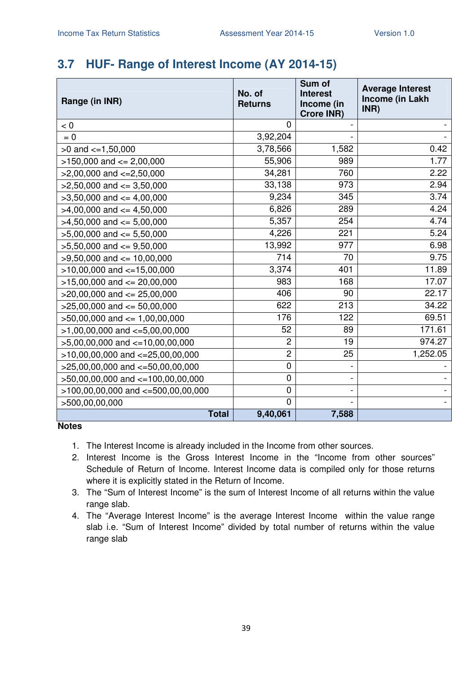# **3.7 HUF- Range of Interest Income (AY 2014-15)**

| Range (in INR)                           | No. of<br><b>Returns</b> | Sum of<br><b>Interest</b><br>Income (in<br><b>Crore INR)</b> | <b>Average Interest</b><br>Income (in Lakh<br>INR) |
|------------------------------------------|--------------------------|--------------------------------------------------------------|----------------------------------------------------|
| < 0                                      | $\Omega$                 |                                                              |                                                    |
| $= 0$                                    | 3,92,204                 |                                                              |                                                    |
| $>0$ and $<=1,50,000$                    | 3,78,566                 | 1,582                                                        | 0.42                                               |
| $>150,000$ and $<= 2,00,000$             | 55,906                   | 989                                                          | 1.77                                               |
| $>2,00,000$ and $<=2,50,000$             | 34,281                   | 760                                                          | 2.22                                               |
| $>2,50,000$ and $<=3,50,000$             | 33,138                   | 973                                                          | 2.94                                               |
| $>3,50,000$ and $<=4,00,000$             | 9,234                    | 345                                                          | 3.74                                               |
| $>4,00,000$ and $\leq 4,50,000$          | 6,826                    | 289                                                          | 4.24                                               |
| $>4,50,000$ and $<=5,00,000$             | 5,357                    | 254                                                          | 4.74                                               |
| $>5,00,000$ and $<= 5,50,000$            | 4,226                    | 221                                                          | 5.24                                               |
| $>5,50,000$ and $<=9,50,000$             | 13,992                   | 977                                                          | 6.98                                               |
| $>9,50,000$ and $<= 10,00,000$           | 714                      | 70                                                           | 9.75                                               |
| $>10,00,000$ and $<=15,00,000$           | 3,374                    | 401                                                          | 11.89                                              |
| $>15,00,000$ and $<= 20,00,000$          | 983                      | 168                                                          | 17.07                                              |
| $>20,00,000$ and $\leq$ 25,00,000        | 406                      | 90                                                           | 22.17                                              |
| $>25,00,000$ and $<= 50,00,000$          | 622                      | 213                                                          | 34.22                                              |
| $>50,00,000$ and $<= 1,00,00,000$        | 176                      | 122                                                          | 69.51                                              |
| $>1,00,00,000$ and $\lt=5,00,00,000$     | 52                       | 89                                                           | 171.61                                             |
| $>5,00,00,000$ and $<=10,00,00,000$      | $\overline{2}$           | 19                                                           | 974.27                                             |
| $>10,00,00,000$ and $<-25,00,00,000$     | $\overline{c}$           | 25                                                           | 1,252.05                                           |
| $>25,00,00,000$ and $<=50,00,00,000$     | $\mathbf 0$              |                                                              |                                                    |
| >50,00,00,000 and <=100,00,00,000        | $\mathbf 0$              |                                                              |                                                    |
| $>100,00,00,000$ and $\lt=500,00,00,000$ | $\pmb{0}$                |                                                              |                                                    |
| >500,00,00,000                           | $\mathbf 0$              |                                                              |                                                    |
| <b>Total</b>                             | 9,40,061                 | 7,588                                                        |                                                    |

- 1. The Interest Income is already included in the Income from other sources.
- 2. Interest Income is the Gross Interest Income in the "Income from other sources" Schedule of Return of Income. Interest Income data is compiled only for those returns where it is explicitly stated in the Return of Income.
- 3. The "Sum of Interest Income" is the sum of Interest Income of all returns within the value range slab.
- 4. The "Average Interest Income" is the average Interest Income within the value range slab i.e. "Sum of Interest Income" divided by total number of returns within the value range slab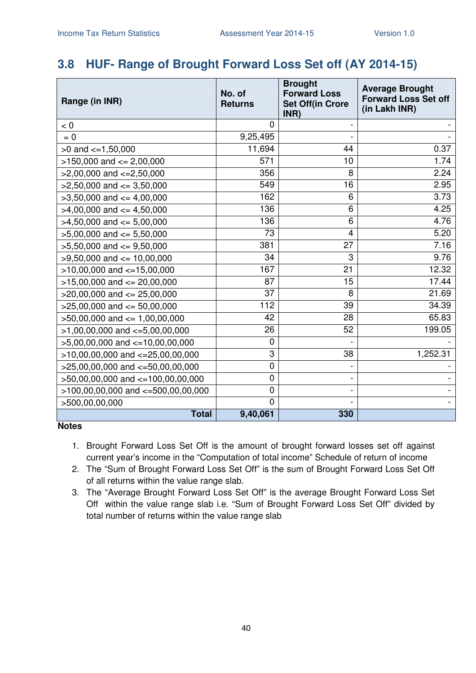## **3.8 HUF- Range of Brought Forward Loss Set off (AY 2014-15)**

| Range (in INR)                         | No. of<br><b>Returns</b> | <b>Brought</b><br><b>Forward Loss</b><br><b>Set Off(in Crore</b><br>INR) | <b>Average Brought</b><br><b>Forward Loss Set off</b><br>(in Lakh INR) |
|----------------------------------------|--------------------------|--------------------------------------------------------------------------|------------------------------------------------------------------------|
| < 0                                    | $\overline{0}$           |                                                                          |                                                                        |
| $= 0$                                  | 9,25,495                 |                                                                          |                                                                        |
| $>0$ and $\lt=1,50,000$                | 11,694                   | 44                                                                       | 0.37                                                                   |
| $>150,000$ and $<= 2,00,000$           | 571                      | 10                                                                       | 1.74                                                                   |
| $>2,00,000$ and $\lt=2,50,000$         | 356                      | 8                                                                        | 2.24                                                                   |
| $>2,50,000$ and $<=3,50,000$           | 549                      | 16                                                                       | 2.95                                                                   |
| $>3,50,000$ and $<=4,00,000$           | 162                      | 6                                                                        | 3.73                                                                   |
| $>4,00,000$ and $\leq 4,50,000$        | 136                      | 6                                                                        | 4.25                                                                   |
| $>4,50,000$ and $<=5,00,000$           | 136                      | 6                                                                        | 4.76                                                                   |
| $>5,00,000$ and $<= 5,50,000$          | 73                       | 4                                                                        | 5.20                                                                   |
| $>5,50,000$ and $<=9,50,000$           | 381                      | 27                                                                       | 7.16                                                                   |
| $>9,50,000$ and $<= 10,00,000$         | 34                       | 3                                                                        | 9.76                                                                   |
| $>10,00,000$ and $<=15,00,000$         | 167                      | 21                                                                       | 12.32                                                                  |
| $>15,00,000$ and $<= 20,00,000$        | 87                       | 15                                                                       | 17.44                                                                  |
| $>20,00,000$ and $<= 25,00,000$        | 37                       | 8                                                                        | 21.69                                                                  |
| $>25,00,000$ and $<= 50,00,000$        | 112                      | 39                                                                       | 34.39                                                                  |
| $>50,00,000$ and $\leq 1,00,00,000$    | 42                       | 28                                                                       | 65.83                                                                  |
| $>1,00,00,000$ and $<=5,00,00,000$     | 26                       | 52                                                                       | 199.05                                                                 |
| $>5,00,00,000$ and $<-10,00,00,000$    | 0                        |                                                                          |                                                                        |
| $>10,00,00,000$ and $<-25,00,00,000$   | 3                        | 38                                                                       | 1,252.31                                                               |
| $>25,00,00,000$ and $<=50,00,00,000$   | $\mathbf 0$              |                                                                          |                                                                        |
| >50,00,00,000 and <=100,00,00,000      | $\mathbf 0$              |                                                                          |                                                                        |
| $>100,00,00,000$ and $<=500,00,00,000$ | $\mathbf 0$              |                                                                          |                                                                        |
| >500,00,00,000                         | $\overline{0}$           |                                                                          |                                                                        |
| <b>Total</b>                           | 9,40,061                 | 330                                                                      |                                                                        |

- 1. Brought Forward Loss Set Off is the amount of brought forward losses set off against current year's income in the "Computation of total income" Schedule of return of income
- 2. The "Sum of Brought Forward Loss Set Off" is the sum of Brought Forward Loss Set Off of all returns within the value range slab.
- 3. The "Average Brought Forward Loss Set Off" is the average Brought Forward Loss Set Off within the value range slab i.e. "Sum of Brought Forward Loss Set Off" divided by total number of returns within the value range slab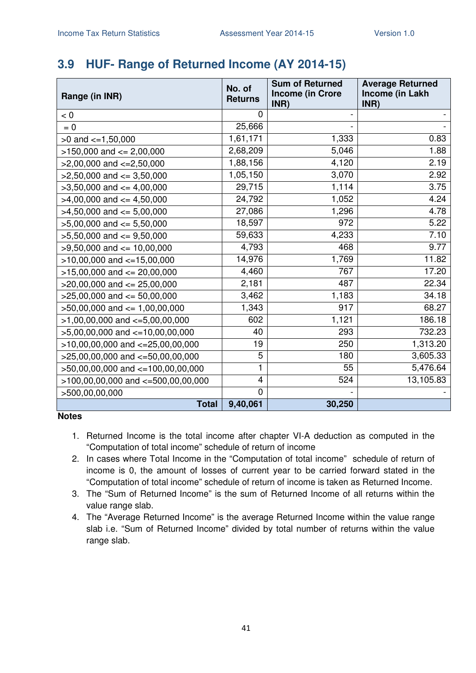# **3.9 HUF- Range of Returned Income (AY 2014-15)**

| Range (in INR)                        | No. of<br><b>Returns</b> | <b>Sum of Returned</b><br><b>Income (in Crore</b> | <b>Average Returned</b><br>Income (in Lakh |
|---------------------------------------|--------------------------|---------------------------------------------------|--------------------------------------------|
| < 0                                   | 0                        | INR)                                              | INR)                                       |
| $= 0$                                 | 25,666                   |                                                   |                                            |
| $>0$ and $\lt=1,50,000$               | 1,61,171                 | 1,333                                             | 0.83                                       |
| $>150,000$ and $<= 2,00,000$          | 2,68,209                 | 5,046                                             | 1.88                                       |
| $>2,00,000$ and $<=2,50,000$          | 1,88,156                 | 4,120                                             | 2.19                                       |
| $>2,50,000$ and $\leq$ 3,50,000       | 1,05,150                 | 3,070                                             | 2.92                                       |
| $>3,50,000$ and $<=4,00,000$          | 29,715                   | 1,114                                             | 3.75                                       |
| $>4,00,000$ and $\leq 4,50,000$       | 24,792                   | 1,052                                             | 4.24                                       |
| $>4,50,000$ and $<=5,00,000$          | 27,086                   | 1,296                                             | 4.78                                       |
| $>5,00,000$ and $<= 5,50,000$         | 18,597                   | 972                                               | 5.22                                       |
| $>5,50,000$ and $<=9,50,000$          | 59,633                   | 4,233                                             | 7.10                                       |
| $>9,50,000$ and $<= 10,00,000$        | 4,793                    | 468                                               | 9.77                                       |
| $>10,00,000$ and $<-15,00,000$        | 14,976                   | 1,769                                             | 11.82                                      |
| $>15,00,000$ and $<= 20,00,000$       | 4,460                    | 767                                               | 17.20                                      |
| $>20,00,000$ and $<= 25,00,000$       | 2,181                    | 487                                               | 22.34                                      |
| $>25,00,000$ and $<= 50,00,000$       | 3,462                    | 1,183                                             | 34.18                                      |
| $>50,00,000$ and $<= 1,00,00,000$     | 1,343                    | 917                                               | 68.27                                      |
| $>1,00,00,000$ and $\lt=5,00,00,000$  | 602                      | 1,121                                             | 186.18                                     |
| $>5,00,00,000$ and $\lt=10,00,00,000$ | 40                       | 293                                               | 732.23                                     |
| $>10,00,00,000$ and $<=25,00,00,000$  | 19                       | 250                                               | 1,313.20                                   |
| $>25,00,00,000$ and $<=50,00,00,000$  | 5                        | 180                                               | 3,605.33                                   |
| >50,00,00,000 and <=100,00,00,000     | 1                        | 55                                                | 5,476.64                                   |
| >100,00,00,000 and <=500,00,00,000    | $\overline{\mathbf{4}}$  | 524                                               | 13,105.83                                  |
| >500,00,00,000                        | $\overline{0}$           |                                                   |                                            |
| <b>Total</b>                          | 9,40,061                 | 30,250                                            |                                            |

- 1. Returned Income is the total income after chapter VI-A deduction as computed in the "Computation of total income" schedule of return of income
- 2. In cases where Total Income in the "Computation of total income" schedule of return of income is 0, the amount of losses of current year to be carried forward stated in the "Computation of total income" schedule of return of income is taken as Returned Income.
- 3. The "Sum of Returned Income" is the sum of Returned Income of all returns within the value range slab.
- 4. The "Average Returned Income" is the average Returned Income within the value range slab i.e. "Sum of Returned Income" divided by total number of returns within the value range slab.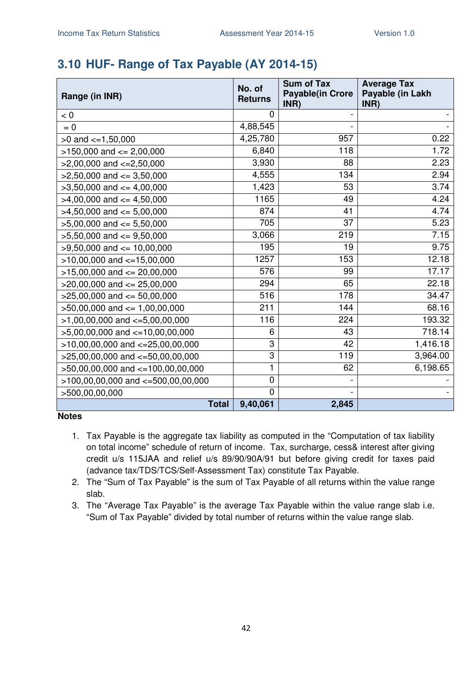# **3.10 HUF- Range of Tax Payable (AY 2014-15)**

| Range (in INR)                        | No. of<br><b>Returns</b> | <b>Sum of Tax</b><br><b>Payable(in Crore</b><br>INR) | <b>Average Tax</b><br>Payable (in Lakh<br>INR) |
|---------------------------------------|--------------------------|------------------------------------------------------|------------------------------------------------|
| < 0                                   | 0                        |                                                      |                                                |
| $= 0$                                 | 4,88,545                 |                                                      |                                                |
| $>0$ and $\leq$ =1,50,000             | 4,25,780                 | 957                                                  | 0.22                                           |
| $>150,000$ and $<= 2,00,000$          | 6,840                    | 118                                                  | 1.72                                           |
| $>2,00,000$ and $\lt=2,50,000$        | 3,930                    | 88                                                   | 2.23                                           |
| $>2,50,000$ and $<=3,50,000$          | 4,555                    | 134                                                  | 2.94                                           |
| $>3,50,000$ and $<=4,00,000$          | 1,423                    | 53                                                   | 3.74                                           |
| $>4,00,000$ and $\lt=4,50,000$        | 1165                     | 49                                                   | 4.24                                           |
| $>4,50,000$ and $<=5,00,000$          | 874                      | 41                                                   | 4.74                                           |
| $>5,00,000$ and $<= 5,50,000$         | 705                      | 37                                                   | 5.23                                           |
| $>5,50,000$ and $<=9,50,000$          | 3,066                    | 219                                                  | 7.15                                           |
| $>9,50,000$ and $\leq 10,00,000$      | 195                      | 19                                                   | 9.75                                           |
| $>10,00,000$ and $<=15,00,000$        | 1257                     | 153                                                  | 12.18                                          |
| $>15,00,000$ and $<= 20,00,000$       | 576                      | 99                                                   | 17.17                                          |
| $>20,00,000$ and $<= 25,00,000$       | 294                      | 65                                                   | 22.18                                          |
| $>25,00,000$ and $<= 50,00,000$       | 516                      | 178                                                  | 34.47                                          |
| $>50,00,000$ and $\leq 1,00,00,000$   | 211                      | 144                                                  | 68.16                                          |
| $>1,00,00,000$ and $\lt=5,00,00,000$  | 116                      | 224                                                  | 193.32                                         |
| $>5,00,00,000$ and $\lt=10,00,00,000$ | 6                        | 43                                                   | 718.14                                         |
| $>10,00,00,000$ and $<-25,00,00,000$  | 3                        | 42                                                   | 1,416.18                                       |
| $>25,00,00,000$ and $<-50,00,00,000$  | 3                        | 119                                                  | 3,964.00                                       |
| >50,00,00,000 and <=100,00,00,000     | 1                        | 62                                                   | 6,198.65                                       |
| >100,00,00,000 and <=500,00,00,000    | 0                        |                                                      |                                                |
| >500,00,00,000                        | 0                        |                                                      |                                                |
| <b>Total</b>                          | 9,40,061                 | 2,845                                                |                                                |

- 1. Tax Payable is the aggregate tax liability as computed in the "Computation of tax liability on total income" schedule of return of income. Tax, surcharge, cess& interest after giving credit u/s 115JAA and relief u/s 89/90/90A/91 but before giving credit for taxes paid (advance tax/TDS/TCS/Self-Assessment Tax) constitute Tax Payable.
- 2. The "Sum of Tax Payable" is the sum of Tax Payable of all returns within the value range slab.
- 3. The "Average Tax Payable" is the average Tax Payable within the value range slab i.e. "Sum of Tax Payable" divided by total number of returns within the value range slab.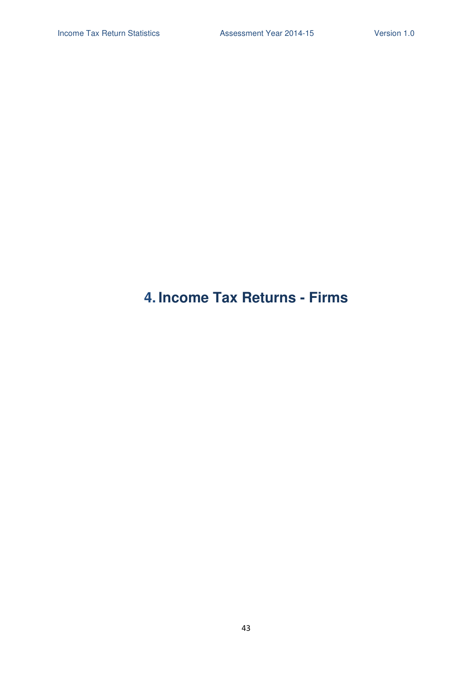# **4. Income Tax Returns - Firms**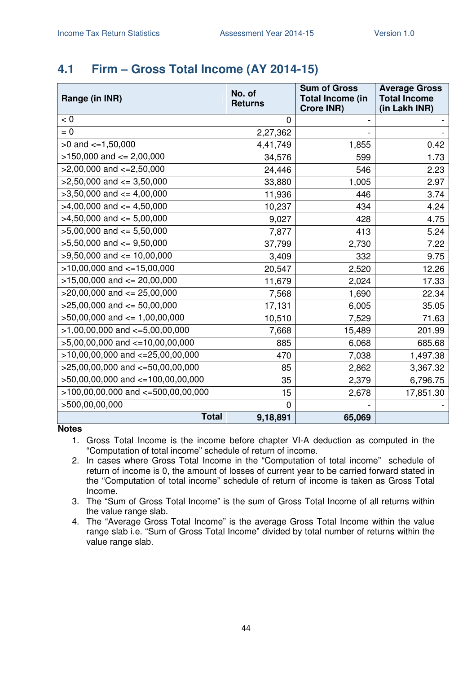### **4.1 Firm – Gross Total Income (AY 2014-15)**

| Range (in INR)                         | No. of<br><b>Returns</b> | <b>Sum of Gross</b><br><b>Total Income (in</b><br><b>Crore INR)</b> | <b>Average Gross</b><br><b>Total Income</b><br>(in Lakh INR) |
|----------------------------------------|--------------------------|---------------------------------------------------------------------|--------------------------------------------------------------|
| < 0                                    | 0                        |                                                                     |                                                              |
| $= 0$                                  | 2,27,362                 |                                                                     |                                                              |
| $>0$ and $\lt=1,50,000$                | 4,41,749                 | 1,855                                                               | 0.42                                                         |
| $>150,000$ and $<= 2,00,000$           | 34,576                   | 599                                                                 | 1.73                                                         |
| $>2,00,000$ and $\lt=2,50,000$         | 24,446                   | 546                                                                 | 2.23                                                         |
| $>2,50,000$ and $<=3,50,000$           | 33,880                   | 1,005                                                               | 2.97                                                         |
| $>3,50,000$ and $<=4,00,000$           | 11,936                   | 446                                                                 | 3.74                                                         |
| $>4,00,000$ and $\leq 4,50,000$        | 10,237                   | 434                                                                 | 4.24                                                         |
| $>4,50,000$ and $\leq 5,00,000$        | 9,027                    | 428                                                                 | 4.75                                                         |
| $>5,00,000$ and $<= 5,50,000$          | 7,877                    | 413                                                                 | 5.24                                                         |
| $>5,50,000$ and $<=9,50,000$           | 37,799                   | 2,730                                                               | 7.22                                                         |
| $>9,50,000$ and $\leq 10,00,000$       | 3,409                    | 332                                                                 | 9.75                                                         |
| $>10,00,000$ and $\lt=15,00,000$       | 20,547                   | 2,520                                                               | 12.26                                                        |
| $>15,00,000$ and $<= 20,00,000$        | 11,679                   | 2,024                                                               | 17.33                                                        |
| $>20,00,000$ and $<= 25,00,000$        | 7,568                    | 1,690                                                               | 22.34                                                        |
| $>25,00,000$ and $<= 50,00,000$        | 17,131                   | 6,005                                                               | 35.05                                                        |
| $>50,00,000$ and $\leq 1,00,00,000$    | 10,510                   | 7,529                                                               | 71.63                                                        |
| $>1,00,00,000$ and $\lt=5,00,00,000$   | 7,668                    | 15,489                                                              | 201.99                                                       |
| $>5,00,00,000$ and $<=10,00,00,000$    | 885                      | 6,068                                                               | 685.68                                                       |
| $>10,00,00,000$ and $<=25,00,00,000$   | 470                      | 7,038                                                               | 1,497.38                                                     |
| $>25,00,00,000$ and $<=50,00,00,000$   | 85                       | 2,862                                                               | 3,367.32                                                     |
| >50,00,00,000 and <=100,00,00,000      | 35                       | 2,379                                                               | 6,796.75                                                     |
| $>100,00,00,000$ and $<-500,00,00,000$ | 15                       | 2,678                                                               | 17,851.30                                                    |
| >500,00,00,000                         | $\Omega$                 |                                                                     |                                                              |
| <b>Total</b>                           | 9,18,891                 | 65,069                                                              |                                                              |

**Notes** 

1. Gross Total Income is the income before chapter VI-A deduction as computed in the "Computation of total income" schedule of return of income.

2. In cases where Gross Total Income in the "Computation of total income" schedule of return of income is 0, the amount of losses of current year to be carried forward stated in the "Computation of total income" schedule of return of income is taken as Gross Total Income.

3. The "Sum of Gross Total Income" is the sum of Gross Total Income of all returns within the value range slab.

4. The "Average Gross Total Income" is the average Gross Total Income within the value range slab i.e. "Sum of Gross Total Income" divided by total number of returns within the value range slab.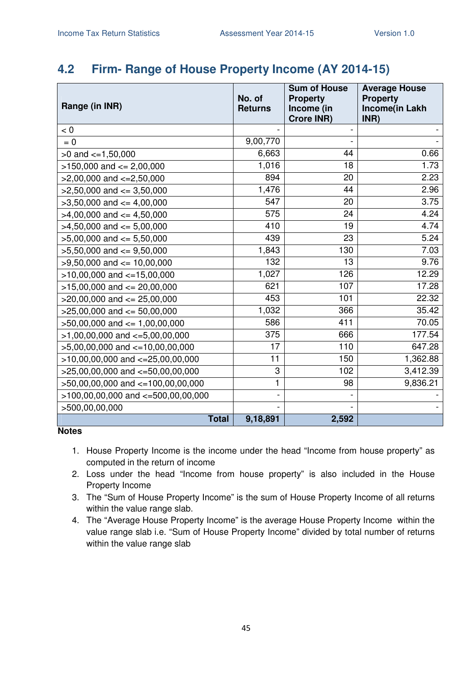### **4.2 Firm- Range of House Property Income (AY 2014-15)**

| Range (in INR)                         | No. of<br><b>Returns</b> | <b>Sum of House</b><br><b>Property</b><br>Income (in<br><b>Crore INR)</b> | <b>Average House</b><br><b>Property</b><br>Income(in Lakh<br>INR) |
|----------------------------------------|--------------------------|---------------------------------------------------------------------------|-------------------------------------------------------------------|
| < 0                                    |                          |                                                                           |                                                                   |
| $= 0$                                  | 9,00,770                 |                                                                           |                                                                   |
| $>0$ and $\lt=1,50,000$                | 6,663                    | 44                                                                        | 0.66                                                              |
| $>150,000$ and $<= 2,00,000$           | 1,016                    | 18                                                                        | 1.73                                                              |
| $>2,00,000$ and $\lt=2,50,000$         | 894                      | 20                                                                        | 2.23                                                              |
| $>2,50,000$ and $<=3,50,000$           | 1,476                    | 44                                                                        | 2.96                                                              |
| $>3,50,000$ and $<=4,00,000$           | 547                      | 20                                                                        | 3.75                                                              |
| $>4,00,000$ and $\leq 4,50,000$        | 575                      | 24                                                                        | 4.24                                                              |
| $>4,50,000$ and $\leq 5,00,000$        | 410                      | 19                                                                        | 4.74                                                              |
| $>5,00,000$ and $<= 5,50,000$          | 439                      | 23                                                                        | 5.24                                                              |
| $>5,50,000$ and $<=9,50,000$           | 1,843                    | 130                                                                       | 7.03                                                              |
| $>9,50,000$ and $\leq 10,00,000$       | 132                      | 13                                                                        | 9.76                                                              |
| $>10,00,000$ and $<-15,00,000$         | 1,027                    | 126                                                                       | 12.29                                                             |
| $>15,00,000$ and $<= 20,00,000$        | 621                      | 107                                                                       | 17.28                                                             |
| $>20,00,000$ and $<= 25,00,000$        | 453                      | 101                                                                       | 22.32                                                             |
| $>25,00,000$ and $<= 50,00,000$        | 1,032                    | 366                                                                       | 35.42                                                             |
| $>50,00,000$ and $<= 1,00,00,000$      | 586                      | 411                                                                       | 70.05                                                             |
| $>1,00,00,000$ and $\lt=5,00,00,000$   | 375                      | 666                                                                       | 177.54                                                            |
| $>5,00,00,000$ and $\lt=10,00,00,000$  | 17                       | 110                                                                       | 647.28                                                            |
| $>10,00,00,000$ and $<=25,00,00,000$   | 11                       | 150                                                                       | 1,362.88                                                          |
| $>25,00,00,000$ and $<=50,00,00,000$   | 3                        | 102                                                                       | 3,412.39                                                          |
| >50,00,00,000 and <=100,00,00,000      | 1                        | 98                                                                        | 9,836.21                                                          |
| $>100,00,00,000$ and $<=500,00,00,000$ |                          |                                                                           |                                                                   |
| >500,00,00,000                         |                          |                                                                           |                                                                   |
| <b>Total</b>                           | 9,18,891                 | 2,592                                                                     |                                                                   |

- 1. House Property Income is the income under the head "Income from house property" as computed in the return of income
- 2. Loss under the head "Income from house property" is also included in the House Property Income
- 3. The "Sum of House Property Income" is the sum of House Property Income of all returns within the value range slab.
- 4. The "Average House Property Income" is the average House Property Income within the value range slab i.e. "Sum of House Property Income" divided by total number of returns within the value range slab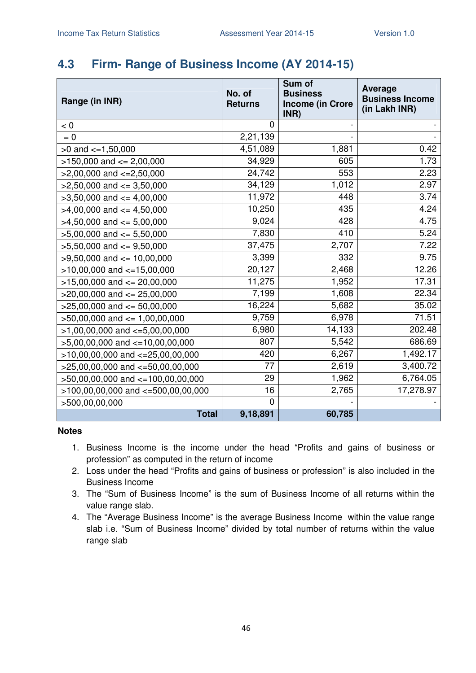## **4.3 Firm- Range of Business Income (AY 2014-15)**

| Range (in INR)                         | No. of<br><b>Returns</b> | Sum of<br><b>Business</b><br><b>Income (in Crore</b><br>INR) | <b>Average</b><br><b>Business Income</b><br>(in Lakh INR) |
|----------------------------------------|--------------------------|--------------------------------------------------------------|-----------------------------------------------------------|
| < 0                                    | $\Omega$                 |                                                              |                                                           |
| $= 0$                                  | 2,21,139                 |                                                              |                                                           |
| $>0$ and $\lt=1,50,000$                | 4,51,089                 | 1,881                                                        | 0.42                                                      |
| $>150,000$ and $<= 2,00,000$           | 34,929                   | 605                                                          | 1.73                                                      |
| $>2,00,000$ and $\lt=2,50,000$         | 24,742                   | 553                                                          | 2.23                                                      |
| $>2,50,000$ and $<=3,50,000$           | 34,129                   | 1,012                                                        | 2.97                                                      |
| $>3,50,000$ and $<=4,00,000$           | 11,972                   | 448                                                          | 3.74                                                      |
| $>4,00,000$ and $<=4,50,000$           | 10,250                   | 435                                                          | 4.24                                                      |
| $>4,50,000$ and $<=5,00,000$           | 9,024                    | 428                                                          | 4.75                                                      |
| $>5,00,000$ and $<= 5,50,000$          | 7,830                    | 410                                                          | 5.24                                                      |
| $>5,50,000$ and $<=9,50,000$           | 37,475                   | 2,707                                                        | 7.22                                                      |
| $>9,50,000$ and $<= 10,00,000$         | 3,399                    | 332                                                          | 9.75                                                      |
| $>10,00,000$ and $<-15,00,000$         | 20,127                   | 2,468                                                        | 12.26                                                     |
| $>15,00,000$ and $<= 20,00,000$        | 11,275                   | 1,952                                                        | 17.31                                                     |
| $>20,00,000$ and $<= 25,00,000$        | 7,199                    | 1,608                                                        | 22.34                                                     |
| $>25,00,000$ and $<= 50,00,000$        | 16,224                   | 5,682                                                        | 35.02                                                     |
| $>50,00,000$ and $\leq 1,00,00,000$    | 9,759                    | 6,978                                                        | 71.51                                                     |
| $>1,00,00,000$ and $\lt=5,00,00,000$   | 6,980                    | 14,133                                                       | 202.48                                                    |
| $>5,00,00,000$ and $\lt=10,00,00,000$  | 807                      | 5,542                                                        | 686.69                                                    |
| $>10,00,00,000$ and $<-25,00,00,000$   | 420                      | 6,267                                                        | 1,492.17                                                  |
| $>25,00,00,000$ and $<=50,00,00,000$   | 77                       | 2,619                                                        | 3,400.72                                                  |
| >50,00,00,000 and <=100,00,00,000      | 29                       | 1,962                                                        | 6,764.05                                                  |
| $>100,00,00,000$ and $<=500,00,00,000$ | 16                       | 2,765                                                        | 17,278.97                                                 |
| >500,00,00,000                         | $\Omega$                 |                                                              |                                                           |
| <b>Total</b>                           | 9,18,891                 | 60,785                                                       |                                                           |

- 1. Business Income is the income under the head "Profits and gains of business or profession" as computed in the return of income
- 2. Loss under the head "Profits and gains of business or profession" is also included in the Business Income
- 3. The "Sum of Business Income" is the sum of Business Income of all returns within the value range slab.
- 4. The "Average Business Income" is the average Business Income within the value range slab i.e. "Sum of Business Income" divided by total number of returns within the value range slab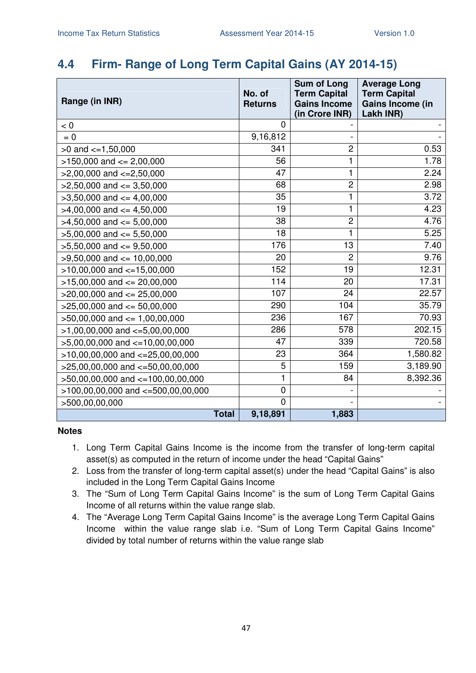### **4.4 Firm- Range of Long Term Capital Gains (AY 2014-15)**

| Range (in INR)                       | No. of<br><b>Returns</b> | <b>Sum of Long</b><br><b>Term Capital</b><br><b>Gains Income</b><br>(in Crore INR) | <b>Average Long</b><br><b>Term Capital</b><br><b>Gains Income (in</b><br>Lakh INR) |
|--------------------------------------|--------------------------|------------------------------------------------------------------------------------|------------------------------------------------------------------------------------|
| < 0                                  | $\overline{0}$           |                                                                                    |                                                                                    |
| $= 0$                                | 9,16,812                 |                                                                                    |                                                                                    |
| $>0$ and $\lt=1,50,000$              | 341                      | $\overline{c}$                                                                     | 0.53                                                                               |
| $>150,000$ and $<= 2,00,000$         | 56                       | 1                                                                                  | 1.78                                                                               |
| $>2,00,000$ and $<=2,50,000$         | 47                       | 1                                                                                  | 2.24                                                                               |
| $>2,50,000$ and $\leq$ 3,50,000      | 68                       | $\overline{c}$                                                                     | 2.98                                                                               |
| $>3,50,000$ and $<=4,00,000$         | 35                       | 1                                                                                  | 3.72                                                                               |
| $>4,00,000$ and $\leq 4,50,000$      | 19                       | 1                                                                                  | 4.23                                                                               |
| $>4,50,000$ and $<=5,00,000$         | 38                       | $\overline{c}$                                                                     | 4.76                                                                               |
| $>5,00,000$ and $<= 5,50,000$        | 18                       | 1                                                                                  | 5.25                                                                               |
| $>5,50,000$ and $<=9,50,000$         | 176                      | 13                                                                                 | 7.40                                                                               |
| $>9,50,000$ and $<= 10,00,000$       | 20                       | $\overline{2}$                                                                     | 9.76                                                                               |
| $>10,00,000$ and $<=15,00,000$       | 152                      | 19                                                                                 | 12.31                                                                              |
| $>15,00,000$ and $<= 20,00,000$      | 114                      | 20                                                                                 | 17.31                                                                              |
| $>$ 20,00,000 and $\leq$ 25,00,000   | 107                      | 24                                                                                 | 22.57                                                                              |
| $>25,00,000$ and $<= 50,00,000$      | 290                      | 104                                                                                | 35.79                                                                              |
| $>50,00,000$ and $<= 1,00,00,000$    | 236                      | 167                                                                                | 70.93                                                                              |
| $>1,00,00,000$ and $\lt=5,00,00,000$ | 286                      | 578                                                                                | 202.15                                                                             |
| $>5,00,00,000$ and $<=10,00,00,000$  | 47                       | 339                                                                                | 720.58                                                                             |
| $>10,00,00,000$ and $<=25,00,00,000$ | 23                       | 364                                                                                | 1,580.82                                                                           |
| $>25,00,00,000$ and $<=50,00,00,000$ | 5                        | 159                                                                                | 3,189.90                                                                           |
| >50,00,00,000 and <=100,00,00,000    | 1                        | 84                                                                                 | 8,392.36                                                                           |
| >100,00,00,000 and <=500,00,00,000   | $\mathbf 0$              |                                                                                    |                                                                                    |
| >500,00,00,000                       | $\overline{0}$           |                                                                                    |                                                                                    |
| <b>Total</b>                         | 9,18,891                 | 1,883                                                                              |                                                                                    |

- 1. Long Term Capital Gains Income is the income from the transfer of long-term capital asset(s) as computed in the return of income under the head "Capital Gains"
- 2. Loss from the transfer of long-term capital asset(s) under the head "Capital Gains" is also included in the Long Term Capital Gains Income
- 3. The "Sum of Long Term Capital Gains Income" is the sum of Long Term Capital Gains Income of all returns within the value range slab.
- 4. The "Average Long Term Capital Gains Income" is the average Long Term Capital Gains Income within the value range slab i.e. "Sum of Long Term Capital Gains Income" divided by total number of returns within the value range slab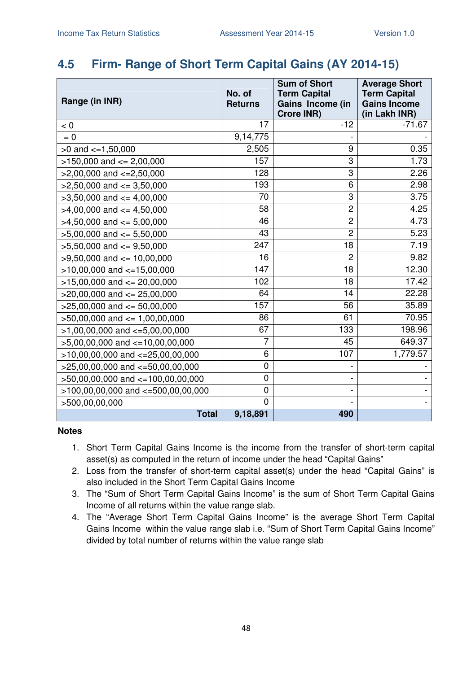### **4.5 Firm- Range of Short Term Capital Gains (AY 2014-15)**

| Range (in INR)                           | No. of<br><b>Returns</b> | <b>Sum of Short</b><br><b>Term Capital</b><br>Gains Income (in<br><b>Crore INR)</b> | <b>Average Short</b><br><b>Term Capital</b><br><b>Gains Income</b><br>(in Lakh INR) |
|------------------------------------------|--------------------------|-------------------------------------------------------------------------------------|-------------------------------------------------------------------------------------|
| < 0                                      | 17                       | $-12$                                                                               | $-71.67$                                                                            |
| $= 0$                                    | 9,14,775                 |                                                                                     |                                                                                     |
| $>0$ and $\lt=1,50,000$                  | 2,505                    | 9                                                                                   | 0.35                                                                                |
| $>150,000$ and $<= 2,00,000$             | 157                      | 3                                                                                   | 1.73                                                                                |
| $>2,00,000$ and $<=2,50,000$             | 128                      | 3                                                                                   | 2.26                                                                                |
| $>2,50,000$ and $\leq$ 3,50,000          | 193                      | 6                                                                                   | 2.98                                                                                |
| $>3,50,000$ and $\leq 4,00,000$          | 70                       | 3                                                                                   | 3.75                                                                                |
| $>4,00,000$ and $<=4,50,000$             | 58                       | $\overline{c}$                                                                      | 4.25                                                                                |
| $>4,50,000$ and $\leq 5,00,000$          | 46                       | $\overline{c}$                                                                      | 4.73                                                                                |
| $>5,00,000$ and $<= 5,50,000$            | 43                       | $\overline{2}$                                                                      | 5.23                                                                                |
| $>5,50,000$ and $<=9,50,000$             | 247                      | 18                                                                                  | 7.19                                                                                |
| $>9,50,000$ and $<= 10,00,000$           | 16                       | $\overline{2}$                                                                      | 9.82                                                                                |
| $>10,00,000$ and $<-15,00,000$           | 147                      | 18                                                                                  | 12.30                                                                               |
| $>15,00,000$ and $<= 20,00,000$          | 102                      | 18                                                                                  | 17.42                                                                               |
| $>20,00,000$ and $<= 25,00,000$          | 64                       | 14                                                                                  | 22.28                                                                               |
| $>25,00,000$ and $<= 50,00,000$          | 157                      | 56                                                                                  | 35.89                                                                               |
| $>50,00,000$ and $<= 1,00,00,000$        | 86                       | 61                                                                                  | 70.95                                                                               |
| $>1,00,00,000$ and $\lt=5,00,00,000$     | 67                       | 133                                                                                 | 198.96                                                                              |
| $>5,00,00,000$ and $<=10,00,00,000$      | $\overline{7}$           | 45                                                                                  | 649.37                                                                              |
| $>10,00,00,000$ and $<=25,00,00,000$     | 6                        | 107                                                                                 | 1,779.57                                                                            |
| >25,00,00,000 and <= 50,00,00,000        | 0                        |                                                                                     |                                                                                     |
| >50,00,00,000 and <=100,00,00,000        | $\mathbf 0$              |                                                                                     |                                                                                     |
| $>100,00,00,000$ and $\lt=500,00,00,000$ | 0                        |                                                                                     |                                                                                     |
| >500,00,00,000                           | $\overline{0}$           |                                                                                     |                                                                                     |
| <b>Total</b>                             | 9,18,891                 | 490                                                                                 |                                                                                     |

- 1. Short Term Capital Gains Income is the income from the transfer of short-term capital asset(s) as computed in the return of income under the head "Capital Gains"
- 2. Loss from the transfer of short-term capital asset(s) under the head "Capital Gains" is also included in the Short Term Capital Gains Income
- 3. The "Sum of Short Term Capital Gains Income" is the sum of Short Term Capital Gains Income of all returns within the value range slab.
- 4. The "Average Short Term Capital Gains Income" is the average Short Term Capital Gains Income within the value range slab i.e. "Sum of Short Term Capital Gains Income" divided by total number of returns within the value range slab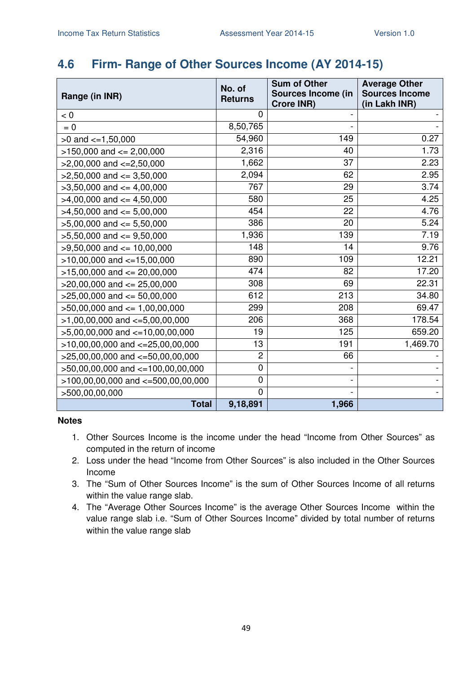### **4.6 Firm- Range of Other Sources Income (AY 2014-15)**

| Range (in INR)                         | No. of<br><b>Returns</b> | <b>Sum of Other</b><br><b>Sources Income (in</b> | <b>Average Other</b><br><b>Sources Income</b> |
|----------------------------------------|--------------------------|--------------------------------------------------|-----------------------------------------------|
|                                        |                          | Crore INR)                                       | (in Lakh INR)                                 |
| < 0                                    | 0                        |                                                  |                                               |
| $= 0$                                  | 8,50,765                 |                                                  |                                               |
| $>0$ and $\lt=1,50,000$                | 54,960                   | 149                                              | 0.27                                          |
| $>150,000$ and $<= 2,00,000$           | 2,316                    | 40                                               | 1.73                                          |
| $>2,00,000$ and $\lt=2,50,000$         | 1,662                    | 37                                               | 2.23                                          |
| $>2,50,000$ and $\leq$ 3,50,000        | 2,094                    | 62                                               | 2.95                                          |
| $>3,50,000$ and $<=4,00,000$           | 767                      | 29                                               | 3.74                                          |
| $>4,00,000$ and $\leq 4,50,000$        | 580                      | 25                                               | 4.25                                          |
| $>4,50,000$ and $\leq 5,00,000$        | 454                      | 22                                               | 4.76                                          |
| $>5,00,000$ and $<= 5,50,000$          | 386                      | 20                                               | 5.24                                          |
| $>5,50,000$ and $<=9,50,000$           | 1,936                    | 139                                              | 7.19                                          |
| $>9,50,000$ and $\leq 10,00,000$       | 148                      | 14                                               | 9.76                                          |
| $>10,00,000$ and $<-15,00,000$         | 890                      | 109                                              | 12.21                                         |
| $>15,00,000$ and $<= 20,00,000$        | 474                      | 82                                               | 17.20                                         |
| $>20,00,000$ and $\leq$ 25,00,000      | 308                      | 69                                               | 22.31                                         |
| $>25,00,000$ and $<= 50,00,000$        | 612                      | 213                                              | 34.80                                         |
| $>50,00,000$ and $<= 1,00,00,000$      | 299                      | 208                                              | 69.47                                         |
| $>1,00,00,000$ and $\lt=5,00,00,000$   | 206                      | 368                                              | 178.54                                        |
| $>5,00,00,000$ and $\lt=10,00,00,000$  | 19                       | 125                                              | 659.20                                        |
| $>10,00,00,000$ and $<=25,00,00,000$   | 13                       | 191                                              | 1,469.70                                      |
| $>25,00,00,000$ and $<-50,00,00,000$   | $\overline{2}$           | 66                                               |                                               |
| $>50,00,00,000$ and $<=100,00,00,000$  | $\mathbf 0$              |                                                  |                                               |
| $>100,00,00,000$ and $<=500,00,00,000$ | $\mathbf 0$              |                                                  |                                               |
| >500,00,00,000                         | $\mathbf{0}$             |                                                  |                                               |
| <b>Total</b>                           | 9,18,891                 | 1,966                                            |                                               |

- 1. Other Sources Income is the income under the head "Income from Other Sources" as computed in the return of income
- 2. Loss under the head "Income from Other Sources" is also included in the Other Sources Income
- 3. The "Sum of Other Sources Income" is the sum of Other Sources Income of all returns within the value range slab.
- 4. The "Average Other Sources Income" is the average Other Sources Income within the value range slab i.e. "Sum of Other Sources Income" divided by total number of returns within the value range slab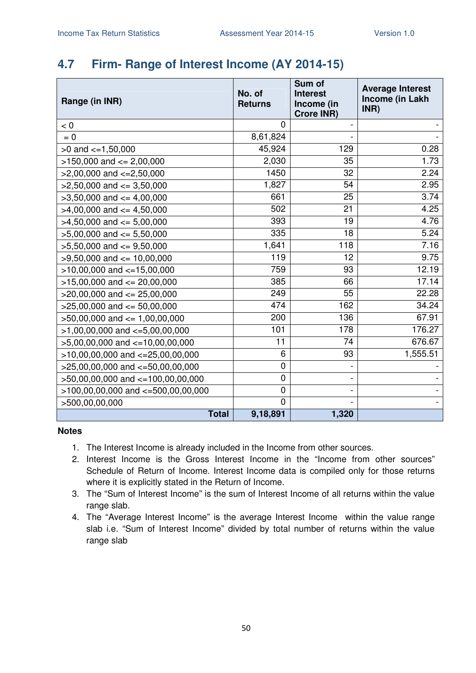# **4.7 Firm- Range of Interest Income (AY 2014-15)**

| Range (in INR)                         | No. of<br><b>Returns</b> | Sum of<br><b>Interest</b><br>Income (in<br><b>Crore INR)</b> | <b>Average Interest</b><br>Income (in Lakh<br>INR) |
|----------------------------------------|--------------------------|--------------------------------------------------------------|----------------------------------------------------|
| < 0                                    | $\Omega$                 |                                                              |                                                    |
| $= 0$                                  | 8,61,824                 |                                                              |                                                    |
| $>0$ and $\lt=1,50,000$                | 45,924                   | 129                                                          | 0.28                                               |
| $>150,000$ and $<= 2,00,000$           | 2,030                    | 35                                                           | 1.73                                               |
| $>2,00,000$ and $<=2,50,000$           | 1450                     | 32                                                           | 2.24                                               |
| $>2,50,000$ and $<=3,50,000$           | 1,827                    | 54                                                           | 2.95                                               |
| $>3,50,000$ and $<=4,00,000$           | 661                      | 25                                                           | 3.74                                               |
| $>4,00,000$ and $<=4,50,000$           | 502                      | 21                                                           | 4.25                                               |
| $>4,50,000$ and $<=5,00,000$           | 393                      | 19                                                           | 4.76                                               |
| $>5,00,000$ and $<= 5,50,000$          | 335                      | 18                                                           | $\overline{5.24}$                                  |
| $>5,50,000$ and $<=9,50,000$           | 1,641                    | 118                                                          | 7.16                                               |
| $>9,50,000$ and $<= 10,00,000$         | 119                      | 12                                                           | 9.75                                               |
| $>10,00,000$ and $<=15,00,000$         | 759                      | 93                                                           | 12.19                                              |
| $>15,00,000$ and $<= 20,00,000$        | 385                      | 66                                                           | 17.14                                              |
| $>20,00,000$ and $<= 25,00,000$        | 249                      | 55                                                           | 22.28                                              |
| $>25,00,000$ and $<= 50,00,000$        | 474                      | 162                                                          | 34.24                                              |
| $>50,00,000$ and $\leq 1,00,00,000$    | 200                      | 136                                                          | 67.91                                              |
| $>1,00,00,000$ and $\lt=5,00,00,000$   | 101                      | 178                                                          | 176.27                                             |
| $>5,00,00,000$ and $\lt=10,00,00,000$  | 11                       | 74                                                           | 676.67                                             |
| $>10,00,00,000$ and $<=25,00,00,000$   | 6                        | 93                                                           | 1,555.51                                           |
| >25,00,00,000 and <=50,00,00,000       | 0                        |                                                              |                                                    |
| >50,00,00,000 and <=100,00,00,000      | 0                        |                                                              |                                                    |
| $>100,00,00,000$ and $<=500,00,00,000$ | $\mathsf 0$              |                                                              |                                                    |
| >500,00,00,000                         | $\overline{0}$           |                                                              |                                                    |
| <b>Total</b>                           | 9,18,891                 | 1,320                                                        |                                                    |

- 1. The Interest Income is already included in the Income from other sources.
- 2. Interest Income is the Gross Interest Income in the "Income from other sources" Schedule of Return of Income. Interest Income data is compiled only for those returns where it is explicitly stated in the Return of Income.
- 3. The "Sum of Interest Income" is the sum of Interest Income of all returns within the value range slab.
- 4. The "Average Interest Income" is the average Interest Income within the value range slab i.e. "Sum of Interest Income" divided by total number of returns within the value range slab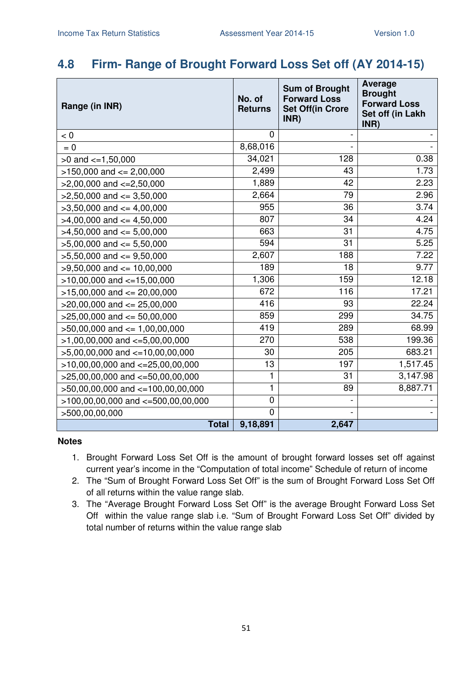### **4.8 Firm- Range of Brought Forward Loss Set off (AY 2014-15)**

| Range (in INR)                           | No. of<br><b>Returns</b> | <b>Sum of Brought</b><br><b>Forward Loss</b><br><b>Set Off(in Crore</b><br>INR) | <b>Average</b><br><b>Brought</b><br><b>Forward Loss</b><br>Set off (in Lakh<br>INR) |
|------------------------------------------|--------------------------|---------------------------------------------------------------------------------|-------------------------------------------------------------------------------------|
| < 0                                      | 0                        |                                                                                 |                                                                                     |
| $= 0$                                    | 8,68,016                 |                                                                                 |                                                                                     |
| $>0$ and $\lt=1,50,000$                  | 34,021                   | 128                                                                             | 0.38                                                                                |
| $>150,000$ and $<= 2,00,000$             | 2,499                    | 43                                                                              | 1.73                                                                                |
| $>2,00,000$ and $\lt=2,50,000$           | 1,889                    | 42                                                                              | 2.23                                                                                |
| $>2,50,000$ and $<=3,50,000$             | 2,664                    | 79                                                                              | 2.96                                                                                |
| $>3,50,000$ and $<=4,00,000$             | 955                      | 36                                                                              | 3.74                                                                                |
| $>4,00,000$ and $\leq 4,50,000$          | 807                      | 34                                                                              | 4.24                                                                                |
| $>4,50,000$ and $<=5,00,000$             | 663                      | 31                                                                              | 4.75                                                                                |
| $>5,00,000$ and $<= 5,50,000$            | 594                      | 31                                                                              | 5.25                                                                                |
| $>5,50,000$ and $<=9,50,000$             | 2,607                    | 188                                                                             | 7.22                                                                                |
| $>9,50,000$ and $<= 10,00,000$           | 189                      | 18                                                                              | 9.77                                                                                |
| $>10,00,000$ and $<=15,00,000$           | 1,306                    | 159                                                                             | 12.18                                                                               |
| $>15,00,000$ and $<= 20,00,000$          | 672                      | 116                                                                             | 17.21                                                                               |
| $>20,00,000$ and $<= 25,00,000$          | 416                      | 93                                                                              | 22.24                                                                               |
| $>25,00,000$ and $<= 50,00,000$          | 859                      | 299                                                                             | 34.75                                                                               |
| $>50,00,000$ and $<= 1,00,00,000$        | 419                      | 289                                                                             | 68.99                                                                               |
| $>1,00,00,000$ and $\lt=5,00,00,000$     | 270                      | 538                                                                             | 199.36                                                                              |
| $>5,00,00,000$ and $\lt=10,00,00,000$    | 30                       | 205                                                                             | 683.21                                                                              |
| $>10,00,00,000$ and $<=25,00,00,000$     | 13                       | 197                                                                             | 1,517.45                                                                            |
| $>25,00,00,000$ and $<-50,00,00,000$     | 1                        | 31                                                                              | 3,147.98                                                                            |
| >50,00,00,000 and <=100,00,00,000        | 1                        | 89                                                                              | 8,887.71                                                                            |
| $>100,00,00,000$ and $\lt=500,00,00,000$ | 0                        |                                                                                 |                                                                                     |
| >500,00,00,000                           | $\overline{0}$           |                                                                                 |                                                                                     |
| <b>Total</b>                             | 9,18,891                 | 2,647                                                                           |                                                                                     |

- 1. Brought Forward Loss Set Off is the amount of brought forward losses set off against current year's income in the "Computation of total income" Schedule of return of income
- 2. The "Sum of Brought Forward Loss Set Off" is the sum of Brought Forward Loss Set Off of all returns within the value range slab.
- 3. The "Average Brought Forward Loss Set Off" is the average Brought Forward Loss Set Off within the value range slab i.e. "Sum of Brought Forward Loss Set Off" divided by total number of returns within the value range slab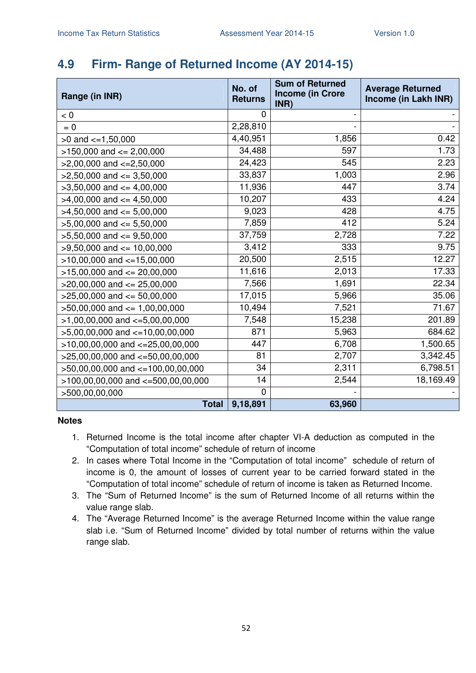# **4.9 Firm- Range of Returned Income (AY 2014-15)**

| Range (in INR)                         | No. of<br><b>Returns</b> | <b>Sum of Returned</b><br><b>Income (in Crore</b><br>INR) | <b>Average Returned</b><br>Income (in Lakh INR) |
|----------------------------------------|--------------------------|-----------------------------------------------------------|-------------------------------------------------|
| < 0                                    | 0                        |                                                           |                                                 |
| $= 0$                                  | 2,28,810                 |                                                           |                                                 |
| $>0$ and $\leq 1,50,000$               | 4,40,951                 | 1,856                                                     | 0.42                                            |
| $>150,000$ and $<= 2,00,000$           | 34,488                   | 597                                                       | 1.73                                            |
| $>2,00,000$ and $\lt=2,50,000$         | 24,423                   | 545                                                       | 2.23                                            |
| $>2,50,000$ and $<=3,50,000$           | 33,837                   | 1,003                                                     | 2.96                                            |
| $>3,50,000$ and $<=4,00,000$           | 11,936                   | 447                                                       | 3.74                                            |
| $>4,00,000$ and $\leq 4,50,000$        | 10,207                   | 433                                                       | 4.24                                            |
| $>4,50,000$ and $<=5,00,000$           | 9,023                    | 428                                                       | 4.75                                            |
| $>5,00,000$ and $<= 5,50,000$          | 7,859                    | 412                                                       | 5.24                                            |
| $>5,50,000$ and $<=9,50,000$           | 37,759                   | 2,728                                                     | 7.22                                            |
| $>9,50,000$ and $<= 10,00,000$         | 3,412                    | 333                                                       | 9.75                                            |
| $>10,00,000$ and $<-15,00,000$         | 20,500                   | 2,515                                                     | 12.27                                           |
| $>15,00,000$ and $<= 20,00,000$        | 11,616                   | 2,013                                                     | 17.33                                           |
| $>20,00,000$ and $\leq$ 25,00,000      | 7,566                    | 1,691                                                     | 22.34                                           |
| $>25,00,000$ and $<= 50,00,000$        | 17,015                   | 5,966                                                     | 35.06                                           |
| $>50,00,000$ and $<= 1,00,00,000$      | 10,494                   | 7,521                                                     | 71.67                                           |
| $>1,00,00,000$ and $\lt=5,00,00,000$   | 7,548                    | 15,238                                                    | 201.89                                          |
| $>5,00,00,000$ and $\lt=10,00,00,000$  | 871                      | 5,963                                                     | 684.62                                          |
| $>10,00,00,000$ and $<=25,00,00,000$   | 447                      | 6,708                                                     | 1,500.65                                        |
| $>25,00,00,000$ and $<=50,00,00,000$   | 81                       | 2,707                                                     | 3,342.45                                        |
| >50,00,00,000 and <=100,00,00,000      | 34                       | 2,311                                                     | 6,798.51                                        |
| $>100,00,00,000$ and $<-500,00,00,000$ | 14                       | 2,544                                                     | 18,169.49                                       |
| >500,00,00,000                         | $\overline{0}$           |                                                           |                                                 |
| <b>Total</b>                           | 9,18,891                 | 63,960                                                    |                                                 |

- 1. Returned Income is the total income after chapter VI-A deduction as computed in the "Computation of total income" schedule of return of income
- 2. In cases where Total Income in the "Computation of total income" schedule of return of income is 0, the amount of losses of current year to be carried forward stated in the "Computation of total income" schedule of return of income is taken as Returned Income.
- 3. The "Sum of Returned Income" is the sum of Returned Income of all returns within the value range slab.
- 4. The "Average Returned Income" is the average Returned Income within the value range slab i.e. "Sum of Returned Income" divided by total number of returns within the value range slab.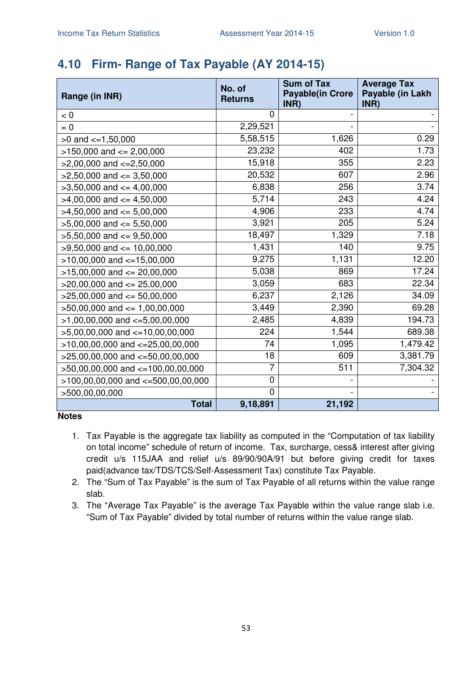# **4.10 Firm- Range of Tax Payable (AY 2014-15)**

| Range (in INR)                        | No. of<br><b>Returns</b> | <b>Sum of Tax</b><br><b>Payable(in Crore</b><br>INR) | <b>Average Tax</b><br>Payable (in Lakh<br>INR) |
|---------------------------------------|--------------------------|------------------------------------------------------|------------------------------------------------|
| < 0                                   | 0                        |                                                      |                                                |
| $= 0$                                 | 2,29,521                 |                                                      |                                                |
| $>0$ and $\lt=1,50,000$               | 5,58,515                 | 1,626                                                | 0.29                                           |
| $>150,000$ and $<= 2,00,000$          | 23,232                   | 402                                                  | 1.73                                           |
| $>2,00,000$ and $\lt=2,50,000$        | 15,918                   | 355                                                  | 2.23                                           |
| $>2,50,000$ and $<=3,50,000$          | 20,532                   | 607                                                  | 2.96                                           |
| $>3,50,000$ and $<=4,00,000$          | 6,838                    | 256                                                  | 3.74                                           |
| $>4,00,000$ and $\leq 4,50,000$       | 5,714                    | 243                                                  | 4.24                                           |
| $>4,50,000$ and $<=5,00,000$          | 4,906                    | 233                                                  | 4.74                                           |
| $>5,00,000$ and $<= 5,50,000$         | 3,921                    | 205                                                  | 5.24                                           |
| $>5,50,000$ and $<=9,50,000$          | 18,497                   | 1,329                                                | 7.18                                           |
| $>9,50,000$ and $\leq 10,00,000$      | 1,431                    | 140                                                  | 9.75                                           |
| $>10,00,000$ and $<=15,00,000$        | 9,275                    | 1,131                                                | 12.20                                          |
| $>15,00,000$ and $<= 20,00,000$       | 5,038                    | 869                                                  | 17.24                                          |
| $>20,00,000$ and $\leq$ 25,00,000     | 3,059                    | 683                                                  | 22.34                                          |
| $>25,00,000$ and $<= 50,00,000$       | 6,237                    | 2,126                                                | 34.09                                          |
| $>50,00,000$ and $<= 1,00,00,000$     | 3,449                    | 2,390                                                | 69.28                                          |
| $>1,00,00,000$ and $\lt=5,00,00,000$  | 2,485                    | 4,839                                                | 194.73                                         |
| $>5,00,00,000$ and $\lt=10,00,00,000$ | 224                      | 1,544                                                | 689.38                                         |
| $>10,00,00,000$ and $<-25,00,00,000$  | 74                       | 1,095                                                | 1,479.42                                       |
| $>25,00,00,000$ and $<=50,00,00,000$  | 18                       | 609                                                  | 3,381.79                                       |
| >50,00,00,000 and <=100,00,00,000     | 7                        | 511                                                  | 7,304.32                                       |
| >100,00,00,000 and <=500,00,00,000    | $\pmb{0}$                |                                                      |                                                |
| >500,00,00,000                        | $\mathbf 0$              |                                                      |                                                |
| <b>Total</b>                          | 9,18,891                 | 21,192                                               |                                                |

- 1. Tax Payable is the aggregate tax liability as computed in the "Computation of tax liability on total income" schedule of return of income. Tax, surcharge, cess& interest after giving credit u/s 115JAA and relief u/s 89/90/90A/91 but before giving credit for taxes paid(advance tax/TDS/TCS/Self-Assessment Tax) constitute Tax Payable.
- 2. The "Sum of Tax Payable" is the sum of Tax Payable of all returns within the value range slab.
- 3. The "Average Tax Payable" is the average Tax Payable within the value range slab i.e. "Sum of Tax Payable" divided by total number of returns within the value range slab.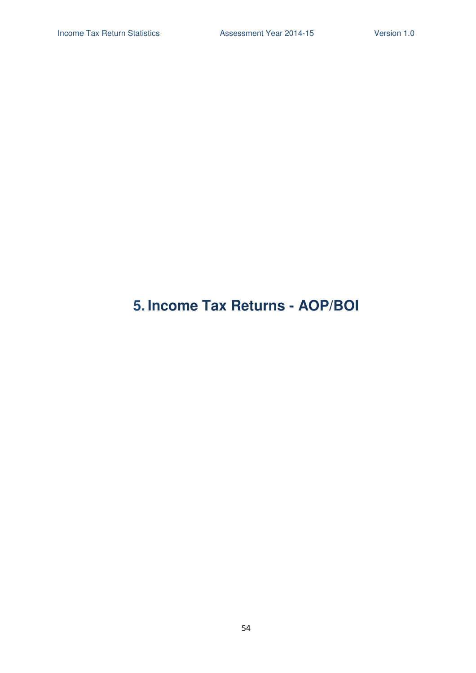# **5. Income Tax Returns - AOP/BOI**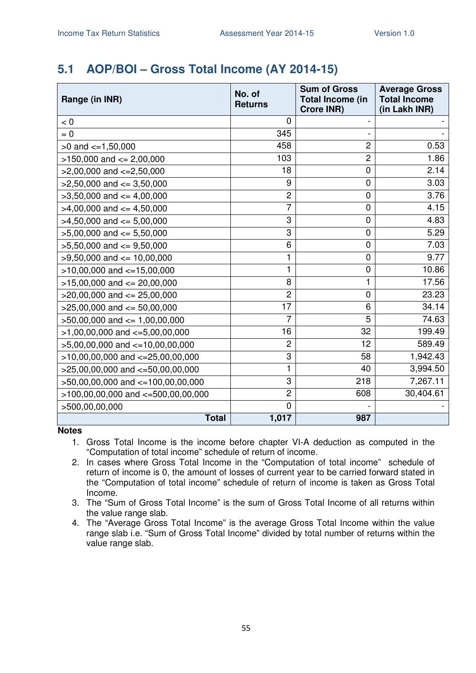# **5.1 AOP/BOI – Gross Total Income (AY 2014-15)**

| Range (in INR)                         | No. of<br><b>Returns</b> | <b>Sum of Gross</b><br><b>Total Income (in</b><br><b>Crore INR)</b> | <b>Average Gross</b><br><b>Total Income</b><br>(in Lakh INR) |
|----------------------------------------|--------------------------|---------------------------------------------------------------------|--------------------------------------------------------------|
| < 0                                    | 0                        |                                                                     |                                                              |
| $= 0$                                  | 345                      |                                                                     |                                                              |
| $>0$ and $\lt=1,50,000$                | 458                      | $\overline{2}$                                                      | 0.53                                                         |
| $>150,000$ and $<= 2,00,000$           | 103                      | $\overline{2}$                                                      | 1.86                                                         |
| $>2,00,000$ and $\lt=2,50,000$         | 18                       | $\mathbf 0$                                                         | 2.14                                                         |
| $>2,50,000$ and $\leq$ 3,50,000        | 9                        | $\mathbf 0$                                                         | 3.03                                                         |
| $>3,50,000$ and $<=4,00,000$           | $\overline{c}$           | $\mathbf 0$                                                         | 3.76                                                         |
| $>4,00,000$ and $\leq 4,50,000$        | $\overline{7}$           | $\mathbf 0$                                                         | 4.15                                                         |
| $>4,50,000$ and $\leq 5,00,000$        | 3                        | $\mathbf 0$                                                         | 4.83                                                         |
| $>5,00,000$ and $<= 5,50,000$          | 3                        | $\mathbf 0$                                                         | 5.29                                                         |
| $>5,50,000$ and $\leq 9,50,000$        | 6                        | $\mathbf 0$                                                         | 7.03                                                         |
| $>9,50,000$ and $\leq 10,00,000$       | 1                        | $\overline{0}$                                                      | 9.77                                                         |
| $>10,00,000$ and $<=15,00,000$         | 1                        | 0                                                                   | 10.86                                                        |
| $>15,00,000$ and $<= 20,00,000$        | 8                        | 1                                                                   | 17.56                                                        |
| $>20,00,000$ and $\leq$ 25,00,000      | $\overline{c}$           | $\mathbf 0$                                                         | 23.23                                                        |
| $>25,00,000$ and $<= 50,00,000$        | 17                       | 6                                                                   | 34.14                                                        |
| $>50,00,000$ and $<= 1,00,00,000$      | $\overline{7}$           | 5                                                                   | 74.63                                                        |
| $>1,00,00,000$ and $\lt=5,00,00,000$   | 16                       | 32                                                                  | 199.49                                                       |
| $>5,00,00,000$ and $<-10,00,00,000$    | $\overline{2}$           | 12                                                                  | 589.49                                                       |
| $>10,00,00,000$ and $<=25,00,00,000$   | 3                        | 58                                                                  | 1,942.43                                                     |
| $>25,00,00,000$ and $<-50,00,00,000$   | 1                        | 40                                                                  | 3,994.50                                                     |
| >50,00,00,000 and <=100,00,00,000      | 3                        | 218                                                                 | 7,267.11                                                     |
| $>100,00,00,000$ and $<=500,00,00,000$ | $\overline{c}$           | 608                                                                 | 30,404.61                                                    |
| >500,00,00,000                         | 0                        |                                                                     |                                                              |
| <b>Total</b>                           | 1,017                    | 987                                                                 |                                                              |

- 1. Gross Total Income is the income before chapter VI-A deduction as computed in the "Computation of total income" schedule of return of income.
- 2. In cases where Gross Total Income in the "Computation of total income" schedule of return of income is 0, the amount of losses of current year to be carried forward stated in the "Computation of total income" schedule of return of income is taken as Gross Total Income.
- 3. The "Sum of Gross Total Income" is the sum of Gross Total Income of all returns within the value range slab.
- 4. The "Average Gross Total Income" is the average Gross Total Income within the value range slab i.e. "Sum of Gross Total Income" divided by total number of returns within the value range slab.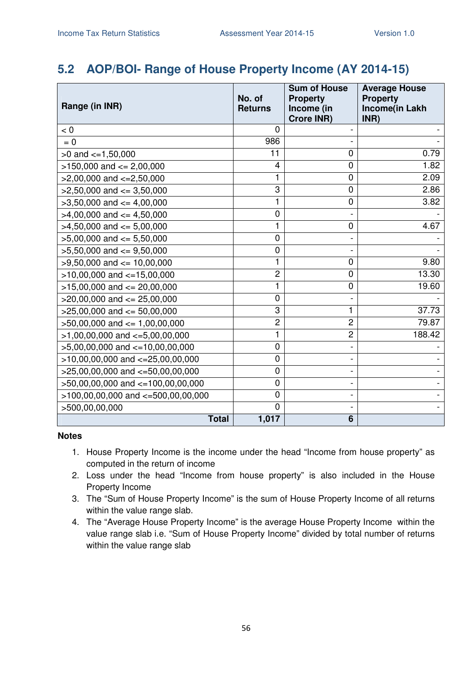### **5.2 AOP/BOI- Range of House Property Income (AY 2014-15)**

| Range (in INR)                        | No. of<br><b>Returns</b> | <b>Sum of House</b><br><b>Property</b><br>Income (in<br><b>Crore INR)</b> | <b>Average House</b><br><b>Property</b><br>Income(in Lakh<br>INR) |
|---------------------------------------|--------------------------|---------------------------------------------------------------------------|-------------------------------------------------------------------|
| < 0                                   | 0                        |                                                                           |                                                                   |
| $= 0$                                 | 986                      |                                                                           |                                                                   |
| $>0$ and $\lt=1,50,000$               | 11                       | 0                                                                         | 0.79                                                              |
| $>150,000$ and $<= 2,00,000$          | 4                        | 0                                                                         | 1.82                                                              |
| $>2,00,000$ and $<=2,50,000$          | 1                        | 0                                                                         | 2.09                                                              |
| $>2,50,000$ and $\leq 3,50,000$       | 3                        | $\mathbf 0$                                                               | 2.86                                                              |
| $>3,50,000$ and $\lt=4,00,000$        | 1                        | 0                                                                         | 3.82                                                              |
| $>4,00,000$ and $\leq 4,50,000$       | $\mathbf 0$              |                                                                           |                                                                   |
| $>4,50,000$ and $\leq 5,00,000$       | 1                        | $\mathbf 0$                                                               | 4.67                                                              |
| $>5,00,000$ and $<= 5,50,000$         | $\mathbf 0$              |                                                                           |                                                                   |
| $>5,50,000$ and $<=9,50,000$          | $\mathbf 0$              |                                                                           |                                                                   |
| $>9,50,000$ and $\leq 10,00,000$      | 1                        | 0                                                                         | 9.80                                                              |
| $>10,00,000$ and $<-15,00,000$        | $\overline{c}$           | $\overline{0}$                                                            | 13.30                                                             |
| $>15,00,000$ and $<= 20,00,000$       | 1                        | 0                                                                         | 19.60                                                             |
| $>20,00,000$ and $\leq$ 25,00,000     | $\mathbf 0$              |                                                                           |                                                                   |
| $>25,00,000$ and $<= 50,00,000$       | 3                        | 1                                                                         | 37.73                                                             |
| $>50,00,000$ and $\leq 1,00,00,000$   | $\overline{c}$           | $\overline{c}$                                                            | 79.87                                                             |
| $>1,00,00,000$ and $\lt=5,00,00,000$  | 1                        | $\overline{2}$                                                            | 188.42                                                            |
| $>5,00,00,000$ and $\lt=10,00,00,000$ | 0                        |                                                                           |                                                                   |
| $>10,00,00,000$ and $<-25,00,00,000$  | $\mathbf 0$              |                                                                           |                                                                   |
| $>25,00,00,000$ and $<=50,00,00,000$  | $\mathbf 0$              |                                                                           |                                                                   |
| >50,00,00,000 and <=100,00,00,000     | $\mathbf 0$              |                                                                           |                                                                   |
| >100,00,00,000 and <=500,00,00,000    | $\mathbf 0$              |                                                                           |                                                                   |
| >500,00,00,000                        | $\overline{0}$           |                                                                           |                                                                   |
| <b>Total</b>                          | 1,017                    | 6                                                                         |                                                                   |

- 1. House Property Income is the income under the head "Income from house property" as computed in the return of income
- 2. Loss under the head "Income from house property" is also included in the House Property Income
- 3. The "Sum of House Property Income" is the sum of House Property Income of all returns within the value range slab.
- 4. The "Average House Property Income" is the average House Property Income within the value range slab i.e. "Sum of House Property Income" divided by total number of returns within the value range slab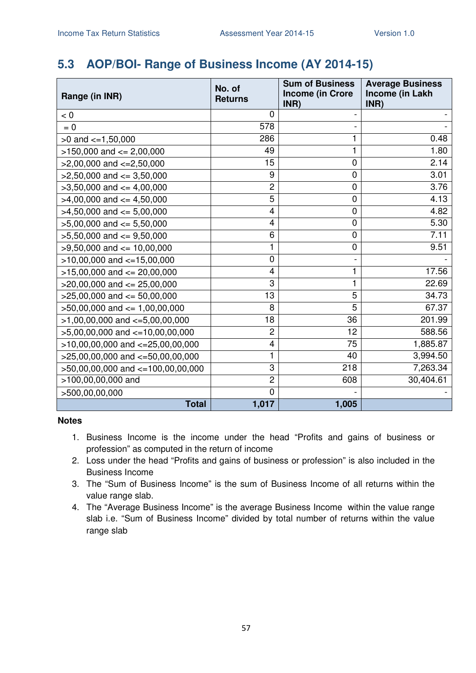# **5.3 AOP/BOI- Range of Business Income (AY 2014-15)**

| Range (in INR)                        | No. of<br><b>Returns</b> | <b>Sum of Business</b><br><b>Income (in Crore</b><br>INR) | <b>Average Business</b><br>Income (in Lakh<br>INR) |
|---------------------------------------|--------------------------|-----------------------------------------------------------|----------------------------------------------------|
| < 0                                   | 0                        |                                                           |                                                    |
| $= 0$                                 | 578                      |                                                           |                                                    |
| $>0$ and $\lt=1,50,000$               | 286                      | 1                                                         | 0.48                                               |
| $>150,000$ and $<= 2,00,000$          | 49                       | 1                                                         | 1.80                                               |
| $>2,00,000$ and $<=2,50,000$          | 15                       | $\overline{0}$                                            | 2.14                                               |
| $>2,50,000$ and $<=3,50,000$          | 9                        | $\mathbf 0$                                               | 3.01                                               |
| $>3,50,000$ and $<=4,00,000$          | $\overline{c}$           | 0                                                         | 3.76                                               |
| $>4,00,000$ and $\leq 4,50,000$       | 5                        | $\mathbf 0$                                               | 4.13                                               |
| $>4,50,000$ and $\leq 5,00,000$       | 4                        | $\mathbf 0$                                               | 4.82                                               |
| $>5,00,000$ and $<= 5,50,000$         | 4                        | 0                                                         | 5.30                                               |
| $>5,50,000$ and $<=9,50,000$          | 6                        | $\mathbf 0$                                               | 7.11                                               |
| $>9,50,000$ and $<= 10,00,000$        | 1                        | $\mathbf 0$                                               | 9.51                                               |
| $>10,00,000$ and $<-15,00,000$        | $\overline{0}$           |                                                           |                                                    |
| $>15,00,000$ and $<= 20,00,000$       | 4                        | 1                                                         | 17.56                                              |
| $>20,00,000$ and $<= 25,00,000$       | 3                        | 1                                                         | 22.69                                              |
| $>25,00,000$ and $<= 50,00,000$       | 13                       | $\overline{5}$                                            | 34.73                                              |
| $>50,00,000$ and $\leq 1,00,00,000$   | 8                        | $\overline{5}$                                            | 67.37                                              |
| $>1,00,00,000$ and $\lt=5,00,00,000$  | 18                       | 36                                                        | 201.99                                             |
| $>5,00,00,000$ and $\lt=10,00,00,000$ | $\overline{c}$           | 12                                                        | 588.56                                             |
| $>10,00,00,000$ and $<=25,00,00,000$  | 4                        | 75                                                        | 1,885.87                                           |
| >25,00,00,000 and <= 50,00,00,000     | 1                        | 40                                                        | 3,994.50                                           |
| $>50,00,00,000$ and $<=100,00,00,000$ | 3                        | 218                                                       | 7,263.34                                           |
| >100,00,00,000 and                    | $\overline{c}$           | 608                                                       | 30,404.61                                          |
| >500,00,00,000                        | $\overline{0}$           |                                                           |                                                    |
| <b>Total</b>                          | 1,017                    | 1,005                                                     |                                                    |

- 1. Business Income is the income under the head "Profits and gains of business or profession" as computed in the return of income
- 2. Loss under the head "Profits and gains of business or profession" is also included in the Business Income
- 3. The "Sum of Business Income" is the sum of Business Income of all returns within the value range slab.
- 4. The "Average Business Income" is the average Business Income within the value range slab i.e. "Sum of Business Income" divided by total number of returns within the value range slab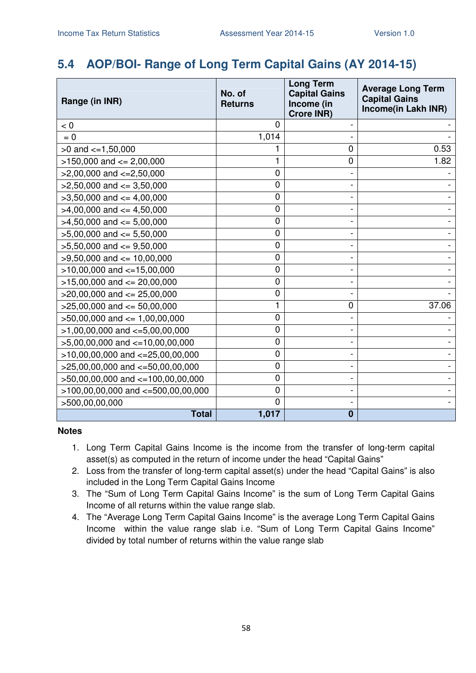# **5.4 AOP/BOI- Range of Long Term Capital Gains (AY 2014-15)**

| Range (in INR)                           | No. of<br><b>Returns</b> | <b>Long Term</b><br><b>Capital Gains</b><br>Income (in<br><b>Crore INR)</b> | <b>Average Long Term</b><br><b>Capital Gains</b><br>Income(in Lakh INR) |
|------------------------------------------|--------------------------|-----------------------------------------------------------------------------|-------------------------------------------------------------------------|
| $< 0$                                    | $\mathbf{0}$             |                                                                             |                                                                         |
| $= 0$                                    | 1,014                    |                                                                             |                                                                         |
| $>0$ and $\lt=1,50,000$                  |                          | $\overline{0}$                                                              | 0.53                                                                    |
| $>150,000$ and $<= 2,00,000$             | 1                        | $\mathbf 0$                                                                 | 1.82                                                                    |
| $>2,00,000$ and $<=2,50,000$             | $\mathbf 0$              |                                                                             |                                                                         |
| $>2,50,000$ and $<=3,50,000$             | 0                        |                                                                             |                                                                         |
| $>3,50,000$ and $<= 4,00,000$            | 0                        |                                                                             |                                                                         |
| $>4,00,000$ and $\leq 4,50,000$          | 0                        |                                                                             |                                                                         |
| $>4,50,000$ and $\leq 5,00,000$          | $\mathbf 0$              |                                                                             |                                                                         |
| $>5,00,000$ and $<= 5,50,000$            | 0                        |                                                                             |                                                                         |
| $>5,50,000$ and $<=9,50,000$             | $\mathbf 0$              |                                                                             |                                                                         |
| $>9,50,000$ and $<= 10,00,000$           | $\mathbf 0$              |                                                                             |                                                                         |
| $>10,00,000$ and $<=15,00,000$           | 0                        |                                                                             |                                                                         |
| $>15,00,000$ and $<= 20,00,000$          | 0                        |                                                                             |                                                                         |
| $>20,00,000$ and $<= 25,00,000$          | $\mathbf 0$              |                                                                             |                                                                         |
| $>25,00,000$ and $<= 50,00,000$          | 1                        | 0                                                                           | 37.06                                                                   |
| $>50,00,000$ and $<= 1,00,00,000$        | 0                        |                                                                             |                                                                         |
| $>1,00,00,000$ and $\lt=5,00,00,000$     | $\mathbf 0$              |                                                                             |                                                                         |
| >5,00,00,000 and <=10,00,00,000          | 0                        |                                                                             |                                                                         |
| $>10,00,00,000$ and $<=25,00,00,000$     | 0                        |                                                                             |                                                                         |
| $>25,00,00,000$ and $<=50,00,00,000$     | $\mathbf 0$              |                                                                             |                                                                         |
| >50,00,00,000 and <=100,00,00,000        | 0                        |                                                                             |                                                                         |
| $>100,00,00,000$ and $\lt=500,00,00,000$ | 0                        |                                                                             |                                                                         |
| >500,00,00,000                           | $\overline{0}$           |                                                                             |                                                                         |
| <b>Total</b>                             | 1,017                    | $\bf{0}$                                                                    |                                                                         |

- 1. Long Term Capital Gains Income is the income from the transfer of long-term capital asset(s) as computed in the return of income under the head "Capital Gains"
- 2. Loss from the transfer of long-term capital asset(s) under the head "Capital Gains" is also included in the Long Term Capital Gains Income
- 3. The "Sum of Long Term Capital Gains Income" is the sum of Long Term Capital Gains Income of all returns within the value range slab.
- 4. The "Average Long Term Capital Gains Income" is the average Long Term Capital Gains Income within the value range slab i.e. "Sum of Long Term Capital Gains Income" divided by total number of returns within the value range slab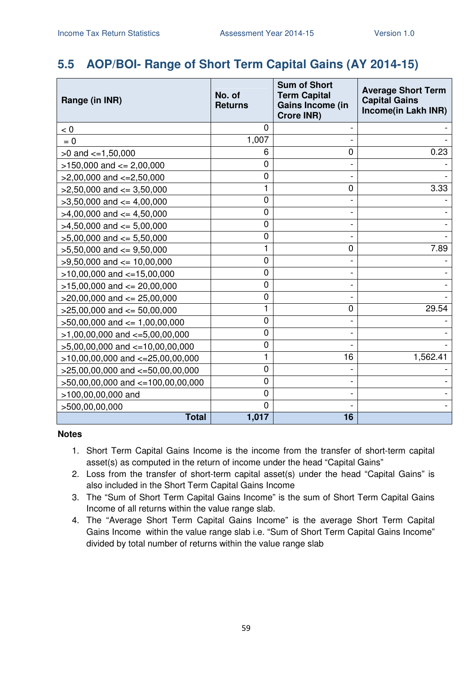# **5.5 AOP/BOI- Range of Short Term Capital Gains (AY 2014-15)**

| Range (in INR)                           | No. of<br><b>Returns</b> | <b>Sum of Short</b><br><b>Term Capital</b><br>Gains Income (in<br><b>Crore INR)</b> | <b>Average Short Term</b><br><b>Capital Gains</b><br>Income(in Lakh INR) |
|------------------------------------------|--------------------------|-------------------------------------------------------------------------------------|--------------------------------------------------------------------------|
| < 0                                      | 0                        |                                                                                     |                                                                          |
| $= 0$                                    | 1,007                    |                                                                                     |                                                                          |
| $>0$ and $\lt=1,50,000$                  | 6                        | $\overline{0}$                                                                      | 0.23                                                                     |
| $>150,000$ and $<= 2,00,000$             | $\overline{0}$           |                                                                                     |                                                                          |
| $>2,00,000$ and $\lt=2,50,000$           | 0                        |                                                                                     |                                                                          |
| $>2,50,000$ and $<=3,50,000$             | 1                        | 0                                                                                   | 3.33                                                                     |
| $>3,50,000$ and $<=4,00,000$             | $\mathbf 0$              |                                                                                     |                                                                          |
| $>4,00,000$ and $<=4,50,000$             | $\overline{0}$           |                                                                                     |                                                                          |
| $>4,50,000$ and $<=5,00,000$             | 0                        |                                                                                     |                                                                          |
| $>5,00,000$ and $<= 5,50,000$            | $\mathbf 0$              |                                                                                     |                                                                          |
| $>5,50,000$ and $<=9,50,000$             | 1                        | $\overline{0}$                                                                      | 7.89                                                                     |
| $>9,50,000$ and $<= 10,00,000$           | $\overline{0}$           |                                                                                     |                                                                          |
| $>10,00,000$ and $<-15,00,000$           | 0                        |                                                                                     |                                                                          |
| $>15,00,000$ and $<= 20,00,000$          | $\overline{0}$           |                                                                                     |                                                                          |
| $>$ 20,00,000 and $\leq$ 25,00,000       | $\mathbf 0$              |                                                                                     |                                                                          |
| $>25,00,000$ and $<= 50,00,000$          | 1                        | $\mathbf 0$                                                                         | 29.54                                                                    |
| $>50,00,000$ and $<= 1,00,00,000$        | 0                        |                                                                                     |                                                                          |
| $>1,00,00,000$ and $\lt=5,00,00,000$     | $\overline{0}$           |                                                                                     |                                                                          |
| $>5,00,00,000$ and $<-10,00,00,000$      | 0                        |                                                                                     |                                                                          |
| $>10,00,00,000$ and $<=25,00,00,000$     | 1                        | 16                                                                                  | 1,562.41                                                                 |
| $>$ 25,00,00,000 and $\lt$ =50,00,00,000 | $\mathbf 0$              |                                                                                     |                                                                          |
| >50,00,00,000 and <=100,00,00,000        | $\mathbf{0}$             |                                                                                     |                                                                          |
| >100,00,00,000 and                       | $\overline{0}$           |                                                                                     |                                                                          |
| >500,00,00,000                           | $\overline{0}$           |                                                                                     |                                                                          |
| <b>Total</b>                             | 1,017                    | 16                                                                                  |                                                                          |

- 1. Short Term Capital Gains Income is the income from the transfer of short-term capital asset(s) as computed in the return of income under the head "Capital Gains"
- 2. Loss from the transfer of short-term capital asset(s) under the head "Capital Gains" is also included in the Short Term Capital Gains Income
- 3. The "Sum of Short Term Capital Gains Income" is the sum of Short Term Capital Gains Income of all returns within the value range slab.
- 4. The "Average Short Term Capital Gains Income" is the average Short Term Capital Gains Income within the value range slab i.e. "Sum of Short Term Capital Gains Income" divided by total number of returns within the value range slab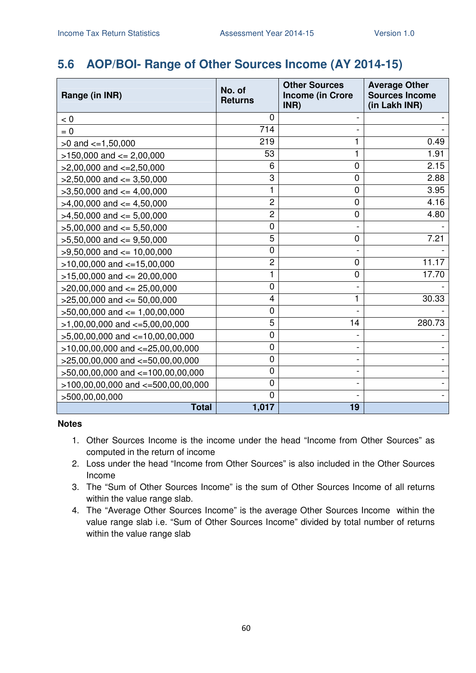# **5.6 AOP/BOI- Range of Other Sources Income (AY 2014-15)**

| Range (in INR)                       | No. of<br><b>Returns</b> | <b>Other Sources</b><br><b>Income (in Crore</b><br>INR) | <b>Average Other</b><br><b>Sources Income</b><br>(in Lakh INR) |
|--------------------------------------|--------------------------|---------------------------------------------------------|----------------------------------------------------------------|
| < 0                                  | 0                        |                                                         |                                                                |
| $= 0$                                | 714                      |                                                         |                                                                |
| $>0$ and $\leq$ =1,50,000            | 219                      | 1                                                       | 0.49                                                           |
| $>150,000$ and $<= 2,00,000$         | 53                       | 1                                                       | 1.91                                                           |
| $>2,00,000$ and $\lt=2,50,000$       | 6                        | 0                                                       | 2.15                                                           |
| $>2,50,000$ and $<=3,50,000$         | 3                        | 0                                                       | 2.88                                                           |
| $>3,50,000$ and $<=4,00,000$         | 1                        | 0                                                       | 3.95                                                           |
| $>4,00,000$ and $\leq 4,50,000$      | $\overline{c}$           | 0                                                       | 4.16                                                           |
| $>4,50,000$ and $<= 5,00,000$        | $\overline{c}$           | 0                                                       | 4.80                                                           |
| $>5,00,000$ and $<= 5,50,000$        | 0                        |                                                         |                                                                |
| $>5,50,000$ and $\leq 9,50,000$      | 5                        | 0                                                       | 7.21                                                           |
| $>9,50,000$ and $<= 10,00,000$       | 0                        |                                                         |                                                                |
| $>10,00,000$ and $<-15,00,000$       | $\overline{c}$           | 0                                                       | 11.17                                                          |
| $>15,00,000$ and $<= 20,00,000$      | 1                        | 0                                                       | 17.70                                                          |
| $>20,00,000$ and $<= 25,00,000$      | 0                        |                                                         |                                                                |
| $>25,00,000$ and $<= 50,00,000$      | 4                        | 1                                                       | 30.33                                                          |
| $>50,00,000$ and $<= 1,00,00,000$    | 0                        |                                                         |                                                                |
| $>1,00,00,000$ and $\lt=5,00,00,000$ | 5                        | 14                                                      | 280.73                                                         |
| $>5,00,00,000$ and $<-10,00,00,000$  | 0                        |                                                         |                                                                |
| $>10,00,00,000$ and $<=25,00,00,000$ | 0                        |                                                         |                                                                |
| $>25,00,00,000$ and $<-50,00,00,000$ | 0                        |                                                         |                                                                |
| >50,00,00,000 and <=100,00,00,000    | 0                        |                                                         |                                                                |
| >100,00,00,000 and <=500,00,00,000   | 0                        |                                                         |                                                                |
| >500,00,00,000                       | 0                        |                                                         |                                                                |
| <b>Total</b>                         | 1,017                    | 19                                                      |                                                                |

- 1. Other Sources Income is the income under the head "Income from Other Sources" as computed in the return of income
- 2. Loss under the head "Income from Other Sources" is also included in the Other Sources Income
- 3. The "Sum of Other Sources Income" is the sum of Other Sources Income of all returns within the value range slab.
- 4. The "Average Other Sources Income" is the average Other Sources Income within the value range slab i.e. "Sum of Other Sources Income" divided by total number of returns within the value range slab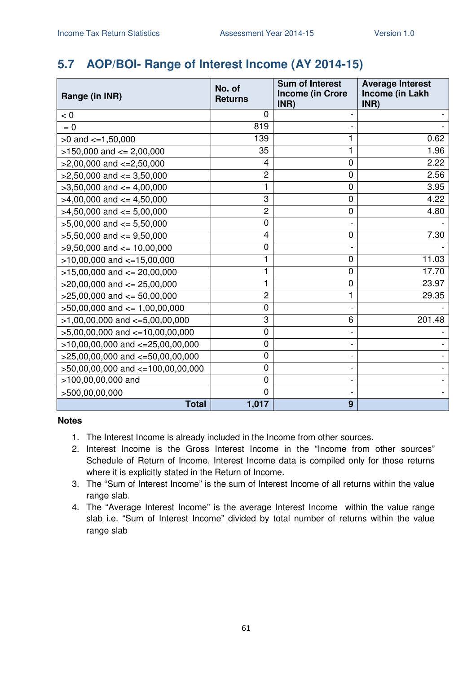# **5.7 AOP/BOI- Range of Interest Income (AY 2014-15)**

| Range (in INR)                        | No. of<br><b>Returns</b> | <b>Sum of Interest</b><br><b>Income (in Crore</b><br>INR) | <b>Average Interest</b><br>Income (in Lakh<br>INR) |
|---------------------------------------|--------------------------|-----------------------------------------------------------|----------------------------------------------------|
| < 0                                   | $\Omega$                 |                                                           |                                                    |
| $= 0$                                 | 819                      |                                                           |                                                    |
| $>0$ and $<=1,50,000$                 | 139                      |                                                           | 0.62                                               |
| $>150,000$ and $<= 2,00,000$          | 35                       |                                                           | 1.96                                               |
| $>2,00,000$ and $\lt=2,50,000$        | 4                        | $\mathbf 0$                                               | 2.22                                               |
| $>2,50,000$ and $<=3,50,000$          | $\overline{c}$           | 0                                                         | 2.56                                               |
| $>3,50,000$ and $<=4,00,000$          | 1                        | 0                                                         | 3.95                                               |
| $>4,00,000$ and $<=4,50,000$          | 3                        | 0                                                         | 4.22                                               |
| $>4,50,000$ and $\leq 5,00,000$       | $\overline{2}$           | $\mathbf 0$                                               | 4.80                                               |
| $>5,00,000$ and $<= 5,50,000$         | $\mathbf 0$              |                                                           |                                                    |
| $>5,50,000$ and $<=9,50,000$          | 4                        | 0                                                         | 7.30                                               |
| $>9,50,000$ and $\leq 10,00,000$      | $\mathbf 0$              |                                                           |                                                    |
| $>10,00,000$ and $<=15,00,000$        |                          | 0                                                         | 11.03                                              |
| $>15,00,000$ and $<= 20,00,000$       |                          | 0                                                         | 17.70                                              |
| $>20,00,000$ and $<= 25,00,000$       | 1                        | 0                                                         | 23.97                                              |
| $>25,00,000$ and $<= 50,00,000$       | $\overline{c}$           | 1                                                         | 29.35                                              |
| $>50,00,000$ and $\leq 1,00,00,000$   | 0                        |                                                           |                                                    |
| $>1,00,00,000$ and $\lt=5,00,00,000$  | 3                        | 6                                                         | 201.48                                             |
| $>5,00,00,000$ and $\lt=10,00,00,000$ | $\mathbf 0$              |                                                           |                                                    |
| $>10,00,00,000$ and $<-25,00,00,000$  | $\mathbf 0$              |                                                           |                                                    |
| $>25,00,00,000$ and $<-50,00,00,000$  | $\mathbf 0$              |                                                           |                                                    |
| >50,00,00,000 and <=100,00,00,000     | $\mathbf 0$              |                                                           |                                                    |
| >100,00,00,000 and                    | $\mathbf 0$              |                                                           |                                                    |
| >500,00,00,000                        | $\mathbf 0$              |                                                           |                                                    |
| <b>Total</b>                          | 1,017                    | 9                                                         |                                                    |

- 1. The Interest Income is already included in the Income from other sources.
- 2. Interest Income is the Gross Interest Income in the "Income from other sources" Schedule of Return of Income. Interest Income data is compiled only for those returns where it is explicitly stated in the Return of Income.
- 3. The "Sum of Interest Income" is the sum of Interest Income of all returns within the value range slab.
- 4. The "Average Interest Income" is the average Interest Income within the value range slab i.e. "Sum of Interest Income" divided by total number of returns within the value range slab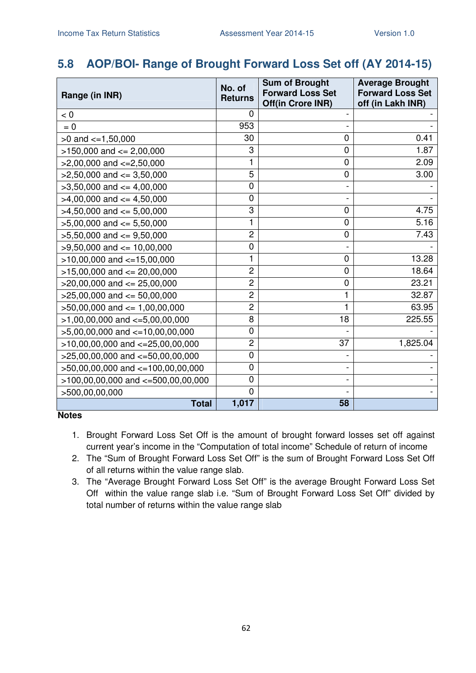# **5.8 AOP/BOI- Range of Brought Forward Loss Set off (AY 2014-15)**

| Range (in INR)                         | No. of<br><b>Returns</b> | <b>Sum of Brought</b><br><b>Forward Loss Set</b><br>Off(in Crore INR) | <b>Average Brought</b><br><b>Forward Loss Set</b><br>off (in Lakh INR) |
|----------------------------------------|--------------------------|-----------------------------------------------------------------------|------------------------------------------------------------------------|
| < 0                                    | 0                        |                                                                       |                                                                        |
| $= 0$                                  | 953                      |                                                                       |                                                                        |
| $>0$ and $\lt=1,50,000$                | 30                       | 0                                                                     | 0.41                                                                   |
| $>150,000$ and $<= 2,00,000$           | 3                        | 0                                                                     | 1.87                                                                   |
| $>2,00,000$ and $\lt=2,50,000$         | 1                        | 0                                                                     | 2.09                                                                   |
| $>2,50,000$ and $<=3,50,000$           | 5                        | 0                                                                     | 3.00                                                                   |
| $>3,50,000$ and $<=4,00,000$           | 0                        |                                                                       |                                                                        |
| $>4,00,000$ and $\leq 4,50,000$        | $\mathbf 0$              |                                                                       |                                                                        |
| $>4,50,000$ and $\leq 5,00,000$        | 3                        | 0                                                                     | 4.75                                                                   |
| $>5,00,000$ and $<= 5,50,000$          | 1                        | 0                                                                     | 5.16                                                                   |
| $>5,50,000$ and $<=9,50,000$           | $\overline{c}$           | 0                                                                     | 7.43                                                                   |
| $>9,50,000$ and $\leq 10,00,000$       | 0                        |                                                                       |                                                                        |
| $>10,00,000$ and $<-15,00,000$         | 1                        | 0                                                                     | 13.28                                                                  |
| $>15,00,000$ and $<= 20,00,000$        | 2                        | 0                                                                     | 18.64                                                                  |
| $>20,00,000$ and $<= 25,00,000$        | $\overline{c}$           | 0                                                                     | 23.21                                                                  |
| $>25,00,000$ and $<= 50,00,000$        | $\overline{c}$           |                                                                       | 32.87                                                                  |
| $>50,00,000$ and $<= 1,00,00,000$      | 2                        |                                                                       | 63.95                                                                  |
| $>1,00,00,000$ and $\lt=5,00,00,000$   | 8                        | 18                                                                    | 225.55                                                                 |
| $>5,00,00,000$ and $<-10,00,00,000$    | 0                        |                                                                       |                                                                        |
| $>10,00,00,000$ and $<-25,00,00,000$   | 2                        | 37                                                                    | 1,825.04                                                               |
| $>25,00,00,000$ and $<-50,00,00,000$   | 0                        |                                                                       |                                                                        |
| $>50,00,00,000$ and $<=100,00,00,000$  | 0                        |                                                                       |                                                                        |
| $>100,00,00,000$ and $<=500,00,00,000$ | 0                        |                                                                       |                                                                        |
| >500,00,00,000                         | 0                        |                                                                       |                                                                        |
| <b>Total</b>                           | 1,017                    | 58                                                                    |                                                                        |

- 1. Brought Forward Loss Set Off is the amount of brought forward losses set off against current year's income in the "Computation of total income" Schedule of return of income
- 2. The "Sum of Brought Forward Loss Set Off" is the sum of Brought Forward Loss Set Off of all returns within the value range slab.
- 3. The "Average Brought Forward Loss Set Off" is the average Brought Forward Loss Set Off within the value range slab i.e. "Sum of Brought Forward Loss Set Off" divided by total number of returns within the value range slab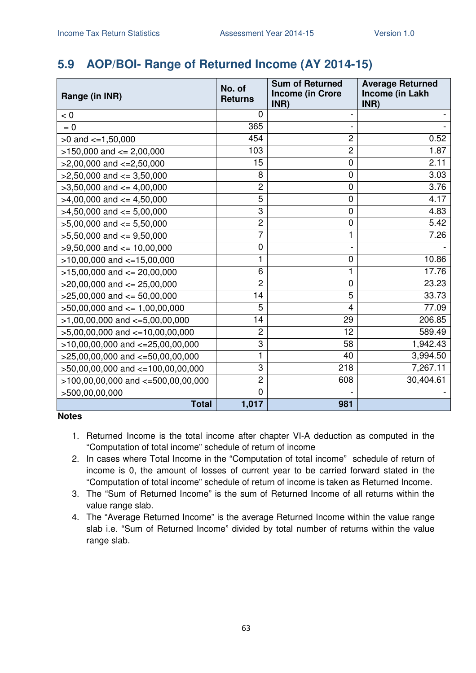# **5.9 AOP/BOI- Range of Returned Income (AY 2014-15)**

| Range (in INR)                         | No. of<br><b>Returns</b> | <b>Sum of Returned</b><br><b>Income (in Crore</b><br>INR) | <b>Average Returned</b><br>Income (in Lakh<br>INR) |
|----------------------------------------|--------------------------|-----------------------------------------------------------|----------------------------------------------------|
| < 0                                    | 0                        |                                                           |                                                    |
| $= 0$                                  | 365                      |                                                           |                                                    |
| $>0$ and $\lt=1,50,000$                | 454                      | $\overline{2}$                                            | 0.52                                               |
| $>150,000$ and $<= 2,00,000$           | 103                      | $\overline{c}$                                            | 1.87                                               |
| $>2,00,000$ and $\lt=2,50,000$         | 15                       | 0                                                         | 2.11                                               |
| $>2,50,000$ and $\leq$ 3,50,000        | 8                        | $\mathbf 0$                                               | 3.03                                               |
| $>3,50,000$ and $<=4,00,000$           | $\overline{c}$           | $\mathbf 0$                                               | 3.76                                               |
| $>4,00,000$ and $\leq 4,50,000$        | 5                        | 0                                                         | 4.17                                               |
| $>4,50,000$ and $\leq 5,00,000$        | 3                        | $\boldsymbol{0}$                                          | 4.83                                               |
| $>5,00,000$ and $<= 5,50,000$          | $\overline{2}$           | 0                                                         | 5.42                                               |
| $>5,50,000$ and $<=9,50,000$           | 7                        |                                                           | 7.26                                               |
| $>9,50,000$ and $\leq 10,00,000$       | 0                        |                                                           |                                                    |
| $>10,00,000$ and $<=15,00,000$         | 1                        | 0                                                         | 10.86                                              |
| $>15,00,000$ and $<= 20,00,000$        | 6                        | 1                                                         | 17.76                                              |
| $>$ 20,00,000 and $\leq$ 25,00,000     | $\overline{2}$           | 0                                                         | 23.23                                              |
| $>25,00,000$ and $<= 50,00,000$        | 14                       | 5                                                         | 33.73                                              |
| $>50,00,000$ and $<= 1,00,00,000$      | 5                        | $\overline{4}$                                            | 77.09                                              |
| $>1,00,00,000$ and $\lt=5,00,00,000$   | 14                       | 29                                                        | 206.85                                             |
| $>5,00,00,000$ and $\lt=10,00,00,000$  | $\overline{c}$           | 12                                                        | 589.49                                             |
| $>10,00,00,000$ and $<=25,00,00,000$   | 3                        | 58                                                        | 1,942.43                                           |
| $>25,00,00,000$ and $<=50,00,00,000$   | 1                        | 40                                                        | 3,994.50                                           |
| >50,00,00,000 and <=100,00,00,000      | 3                        | 218                                                       | 7,267.11                                           |
| $>100,00,00,000$ and $<=500,00,00,000$ | $\overline{c}$           | 608                                                       | 30,404.61                                          |
| >500,00,00,000                         | $\mathbf 0$              |                                                           |                                                    |
| <b>Total</b>                           | 1,017                    | 981                                                       |                                                    |

- 1. Returned Income is the total income after chapter VI-A deduction as computed in the "Computation of total income" schedule of return of income
- 2. In cases where Total Income in the "Computation of total income" schedule of return of income is 0, the amount of losses of current year to be carried forward stated in the "Computation of total income" schedule of return of income is taken as Returned Income.
- 3. The "Sum of Returned Income" is the sum of Returned Income of all returns within the value range slab.
- 4. The "Average Returned Income" is the average Returned Income within the value range slab i.e. "Sum of Returned Income" divided by total number of returns within the value range slab.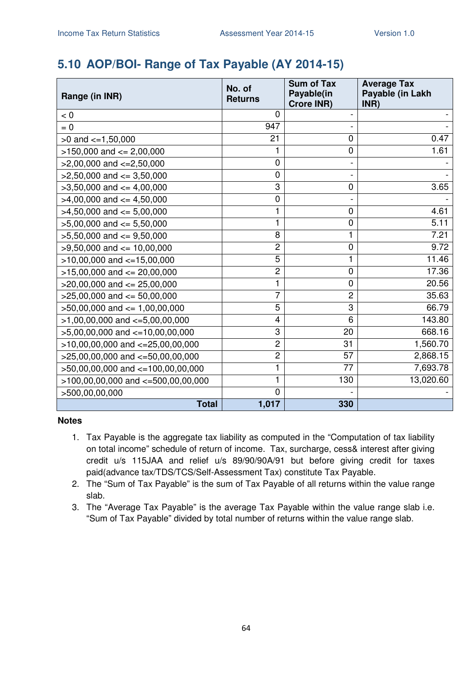# **5.10 AOP/BOI- Range of Tax Payable (AY 2014-15)**

| Range (in INR)                       | No. of<br><b>Returns</b> | <b>Sum of Tax</b><br>Payable(in<br><b>Crore INR)</b> | <b>Average Tax</b><br>Payable (in Lakh<br>INR) |
|--------------------------------------|--------------------------|------------------------------------------------------|------------------------------------------------|
| < 0                                  | $\mathbf 0$              |                                                      |                                                |
| $= 0$                                | 947                      |                                                      |                                                |
| $>0$ and $\lt=1,50,000$              | 21                       | $\mathbf 0$                                          | 0.47                                           |
| $>150,000$ and $<= 2,00,000$         |                          | 0                                                    | 1.61                                           |
| $>2,00,000$ and $\lt=2,50,000$       | 0                        |                                                      |                                                |
| $>2,50,000$ and $<=3,50,000$         | 0                        |                                                      |                                                |
| $>3,50,000$ and $<=4,00,000$         | 3                        | $\mathbf 0$                                          | 3.65                                           |
| $>4,00,000$ and $\leq 4,50,000$      | 0                        |                                                      |                                                |
| $>4,50,000$ and $\leq 5,00,000$      | 1                        | 0                                                    | 4.61                                           |
| $>5,00,000$ and $<= 5,50,000$        | 1                        | $\mathbf 0$                                          | 5.11                                           |
| $>5,50,000$ and $<=9,50,000$         | 8                        |                                                      | 7.21                                           |
| $>9,50,000$ and $\leq 10,00,000$     | $\overline{2}$           | $\mathbf 0$                                          | 9.72                                           |
| $>10,00,000$ and $<-15,00,000$       | 5                        | 1                                                    | 11.46                                          |
| $>15,00,000$ and $<= 20,00,000$      | $\overline{2}$           | $\mathbf 0$                                          | 17.36                                          |
| $>20,00,000$ and $<= 25,00,000$      | 1                        | $\mathbf 0$                                          | 20.56                                          |
| $>25,00,000$ and $\leq 50,00,000$    | 7                        | $\overline{2}$                                       | 35.63                                          |
| $>50,00,000$ and $<= 1,00,00,000$    | 5                        | 3                                                    | 66.79                                          |
| $>1,00,00,000$ and $\lt=5,00,00,000$ | 4                        | 6                                                    | 143.80                                         |
| $>5,00,00,000$ and $<-10,00,00,000$  | 3                        | 20                                                   | 668.16                                         |
| $>10,00,00,000$ and $<=25,00,00,000$ | $\overline{c}$           | 31                                                   | 1,560.70                                       |
| $>25,00,00,000$ and $<-50,00,00,000$ | 2                        | 57                                                   | 2,868.15                                       |
| >50,00,00,000 and <=100,00,00,000    | 1                        | 77                                                   | 7,693.78                                       |
| >100,00,00,000 and <=500,00,00,000   | 1                        | 130                                                  | 13,020.60                                      |
| >500,00,00,000                       | $\mathbf 0$              |                                                      |                                                |
| <b>Total</b>                         | 1,017                    | 330                                                  |                                                |

- 1. Tax Payable is the aggregate tax liability as computed in the "Computation of tax liability on total income" schedule of return of income. Tax, surcharge, cess& interest after giving credit u/s 115JAA and relief u/s 89/90/90A/91 but before giving credit for taxes paid(advance tax/TDS/TCS/Self-Assessment Tax) constitute Tax Payable.
- 2. The "Sum of Tax Payable" is the sum of Tax Payable of all returns within the value range slab.
- 3. The "Average Tax Payable" is the average Tax Payable within the value range slab i.e. "Sum of Tax Payable" divided by total number of returns within the value range slab.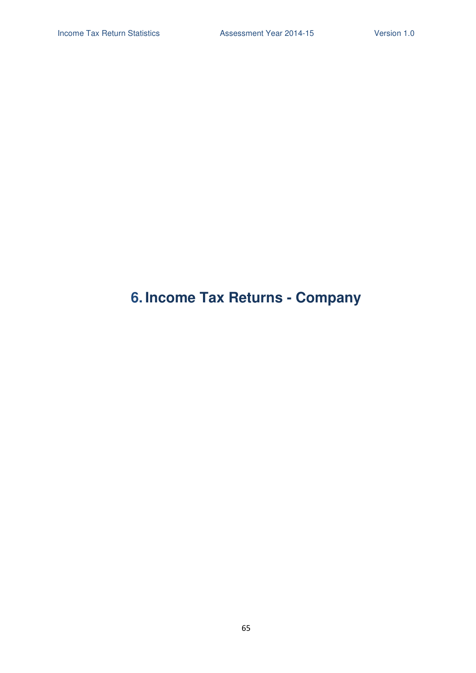# **6. Income Tax Returns - Company**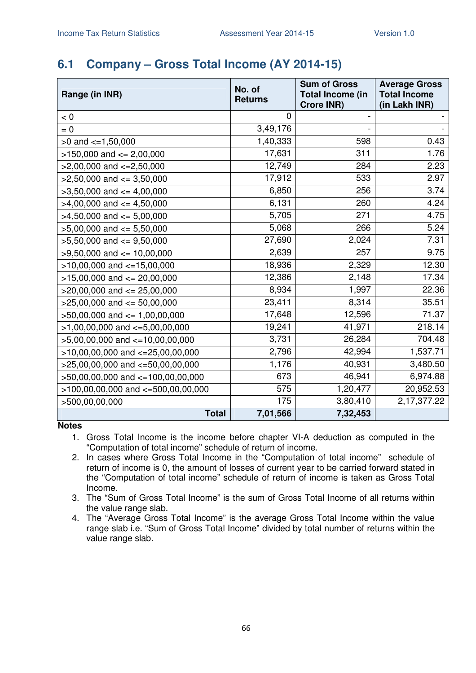# **6.1 Company – Gross Total Income (AY 2014-15)**

| Range (in INR)                         | No. of<br><b>Returns</b> | <b>Sum of Gross</b><br><b>Total Income (in</b><br>Crore INR) | <b>Average Gross</b><br><b>Total Income</b><br>(in Lakh INR) |
|----------------------------------------|--------------------------|--------------------------------------------------------------|--------------------------------------------------------------|
| < 0                                    | 0                        |                                                              |                                                              |
| $= 0$                                  | 3,49,176                 |                                                              |                                                              |
| $>0$ and $\lt=1,50,000$                | 1,40,333                 | 598                                                          | 0.43                                                         |
| $>150,000$ and $<= 2,00,000$           | 17,631                   | 311                                                          | 1.76                                                         |
| $>2,00,000$ and $\lt=2,50,000$         | 12,749                   | 284                                                          | 2.23                                                         |
| $>2,50,000$ and $\leq 3,50,000$        | 17,912                   | 533                                                          | 2.97                                                         |
| $>3,50,000$ and $<=4,00,000$           | 6,850                    | 256                                                          | 3.74                                                         |
| $>4,00,000$ and $\leq 4,50,000$        | 6,131                    | 260                                                          | 4.24                                                         |
| $>4,50,000$ and $\leq 5,00,000$        | 5,705                    | 271                                                          | 4.75                                                         |
| $>5,00,000$ and $<= 5,50,000$          | 5,068                    | 266                                                          | 5.24                                                         |
| $>5,50,000$ and $<=9,50,000$           | 27,690                   | 2,024                                                        | 7.31                                                         |
| $>9,50,000$ and $<= 10,00,000$         | 2,639                    | 257                                                          | 9.75                                                         |
| $>10,00,000$ and $<-15,00,000$         | 18,936                   | 2,329                                                        | 12.30                                                        |
| $>15,00,000$ and $<= 20,00,000$        | 12,386                   | 2,148                                                        | 17.34                                                        |
| $>20,00,000$ and $\leq$ 25,00,000      | 8,934                    | 1,997                                                        | 22.36                                                        |
| $>25,00,000$ and $<= 50,00,000$        | 23,411                   | 8,314                                                        | 35.51                                                        |
| $>50,00,000$ and $\leq 1,00,00,000$    | 17,648                   | 12,596                                                       | 71.37                                                        |
| $>1,00,00,000$ and $\lt=5,00,00,000$   | 19,241                   | 41,971                                                       | 218.14                                                       |
| $>5,00,00,000$ and $\lt=10,00,00,000$  | 3,731                    | 26,284                                                       | 704.48                                                       |
| $>10,00,00,000$ and $<-25,00,00,000$   | 2,796                    | 42,994                                                       | 1,537.71                                                     |
| $>25,00,00,000$ and $<=50,00,00,000$   | 1,176                    | 40,931                                                       | 3,480.50                                                     |
| >50,00,00,000 and <=100,00,00,000      | 673                      | 46,941                                                       | 6,974.88                                                     |
| $>100,00,00,000$ and $<=500,00,00,000$ | 575                      | 1,20,477                                                     | 20,952.53                                                    |
| >500,00,00,000                         | 175                      | 3,80,410                                                     | 2,17,377.22                                                  |
| <b>Total</b>                           | 7,01,566                 | 7,32,453                                                     |                                                              |

- 1. Gross Total Income is the income before chapter VI-A deduction as computed in the "Computation of total income" schedule of return of income.
- 2. In cases where Gross Total Income in the "Computation of total income" schedule of return of income is 0, the amount of losses of current year to be carried forward stated in the "Computation of total income" schedule of return of income is taken as Gross Total Income.
- 3. The "Sum of Gross Total Income" is the sum of Gross Total Income of all returns within the value range slab.
- 4. The "Average Gross Total Income" is the average Gross Total Income within the value range slab i.e. "Sum of Gross Total Income" divided by total number of returns within the value range slab.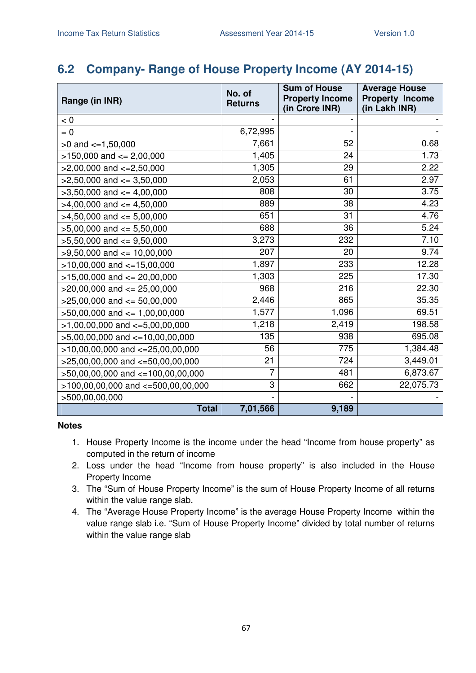### **6.2 Company- Range of House Property Income (AY 2014-15)**

|                                       | No. of         | <b>Sum of House</b>                      | <b>Average House</b>                    |
|---------------------------------------|----------------|------------------------------------------|-----------------------------------------|
| Range (in INR)                        | <b>Returns</b> | <b>Property Income</b><br>(in Crore INR) | <b>Property Income</b><br>(in Lakh INR) |
| < 0                                   |                |                                          |                                         |
| $= 0$                                 | 6,72,995       |                                          |                                         |
| $>0$ and $\leq$ =1,50,000             | 7,661          | 52                                       | 0.68                                    |
| $>150,000$ and $<= 2,00,000$          | 1,405          | 24                                       | 1.73                                    |
| $>2,00,000$ and $\lt=2,50,000$        | 1,305          | 29                                       | 2.22                                    |
| $>2,50,000$ and $\leq 3,50,000$       | 2,053          | 61                                       | 2.97                                    |
| $>3,50,000$ and $<=4,00,000$          | 808            | 30                                       | 3.75                                    |
| $>4,00,000$ and $\leq 4,50,000$       | 889            | 38                                       | 4.23                                    |
| $>4,50,000$ and $\leq 5,00,000$       | 651            | 31                                       | 4.76                                    |
| $>5,00,000$ and $<= 5,50,000$         | 688            | 36                                       | 5.24                                    |
| $>5,50,000$ and $<=9,50,000$          | 3,273          | 232                                      | 7.10                                    |
| $>9,50,000$ and $\leq 10,00,000$      | 207            | 20                                       | 9.74                                    |
| $>10,00,000$ and $\lt=15,00,000$      | 1,897          | 233                                      | 12.28                                   |
| $>15,00,000$ and $<= 20,00,000$       | 1,303          | 225                                      | 17.30                                   |
| $>20,00,000$ and $\leq$ 25,00,000     | 968            | 216                                      | 22.30                                   |
| $>25,00,000$ and $<= 50,00,000$       | 2,446          | 865                                      | 35.35                                   |
| $>50,00,000$ and $<= 1,00,00,000$     | 1,577          | 1,096                                    | 69.51                                   |
| $>1,00,00,000$ and $\lt=5,00,00,000$  | 1,218          | 2,419                                    | 198.58                                  |
| $>5,00,00,000$ and $\lt=10,00,00,000$ | 135            | 938                                      | 695.08                                  |
| $>10,00,00,000$ and $<=25,00,00,000$  | 56             | 775                                      | 1,384.48                                |
| $>25,00,00,000$ and $<=50,00,00,000$  | 21             | 724                                      | 3,449.01                                |
| >50,00,00,000 and <=100,00,00,000     | 7              | 481                                      | 6,873.67                                |
| >100,00,00,000 and <=500,00,00,000    | 3              | 662                                      | 22,075.73                               |
| >500,00,00,000                        |                |                                          |                                         |
| <b>Total</b>                          | 7,01,566       | 9,189                                    |                                         |

- 1. House Property Income is the income under the head "Income from house property" as computed in the return of income
- 2. Loss under the head "Income from house property" is also included in the House Property Income
- 3. The "Sum of House Property Income" is the sum of House Property Income of all returns within the value range slab.
- 4. The "Average House Property Income" is the average House Property Income within the value range slab i.e. "Sum of House Property Income" divided by total number of returns within the value range slab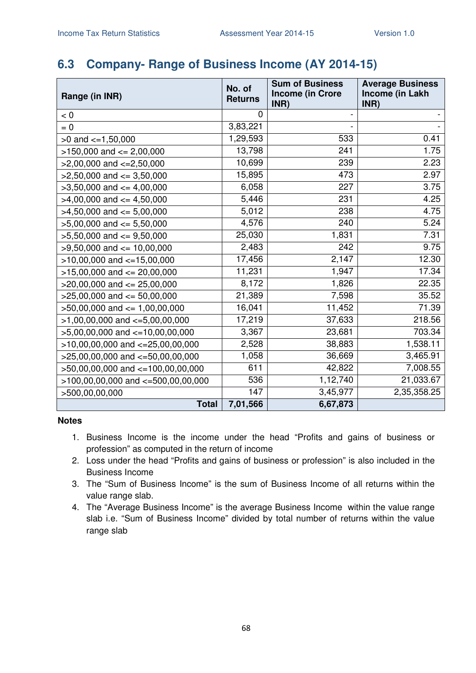### **6.3 Company- Range of Business Income (AY 2014-15)**

| Range (in INR)                         | No. of<br><b>Returns</b> | <b>Sum of Business</b><br><b>Income (in Crore</b> | <b>Average Business</b><br>Income (in Lakh |
|----------------------------------------|--------------------------|---------------------------------------------------|--------------------------------------------|
| < 0                                    | 0                        | INR)                                              | INR)                                       |
| $= 0$                                  | 3,83,221                 |                                                   |                                            |
| $>0$ and $\lt=1,50,000$                | 1,29,593                 | 533                                               | 0.41                                       |
| $>150,000$ and $<= 2,00,000$           | 13,798                   | 241                                               | 1.75                                       |
| $>2,00,000$ and $\lt=2,50,000$         | 10,699                   | 239                                               | 2.23                                       |
| $>2,50,000$ and $<=3,50,000$           | 15,895                   | 473                                               | 2.97                                       |
| $>3,50,000$ and $<=4,00,000$           | 6,058                    | 227                                               | 3.75                                       |
| $>4,00,000$ and $<=4,50,000$           | 5,446                    | 231                                               | 4.25                                       |
| $>4,50,000$ and $<=5,00,000$           | 5,012                    | 238                                               | 4.75                                       |
| $>5,00,000$ and $<= 5,50,000$          | 4,576                    | 240                                               | 5.24                                       |
| $>5,50,000$ and $<=9,50,000$           | 25,030                   | 1,831                                             | 7.31                                       |
| $>9,50,000$ and $\leq 10,00,000$       | 2,483                    | 242                                               | 9.75                                       |
| $>10,00,000$ and $<-15,00,000$         | 17,456                   | 2,147                                             | 12.30                                      |
| $>15,00,000$ and $<= 20,00,000$        | 11,231                   | 1,947                                             | 17.34                                      |
| $>$ 20,00,000 and $\leq$ 25,00,000     | 8,172                    | 1,826                                             | 22.35                                      |
| $>25,00,000$ and $<= 50,00,000$        | 21,389                   | 7,598                                             | 35.52                                      |
| $>50,00,000$ and $<= 1,00,00,000$      | 16,041                   | 11,452                                            | 71.39                                      |
| $>1,00,00,000$ and $\lt=5,00,00,000$   | 17,219                   | 37,633                                            | 218.56                                     |
| $>5,00,00,000$ and $<=10,00,00,000$    | 3,367                    | 23,681                                            | 703.34                                     |
| $>10,00,00,000$ and $<=25,00,00,000$   | 2,528                    | 38,883                                            | 1,538.11                                   |
| $>25,00,00,000$ and $<=50,00,00,000$   | 1,058                    | 36,669                                            | 3,465.91                                   |
| $>50,00,00,000$ and $<=100,00,00,000$  | 611                      | 42,822                                            | 7,008.55                                   |
| $>100,00,00,000$ and $<=500,00,00,000$ | 536                      | 1,12,740                                          | 21,033.67                                  |
| >500,00,00,000                         | 147                      | 3,45,977                                          | 2,35,358.25                                |
| <b>Total</b>                           | 7,01,566                 | 6,67,873                                          |                                            |

- 1. Business Income is the income under the head "Profits and gains of business or profession" as computed in the return of income
- 2. Loss under the head "Profits and gains of business or profession" is also included in the Business Income
- 3. The "Sum of Business Income" is the sum of Business Income of all returns within the value range slab.
- 4. The "Average Business Income" is the average Business Income within the value range slab i.e. "Sum of Business Income" divided by total number of returns within the value range slab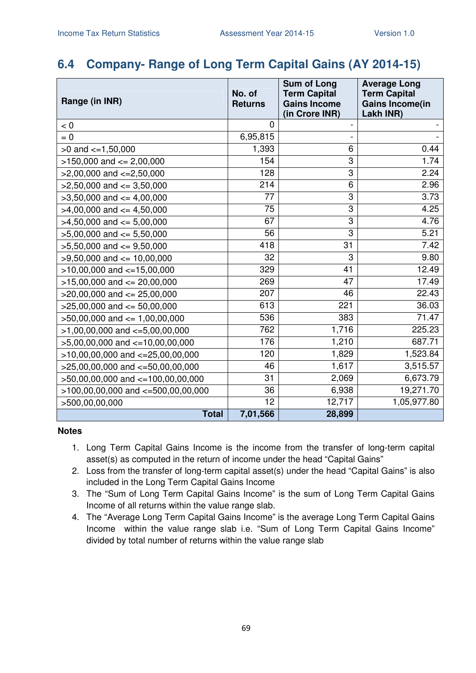### **6.4 Company- Range of Long Term Capital Gains (AY 2014-15)**

| Range (in INR)                         | No. of<br><b>Returns</b> | <b>Sum of Long</b><br><b>Term Capital</b><br><b>Gains Income</b><br>(in Crore INR) | <b>Average Long</b><br><b>Term Capital</b><br><b>Gains Income(in</b><br>Lakh INR) |
|----------------------------------------|--------------------------|------------------------------------------------------------------------------------|-----------------------------------------------------------------------------------|
| < 0                                    | 0                        |                                                                                    |                                                                                   |
| $= 0$                                  | 6,95,815                 |                                                                                    |                                                                                   |
| $>0$ and $<=1,50,000$                  | 1,393                    | 6                                                                                  | 0.44                                                                              |
| $>150,000$ and $<= 2,00,000$           | 154                      | 3                                                                                  | 1.74                                                                              |
| $>2,00,000$ and $<=2,50,000$           | 128                      | 3                                                                                  | 2.24                                                                              |
| $>2,50,000$ and $<=3,50,000$           | 214                      | 6                                                                                  | 2.96                                                                              |
| $>3,50,000$ and $<=4,00,000$           | 77                       | 3                                                                                  | 3.73                                                                              |
| $>4,00,000$ and $<=4,50,000$           | 75                       | 3                                                                                  | 4.25                                                                              |
| $>4,50,000$ and $\leq 5,00,000$        | 67                       | 3                                                                                  | 4.76                                                                              |
| $>5,00,000$ and $<= 5,50,000$          | 56                       | 3                                                                                  | 5.21                                                                              |
| $>5,50,000$ and $<=9,50,000$           | 418                      | 31                                                                                 | 7.42                                                                              |
| $>9,50,000$ and $<= 10,00,000$         | 32                       | 3                                                                                  | 9.80                                                                              |
| $>10,00,000$ and $<-15,00,000$         | 329                      | 41                                                                                 | 12.49                                                                             |
| $>15,00,000$ and $<= 20,00,000$        | 269                      | 47                                                                                 | 17.49                                                                             |
| $>20,00,000$ and $\leq$ 25,00,000      | 207                      | 46                                                                                 | 22.43                                                                             |
| $>25,00,000$ and $<= 50,00,000$        | 613                      | 221                                                                                | 36.03                                                                             |
| $>50,00,000$ and $<= 1,00,00,000$      | 536                      | 383                                                                                | 71.47                                                                             |
| $>1,00,00,000$ and $\lt=5,00,00,000$   | 762                      | 1,716                                                                              | 225.23                                                                            |
| $>5,00,00,000$ and $\lt=10,00,00,000$  | 176                      | 1,210                                                                              | 687.71                                                                            |
| $>10,00,00,000$ and $<=25,00,00,000$   | 120                      | 1,829                                                                              | 1,523.84                                                                          |
| >25,00,00,000 and <= 50,00,00,000      | 46                       | 1,617                                                                              | 3,515.57                                                                          |
| $>50,00,00,000$ and $<=100,00,00,000$  | 31                       | 2,069                                                                              | 6,673.79                                                                          |
| $>100,00,00,000$ and $<=500,00,00,000$ | 36                       | 6,938                                                                              | 19,271.70                                                                         |
| >500,00,00,000                         | 12                       | 12,717                                                                             | 1,05,977.80                                                                       |
| <b>Total</b>                           | 7,01,566                 | 28,899                                                                             |                                                                                   |

- 1. Long Term Capital Gains Income is the income from the transfer of long-term capital asset(s) as computed in the return of income under the head "Capital Gains"
- 2. Loss from the transfer of long-term capital asset(s) under the head "Capital Gains" is also included in the Long Term Capital Gains Income
- 3. The "Sum of Long Term Capital Gains Income" is the sum of Long Term Capital Gains Income of all returns within the value range slab.
- 4. The "Average Long Term Capital Gains Income" is the average Long Term Capital Gains Income within the value range slab i.e. "Sum of Long Term Capital Gains Income" divided by total number of returns within the value range slab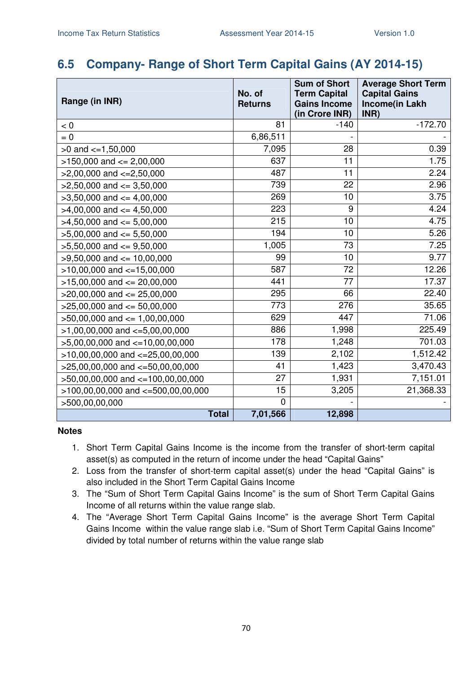### **6.5 Company- Range of Short Term Capital Gains (AY 2014-15)**

| Range (in INR)                         | No. of<br><b>Returns</b> | <b>Sum of Short</b><br><b>Term Capital</b><br><b>Gains Income</b><br>(in Crore INR) | <b>Average Short Term</b><br><b>Capital Gains</b><br><b>Income(in Lakh</b><br>INR) |
|----------------------------------------|--------------------------|-------------------------------------------------------------------------------------|------------------------------------------------------------------------------------|
| < 0                                    | 81                       | $-140$                                                                              | $-172.70$                                                                          |
| $= 0$                                  | 6,86,511                 |                                                                                     |                                                                                    |
| $>0$ and $<=1,50,000$                  | 7,095                    | 28                                                                                  | 0.39                                                                               |
| $>150,000$ and $<= 2,00,000$           | 637                      | 11                                                                                  | 1.75                                                                               |
| $>2,00,000$ and $<=2,50,000$           | 487                      | 11                                                                                  | 2.24                                                                               |
| $>2,50,000$ and $<=3,50,000$           | 739                      | 22                                                                                  | 2.96                                                                               |
| $>3,50,000$ and $<=4,00,000$           | 269                      | 10                                                                                  | 3.75                                                                               |
| $>4,00,000$ and $<=4,50,000$           | 223                      | 9                                                                                   | 4.24                                                                               |
| $>4,50,000$ and $\leq 5,00,000$        | 215                      | 10                                                                                  | 4.75                                                                               |
| $>5,00,000$ and $<= 5,50,000$          | 194                      | 10                                                                                  | 5.26                                                                               |
| $>5,50,000$ and $<=9,50,000$           | 1,005                    | 73                                                                                  | 7.25                                                                               |
| $>9,50,000$ and $\leq 10,00,000$       | 99                       | 10                                                                                  | 9.77                                                                               |
| $>10,00,000$ and $<-15,00,000$         | 587                      | 72                                                                                  | 12.26                                                                              |
| $>15,00,000$ and $<= 20,00,000$        | 441                      | 77                                                                                  | 17.37                                                                              |
| $>20,00,000$ and $\leq$ 25,00,000      | 295                      | 66                                                                                  | 22.40                                                                              |
| $>25,00,000$ and $<= 50,00,000$        | 773                      | 276                                                                                 | 35.65                                                                              |
| $>50,00,000$ and $<= 1,00,00,000$      | 629                      | 447                                                                                 | 71.06                                                                              |
| $>1,00,00,000$ and $\lt=5,00,00,000$   | 886                      | 1,998                                                                               | 225.49                                                                             |
| $>5,00,00,000$ and $\lt=10,00,00,000$  | 178                      | 1,248                                                                               | 701.03                                                                             |
| $>10,00,00,000$ and $<-25,00,00,000$   | 139                      | 2,102                                                                               | 1,512.42                                                                           |
| $>25,00,00,000$ and $<=50,00,00,000$   | 41                       | 1,423                                                                               | 3,470.43                                                                           |
| >50,00,00,000 and <=100,00,00,000      | 27                       | 1,931                                                                               | 7,151.01                                                                           |
| $>100,00,00,000$ and $<=500,00,00,000$ | 15                       | 3,205                                                                               | 21,368.33                                                                          |
| >500,00,00,000                         | $\mathbf 0$              |                                                                                     |                                                                                    |
| <b>Total</b>                           | 7,01,566                 | 12,898                                                                              |                                                                                    |

- 1. Short Term Capital Gains Income is the income from the transfer of short-term capital asset(s) as computed in the return of income under the head "Capital Gains"
- 2. Loss from the transfer of short-term capital asset(s) under the head "Capital Gains" is also included in the Short Term Capital Gains Income
- 3. The "Sum of Short Term Capital Gains Income" is the sum of Short Term Capital Gains Income of all returns within the value range slab.
- 4. The "Average Short Term Capital Gains Income" is the average Short Term Capital Gains Income within the value range slab i.e. "Sum of Short Term Capital Gains Income" divided by total number of returns within the value range slab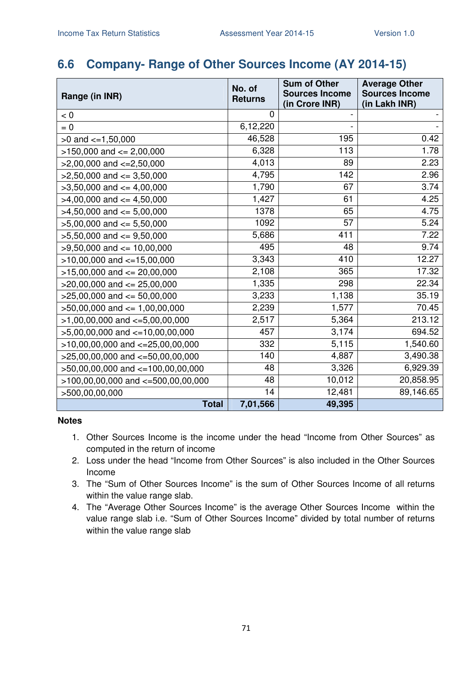### **6.6 Company- Range of Other Sources Income (AY 2014-15)**

| Range (in INR)                         | No. of<br><b>Returns</b> | <b>Sum of Other</b><br><b>Sources Income</b><br>(in Crore INR) | <b>Average Other</b><br><b>Sources Income</b><br>(in Lakh INR) |
|----------------------------------------|--------------------------|----------------------------------------------------------------|----------------------------------------------------------------|
| < 0                                    | 0                        |                                                                |                                                                |
| $= 0$                                  | 6,12,220                 |                                                                |                                                                |
| $>0$ and $\lt=1,50,000$                | 46,528                   | 195                                                            | 0.42                                                           |
| $>150,000$ and $<= 2,00,000$           | 6,328                    | 113                                                            | 1.78                                                           |
| $>2,00,000$ and $\lt=2,50,000$         | 4,013                    | 89                                                             | 2.23                                                           |
| $>2,50,000$ and $<=3,50,000$           | 4,795                    | 142                                                            | 2.96                                                           |
| $>3,50,000$ and $<=4,00,000$           | 1,790                    | 67                                                             | 3.74                                                           |
| $>4,00,000$ and $<=4,50,000$           | 1,427                    | 61                                                             | 4.25                                                           |
| $>4,50,000$ and $<=5,00,000$           | 1378                     | 65                                                             | 4.75                                                           |
| $>5,00,000$ and $<=5,50,000$           | 1092                     | 57                                                             | 5.24                                                           |
| $>5,50,000$ and $<=9,50,000$           | 5,686                    | 411                                                            | 7.22                                                           |
| $>9,50,000$ and $\leq 10,00,000$       | 495                      | 48                                                             | 9.74                                                           |
| $>10,00,000$ and $<=15,00,000$         | 3,343                    | 410                                                            | 12.27                                                          |
| $>15,00,000$ and $<= 20,00,000$        | 2,108                    | 365                                                            | 17.32                                                          |
| $>20,00,000$ and $<= 25,00,000$        | 1,335                    | 298                                                            | 22.34                                                          |
| $>25,00,000$ and $<= 50,00,000$        | 3,233                    | 1,138                                                          | 35.19                                                          |
| $>50,00,000$ and $<= 1,00,00,000$      | 2,239                    | 1,577                                                          | 70.45                                                          |
| $>1,00,00,000$ and $\lt=5,00,00,000$   | 2,517                    | 5,364                                                          | 213.12                                                         |
| $>5,00,00,000$ and $\lt=10,00,00,000$  | 457                      | 3,174                                                          | 694.52                                                         |
| $>10,00,00,000$ and $<=25,00,00,000$   | 332                      | 5,115                                                          | 1,540.60                                                       |
| $>25,00,00,000$ and $<=50,00,00,000$   | 140                      | 4,887                                                          | 3,490.38                                                       |
| >50,00,00,000 and <=100,00,00,000      | 48                       | 3,326                                                          | 6,929.39                                                       |
| $>100,00,00,000$ and $<=500,00,00,000$ | 48                       | 10,012                                                         | 20,858.95                                                      |
| >500,00,00,000                         | 14                       | 12,481                                                         | 89,146.65                                                      |
| <b>Total</b>                           | 7,01,566                 | 49,395                                                         |                                                                |

- 1. Other Sources Income is the income under the head "Income from Other Sources" as computed in the return of income
- 2. Loss under the head "Income from Other Sources" is also included in the Other Sources Income
- 3. The "Sum of Other Sources Income" is the sum of Other Sources Income of all returns within the value range slab.
- 4. The "Average Other Sources Income" is the average Other Sources Income within the value range slab i.e. "Sum of Other Sources Income" divided by total number of returns within the value range slab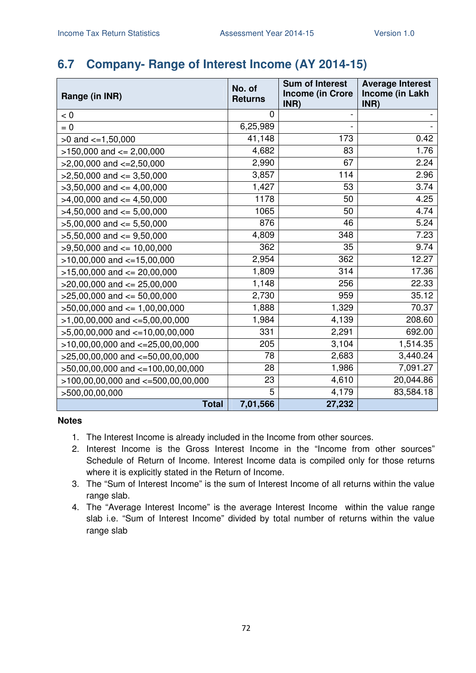## **6.7 Company- Range of Interest Income (AY 2014-15)**

| Range (in INR)                        | No. of<br><b>Returns</b> | <b>Sum of Interest</b><br><b>Income (in Crore</b> | <b>Average Interest</b><br>Income (in Lakh |
|---------------------------------------|--------------------------|---------------------------------------------------|--------------------------------------------|
|                                       |                          | INR)                                              | INR)                                       |
| < 0                                   | 0                        |                                                   |                                            |
| $= 0$                                 | 6,25,989                 |                                                   |                                            |
| $>0$ and $\lt=1,50,000$               | 41,148                   | 173                                               | 0.42                                       |
| $>150,000$ and $<= 2,00,000$          | 4,682                    | 83                                                | 1.76                                       |
| $>2,00,000$ and $\lt=2,50,000$        | 2,990                    | 67                                                | 2.24                                       |
| $>2,50,000$ and $<=3,50,000$          | 3,857                    | 114                                               | 2.96                                       |
| $>3,50,000$ and $<=4,00,000$          | 1,427                    | 53                                                | 3.74                                       |
| $>4,00,000$ and $\leq 4,50,000$       | 1178                     | 50                                                | 4.25                                       |
| $>4,50,000$ and $<= 5,00,000$         | 1065                     | 50                                                | 4.74                                       |
| $>5,00,000$ and $<= 5,50,000$         | 876                      | 46                                                | 5.24                                       |
| $>5,50,000$ and $<=9,50,000$          | 4,809                    | 348                                               | 7.23                                       |
| $>9,50,000$ and $\leq 10,00,000$      | 362                      | 35                                                | 9.74                                       |
| $>10,00,000$ and $<-15,00,000$        | 2,954                    | 362                                               | 12.27                                      |
| $>15,00,000$ and $<= 20,00,000$       | 1,809                    | 314                                               | 17.36                                      |
| $>20,00,000$ and $\leq$ 25,00,000     | 1,148                    | 256                                               | 22.33                                      |
| $>25,00,000$ and $<= 50,00,000$       | 2,730                    | 959                                               | 35.12                                      |
| $>50,00,000$ and $<= 1,00,00,000$     | 1,888                    | 1,329                                             | 70.37                                      |
| $>1,00,00,000$ and $\lt=5,00,00,000$  | 1,984                    | 4,139                                             | 208.60                                     |
| $>5,00,00,000$ and $\lt=10,00,00,000$ | 331                      | 2,291                                             | 692.00                                     |
| $>10,00,00,000$ and $<=25,00,00,000$  | 205                      | 3,104                                             | 1,514.35                                   |
| $>25,00,00,000$ and $<=50,00,00,000$  | 78                       | 2,683                                             | 3,440.24                                   |
| >50,00,00,000 and <=100,00,00,000     | 28                       | 1,986                                             | 7,091.27                                   |
| >100,00,00,000 and <=500,00,00,000    | 23                       | 4,610                                             | 20,044.86                                  |
| >500,00,00,000                        | 5                        | 4,179                                             | 83,584.18                                  |
| <b>Total</b>                          | 7,01,566                 | 27,232                                            |                                            |

- 1. The Interest Income is already included in the Income from other sources.
- 2. Interest Income is the Gross Interest Income in the "Income from other sources" Schedule of Return of Income. Interest Income data is compiled only for those returns where it is explicitly stated in the Return of Income.
- 3. The "Sum of Interest Income" is the sum of Interest Income of all returns within the value range slab.
- 4. The "Average Interest Income" is the average Interest Income within the value range slab i.e. "Sum of Interest Income" divided by total number of returns within the value range slab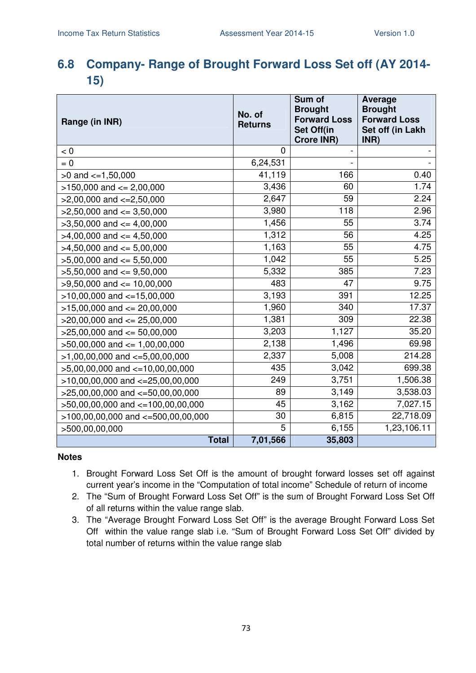## **6.8 Company- Range of Brought Forward Loss Set off (AY 2014- 15)**

| Range (in INR)                           | No. of<br><b>Returns</b> | Sum of<br><b>Brought</b><br><b>Forward Loss</b><br>Set Off(in<br><b>Crore INR)</b> | Average<br><b>Brought</b><br><b>Forward Loss</b><br>Set off (in Lakh<br>INR) |
|------------------------------------------|--------------------------|------------------------------------------------------------------------------------|------------------------------------------------------------------------------|
| < 0                                      | $\mathbf 0$              |                                                                                    |                                                                              |
| $= 0$                                    | 6,24,531                 | $\overline{a}$                                                                     |                                                                              |
| $>0$ and $\lt=1,50,000$                  | 41,119                   | 166                                                                                | 0.40                                                                         |
| $>150,000$ and $<= 2,00,000$             | 3,436                    | 60                                                                                 | 1.74                                                                         |
| $>2,00,000$ and $\lt=2,50,000$           | 2,647                    | 59                                                                                 | 2.24                                                                         |
| $>2,50,000$ and $<=3,50,000$             | 3,980                    | 118                                                                                | 2.96                                                                         |
| $>3,50,000$ and $<=4,00,000$             | 1,456                    | 55                                                                                 | 3.74                                                                         |
| $>4,00,000$ and $\leq 4,50,000$          | 1,312                    | 56                                                                                 | 4.25                                                                         |
| $>4,50,000$ and $<= 5,00,000$            | 1,163                    | 55                                                                                 | 4.75                                                                         |
| $>5,00,000$ and $<= 5,50,000$            | 1,042                    | 55                                                                                 | 5.25                                                                         |
| $>5,50,000$ and $<=9,50,000$             | 5,332                    | 385                                                                                | 7.23                                                                         |
| $>9,50,000$ and $<= 10,00,000$           | 483                      | 47                                                                                 | 9.75                                                                         |
| $>10,00,000$ and $<-15,00,000$           | 3,193                    | 391                                                                                | 12.25                                                                        |
| $>15,00,000$ and $<= 20,00,000$          | 1,960                    | 340                                                                                | 17.37                                                                        |
| $>20,00,000$ and $<= 25,00,000$          | 1,381                    | 309                                                                                | 22.38                                                                        |
| $>25,00,000$ and $<= 50,00,000$          | 3,203                    | 1,127                                                                              | 35.20                                                                        |
| $>50,00,000$ and $<= 1,00,00,000$        | 2,138                    | 1,496                                                                              | 69.98                                                                        |
| $>1,00,00,000$ and $\lt=5,00,00,000$     | 2,337                    | 5,008                                                                              | 214.28                                                                       |
| $>5,00,00,000$ and $<-10,00,00,000$      | 435                      | 3,042                                                                              | 699.38                                                                       |
| $>10,00,00,000$ and $<-25,00,00,000$     | 249                      | 3,751                                                                              | 1,506.38                                                                     |
| $>25,00,00,000$ and $<-50,00,00,000$     | 89                       | 3,149                                                                              | 3,538.03                                                                     |
| >50,00,00,000 and <=100,00,00,000        | 45                       | 3,162                                                                              | 7,027.15                                                                     |
| $>100,00,00,000$ and $\lt=500,00,00,000$ | 30                       | 6,815                                                                              | 22,718.09                                                                    |
| >500,00,00,000                           | 5                        | 6,155                                                                              | 1,23,106.11                                                                  |
| <b>Total</b>                             | 7,01,566                 | 35,803                                                                             |                                                                              |

- 1. Brought Forward Loss Set Off is the amount of brought forward losses set off against current year's income in the "Computation of total income" Schedule of return of income
- 2. The "Sum of Brought Forward Loss Set Off" is the sum of Brought Forward Loss Set Off of all returns within the value range slab.
- 3. The "Average Brought Forward Loss Set Off" is the average Brought Forward Loss Set Off within the value range slab i.e. "Sum of Brought Forward Loss Set Off" divided by total number of returns within the value range slab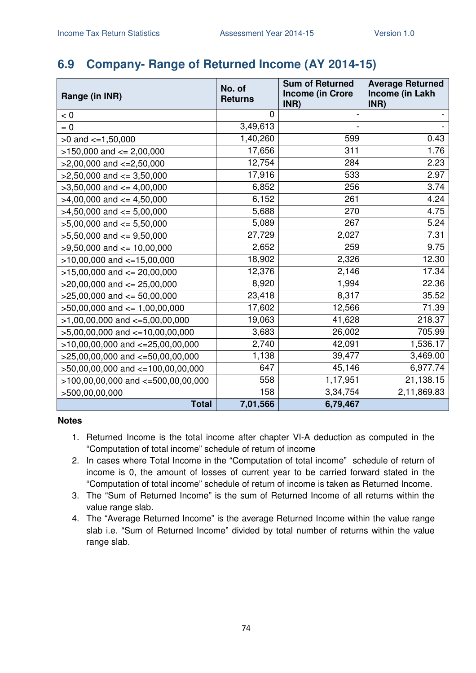### **6.9 Company- Range of Returned Income (AY 2014-15)**

| Range (in INR)                        | No. of<br><b>Returns</b> | <b>Sum of Returned</b><br><b>Income (in Crore</b><br>INR) | <b>Average Returned</b><br>Income (in Lakh<br>INR) |
|---------------------------------------|--------------------------|-----------------------------------------------------------|----------------------------------------------------|
| < 0                                   | 0                        |                                                           |                                                    |
| $= 0$                                 | 3,49,613                 |                                                           |                                                    |
| $>0$ and $\lt=1,50,000$               | 1,40,260                 | 599                                                       | 0.43                                               |
| $>150,000$ and $<= 2,00,000$          | 17,656                   | 311                                                       | 1.76                                               |
| $>2,00,000$ and $\lt=2,50,000$        | 12,754                   | 284                                                       | 2.23                                               |
| $>2,50,000$ and $\leq$ 3,50,000       | 17,916                   | 533                                                       | 2.97                                               |
| $>3,50,000$ and $<=4,00,000$          | 6,852                    | 256                                                       | 3.74                                               |
| $>4,00,000$ and $\leq 4,50,000$       | 6,152                    | 261                                                       | 4.24                                               |
| $>4,50,000$ and $\leq 5,00,000$       | 5,688                    | 270                                                       | 4.75                                               |
| $>5,00,000$ and $<= 5,50,000$         | 5,089                    | 267                                                       | 5.24                                               |
| $>5,50,000$ and $<=9,50,000$          | 27,729                   | 2,027                                                     | 7.31                                               |
| $>9,50,000$ and $<= 10,00,000$        | 2,652                    | 259                                                       | 9.75                                               |
| $>10,00,000$ and $<-15,00,000$        | 18,902                   | 2,326                                                     | 12.30                                              |
| $>15,00,000$ and $<= 20,00,000$       | 12,376                   | 2,146                                                     | 17.34                                              |
| $>20,00,000$ and $<= 25,00,000$       | 8,920                    | 1,994                                                     | 22.36                                              |
| $>25,00,000$ and $<= 50,00,000$       | 23,418                   | 8,317                                                     | 35.52                                              |
| $>50,00,000$ and $\leq 1,00,00,000$   | 17,602                   | 12,566                                                    | 71.39                                              |
| $>1,00,00,000$ and $\lt=5,00,00,000$  | 19,063                   | 41,628                                                    | 218.37                                             |
| $>5,00,00,000$ and $\lt=10,00,00,000$ | 3,683                    | 26,002                                                    | 705.99                                             |
| $>10,00,00,000$ and $<=25,00,00,000$  | 2,740                    | 42,091                                                    | 1,536.17                                           |
| $>25,00,00,000$ and $<=50,00,00,000$  | 1,138                    | 39,477                                                    | 3,469.00                                           |
| $>50,00,00,000$ and $<=100,00,00,000$ | 647                      | 45,146                                                    | 6,977.74                                           |
| >100,00,00,000 and <=500,00,00,000    | 558                      | 1,17,951                                                  | 21,138.15                                          |
| >500,00,00,000                        | 158                      | 3,34,754                                                  | 2,11,869.83                                        |
| <b>Total</b>                          | 7,01,566                 | 6,79,467                                                  |                                                    |

- 1. Returned Income is the total income after chapter VI-A deduction as computed in the "Computation of total income" schedule of return of income
- 2. In cases where Total Income in the "Computation of total income" schedule of return of income is 0, the amount of losses of current year to be carried forward stated in the "Computation of total income" schedule of return of income is taken as Returned Income.
- 3. The "Sum of Returned Income" is the sum of Returned Income of all returns within the value range slab.
- 4. The "Average Returned Income" is the average Returned Income within the value range slab i.e. "Sum of Returned Income" divided by total number of returns within the value range slab.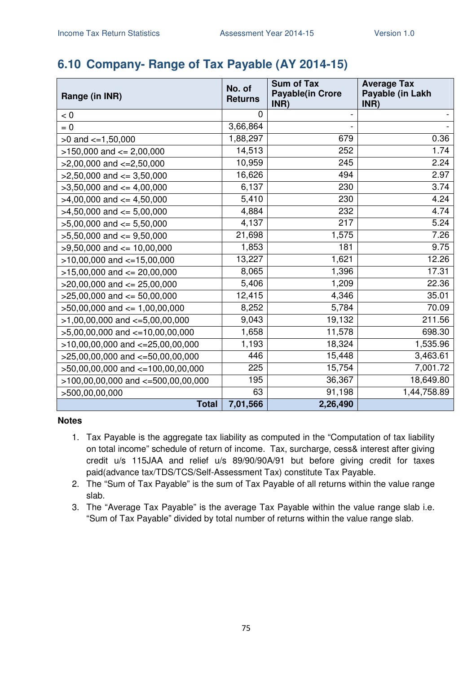## **6.10 Company- Range of Tax Payable (AY 2014-15)**

| Range (in INR)                         | No. of<br><b>Returns</b> | <b>Sum of Tax</b><br><b>Payable(in Crore</b> | <b>Average Tax</b><br>Payable (in Lakh |
|----------------------------------------|--------------------------|----------------------------------------------|----------------------------------------|
| < 0                                    | 0                        | INR)                                         | INR)                                   |
| $= 0$                                  | 3,66,864                 |                                              |                                        |
| $>0$ and $\lt=1,50,000$                | 1,88,297                 | 679                                          | 0.36                                   |
| $>150,000$ and $<= 2,00,000$           | 14,513                   | 252                                          | 1.74                                   |
|                                        | 10,959                   | 245                                          | 2.24                                   |
| $>2,00,000$ and $\lt=2,50,000$         | 16,626                   | 494                                          | 2.97                                   |
| $>2,50,000$ and $<=3,50,000$           | 6,137                    | 230                                          | 3.74                                   |
| $>3,50,000$ and $<=4,00,000$           |                          |                                              |                                        |
| $>4,00,000$ and $\lt=4,50,000$         | 5,410                    | 230                                          | 4.24                                   |
| $>4,50,000$ and $\leq 5,00,000$        | 4,884                    | 232                                          | 4.74                                   |
| $>5,00,000$ and $<= 5,50,000$          | 4,137                    | 217                                          | 5.24                                   |
| $>5,50,000$ and $<=9,50,000$           | 21,698                   | 1,575                                        | 7.26                                   |
| $>9,50,000$ and $\leq 10,00,000$       | 1,853                    | 181                                          | 9.75                                   |
| $>10,00,000$ and $<-15,00,000$         | 13,227                   | 1,621                                        | 12.26                                  |
| $>15,00,000$ and $<= 20,00,000$        | 8,065                    | 1,396                                        | 17.31                                  |
| $>20,00,000$ and $<= 25,00,000$        | 5,406                    | 1,209                                        | 22.36                                  |
| $>25,00,000$ and $<= 50,00,000$        | 12,415                   | 4,346                                        | 35.01                                  |
| $>50,00,000$ and $\leq 1,00,00,000$    | 8,252                    | 5,784                                        | 70.09                                  |
| $>1,00,00,000$ and $\lt=5,00,00,000$   | 9,043                    | 19,132                                       | 211.56                                 |
| $>5,00,00,000$ and $\lt=10,00,00,000$  | 1,658                    | 11,578                                       | 698.30                                 |
| $>10,00,00,000$ and $<=25,00,00,000$   | 1,193                    | 18,324                                       | 1,535.96                               |
| $>25,00,00,000$ and $<=50,00,00,000$   | 446                      | 15,448                                       | 3,463.61                               |
| >50,00,00,000 and <=100,00,00,000      | 225                      | 15,754                                       | 7,001.72                               |
| $>100,00,00,000$ and $<-500,00,00,000$ | 195                      | 36,367                                       | 18,649.80                              |
| >500,00,00,000                         | 63                       | 91,198                                       | 1,44,758.89                            |
| <b>Total</b>                           | 7,01,566                 | 2,26,490                                     |                                        |

- 1. Tax Payable is the aggregate tax liability as computed in the "Computation of tax liability on total income" schedule of return of income. Tax, surcharge, cess& interest after giving credit u/s 115JAA and relief u/s 89/90/90A/91 but before giving credit for taxes paid(advance tax/TDS/TCS/Self-Assessment Tax) constitute Tax Payable.
- 2. The "Sum of Tax Payable" is the sum of Tax Payable of all returns within the value range slab.
- 3. The "Average Tax Payable" is the average Tax Payable within the value range slab i.e. "Sum of Tax Payable" divided by total number of returns within the value range slab.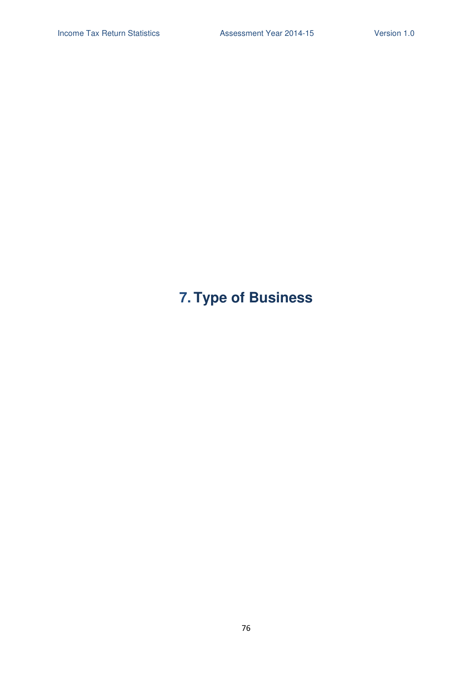# **7. Type of Business**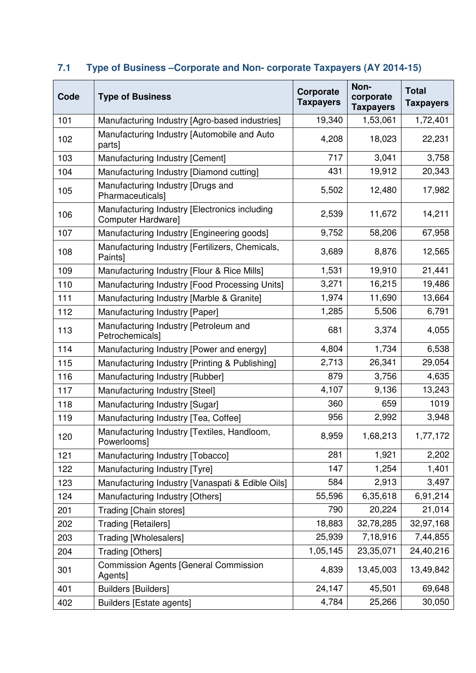| Code | <b>Type of Business</b>                                             | Corporate<br><b>Taxpayers</b> | Non-<br>corporate<br><b>Taxpayers</b> | <b>Total</b><br><b>Taxpayers</b> |
|------|---------------------------------------------------------------------|-------------------------------|---------------------------------------|----------------------------------|
| 101  | Manufacturing Industry [Agro-based industries]                      | 19,340                        | 1,53,061                              | 1,72,401                         |
| 102  | Manufacturing Industry [Automobile and Auto<br>parts]               | 4,208                         | 18,023                                | 22,231                           |
| 103  | Manufacturing Industry [Cement]                                     | 717                           | 3,041                                 | 3,758                            |
| 104  | Manufacturing Industry [Diamond cutting]                            | 431                           | 19,912                                | 20,343                           |
| 105  | Manufacturing Industry [Drugs and<br>Pharmaceuticals]               | 5,502                         | 12,480                                | 17,982                           |
| 106  | Manufacturing Industry [Electronics including<br>Computer Hardware] | 2,539                         | 11,672                                | 14,211                           |
| 107  | Manufacturing Industry [Engineering goods]                          | 9,752                         | 58,206                                | 67,958                           |
| 108  | Manufacturing Industry [Fertilizers, Chemicals,<br>Paints]          | 3,689                         | 8,876                                 | 12,565                           |
| 109  | Manufacturing Industry [Flour & Rice Mills]                         | 1,531                         | 19,910                                | 21,441                           |
| 110  | Manufacturing Industry [Food Processing Units]                      | 3,271                         | 16,215                                | 19,486                           |
| 111  | Manufacturing Industry [Marble & Granite]                           | 1,974                         | 11,690                                | 13,664                           |
| 112  | Manufacturing Industry [Paper]                                      | 1,285                         | 5,506                                 | 6,791                            |
| 113  | Manufacturing Industry [Petroleum and<br>Petrochemicals]            | 681                           | 3,374                                 | 4,055                            |
| 114  | Manufacturing Industry [Power and energy]                           | 4,804                         | 1,734                                 | 6,538                            |
| 115  | Manufacturing Industry [Printing & Publishing]                      | 2,713                         | 26,341                                | 29,054                           |
| 116  | Manufacturing Industry [Rubber]                                     | 879                           | 3,756                                 | 4,635                            |
| 117  | Manufacturing Industry [Steel]                                      | 4,107                         | 9,136                                 | 13,243                           |
| 118  | Manufacturing Industry [Sugar]                                      | 360                           | 659                                   | 1019                             |
| 119  | Manufacturing Industry [Tea, Coffee]                                | 956                           | 2,992                                 | 3,948                            |
| 120  | Manufacturing Industry [Textiles, Handloom,<br>Powerlooms]          | 8,959                         | 1,68,213                              | 1,77,172                         |
| 121  | Manufacturing Industry [Tobacco]                                    | 281                           | 1,921                                 | 2,202                            |
| 122  | Manufacturing Industry [Tyre]                                       | 147                           | 1,254                                 | 1,401                            |
| 123  | Manufacturing Industry [Vanaspati & Edible Oils]                    | 584                           | 2,913                                 | 3,497                            |
| 124  | Manufacturing Industry [Others]                                     | 55,596                        | 6,35,618                              | 6,91,214                         |
| 201  | Trading [Chain stores]                                              | 790                           | 20,224                                | 21,014                           |
| 202  | <b>Trading [Retailers]</b>                                          | 18,883                        | 32,78,285                             | 32,97,168                        |
| 203  | <b>Trading [Wholesalers]</b>                                        | 25,939                        | 7,18,916                              | 7,44,855                         |
| 204  | Trading [Others]                                                    | 1,05,145                      | 23,35,071                             | 24,40,216                        |
| 301  | <b>Commission Agents [General Commission</b><br>Agents]             | 4,839                         | 13,45,003                             | 13,49,842                        |
| 401  | <b>Builders [Builders]</b>                                          | 24,147                        | 45,501                                | 69,648                           |
| 402  | <b>Builders [Estate agents]</b>                                     | 4,784                         | 25,266                                | 30,050                           |

# **7.1 Type of Business –Corporate and Non- corporate Taxpayers (AY 2014-15)**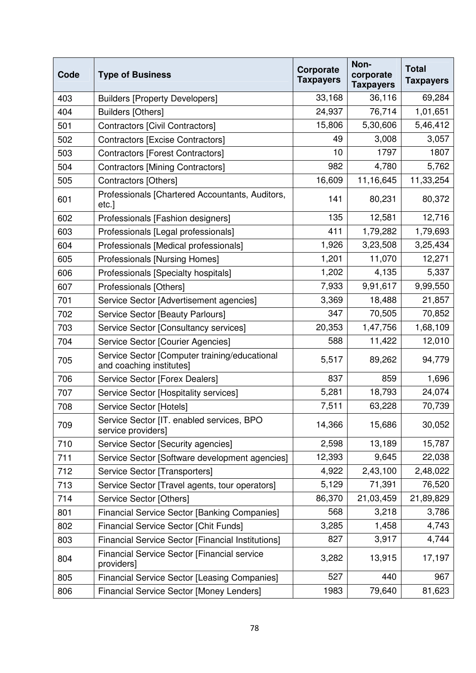| Code | <b>Type of Business</b>                                                   | Corporate<br><b>Taxpayers</b> | Non-<br>corporate<br><b>Taxpayers</b> | <b>Total</b><br><b>Taxpayers</b> |
|------|---------------------------------------------------------------------------|-------------------------------|---------------------------------------|----------------------------------|
| 403  | <b>Builders [Property Developers]</b>                                     | 33,168                        | 36,116                                | 69,284                           |
| 404  | Builders [Others]                                                         | 24,937                        | 76,714                                | 1,01,651                         |
| 501  | Contractors [Civil Contractors]                                           | 15,806                        | 5,30,606                              | 5,46,412                         |
| 502  | <b>Contractors [Excise Contractors]</b>                                   | 49                            | 3,008                                 | 3,057                            |
| 503  | <b>Contractors [Forest Contractors]</b>                                   | 10                            | 1797                                  | 1807                             |
| 504  | <b>Contractors [Mining Contractors]</b>                                   | 982                           | 4,780                                 | 5,762                            |
| 505  | Contractors [Others]                                                      | 16,609                        | 11,16,645                             | 11,33,254                        |
| 601  | Professionals [Chartered Accountants, Auditors,<br>etc.]                  | 141                           | 80,231                                | 80,372                           |
| 602  | Professionals [Fashion designers]                                         | 135                           | 12,581                                | 12,716                           |
| 603  | Professionals [Legal professionals]                                       | 411                           | 1,79,282                              | 1,79,693                         |
| 604  | Professionals [Medical professionals]                                     | 1,926                         | 3,23,508                              | 3,25,434                         |
| 605  | Professionals [Nursing Homes]                                             | 1,201                         | 11,070                                | 12,271                           |
| 606  | Professionals [Specialty hospitals]                                       | 1,202                         | 4,135                                 | 5,337                            |
| 607  | Professionals [Others]                                                    | 7,933                         | 9,91,617                              | 9,99,550                         |
| 701  | Service Sector [Advertisement agencies]                                   | 3,369                         | 18,488                                | 21,857                           |
| 702  | Service Sector [Beauty Parlours]                                          | 347                           | 70,505                                | 70,852                           |
| 703  | Service Sector [Consultancy services]                                     | 20,353                        | 1,47,756                              | 1,68,109                         |
| 704  | Service Sector [Courier Agencies]                                         | 588                           | 11,422                                | 12,010                           |
| 705  | Service Sector [Computer training/educational<br>and coaching institutes] | 5,517                         | 89,262                                | 94,779                           |
| 706  | Service Sector [Forex Dealers]                                            | 837                           | 859                                   | 1,696                            |
| 707  | Service Sector [Hospitality services]                                     | 5,281                         | 18,793                                | 24,074                           |
| 708  | Service Sector [Hotels]                                                   | 7,511                         | 63,228                                | 70,739                           |
| 709  | Service Sector [IT. enabled services, BPO<br>service providers]           | 14,366                        | 15,686                                | 30,052                           |
| 710  | Service Sector [Security agencies]                                        | 2,598                         | 13,189                                | 15,787                           |
| 711  | Service Sector [Software development agencies]                            | 12,393                        | 9,645                                 | 22,038                           |
| 712  | Service Sector [Transporters]                                             | 4,922                         | 2,43,100                              | 2,48,022                         |
| 713  | Service Sector [Travel agents, tour operators]                            | 5,129                         | 71,391                                | 76,520                           |
| 714  | Service Sector [Others]                                                   | 86,370                        | 21,03,459                             | 21,89,829                        |
| 801  | <b>Financial Service Sector [Banking Companies]</b>                       | 568                           | 3,218                                 | 3,786                            |
| 802  | <b>Financial Service Sector [Chit Funds]</b>                              | 3,285                         | 1,458                                 | 4,743                            |
| 803  | <b>Financial Service Sector [Financial Institutions]</b>                  | 827                           | 3,917                                 | 4,744                            |
| 804  | <b>Financial Service Sector [Financial service</b><br>providers]          | 3,282                         | 13,915                                | 17,197                           |
| 805  | <b>Financial Service Sector [Leasing Companies]</b>                       | 527                           | 440                                   | 967                              |
| 806  | Financial Service Sector [Money Lenders]                                  | 1983                          | 79,640                                | 81,623                           |